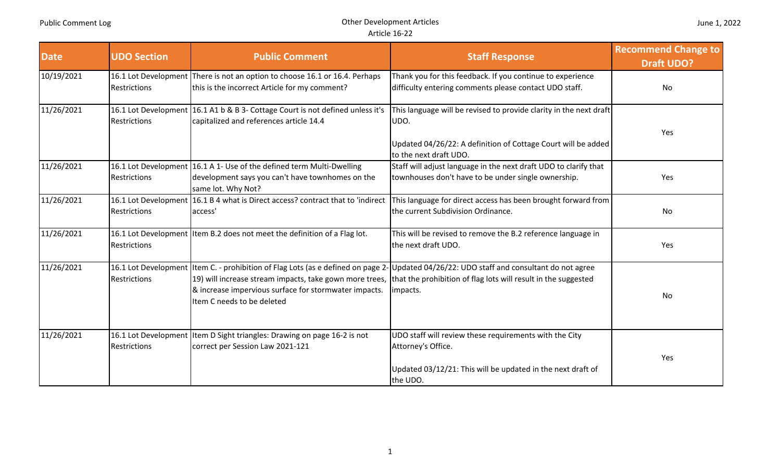| <b>Date</b> | <b>UDO Section</b>                          | <b>Public Comment</b>                                                                                                                           | <b>Staff Response</b>                                                                                                                                                                                                                                     | <b>Recommend Change to</b><br><b>Draft UDO?</b> |
|-------------|---------------------------------------------|-------------------------------------------------------------------------------------------------------------------------------------------------|-----------------------------------------------------------------------------------------------------------------------------------------------------------------------------------------------------------------------------------------------------------|-------------------------------------------------|
| 10/19/2021  | <b>Restrictions</b>                         | 16.1 Lot Development There is not an option to choose 16.1 or 16.4. Perhaps<br>this is the incorrect Article for my comment?                    | Thank you for this feedback. If you continue to experience<br>difficulty entering comments please contact UDO staff.                                                                                                                                      | <b>No</b>                                       |
| 11/26/2021  | <b>Restrictions</b>                         | 16.1 Lot Development 16.1 A1 b & B 3- Cottage Court is not defined unless it's<br>capitalized and references article 14.4                       | This language will be revised to provide clarity in the next draft<br>UDO.<br>Updated 04/26/22: A definition of Cottage Court will be added<br>to the next draft UDO.                                                                                     | Yes                                             |
| 11/26/2021  | <b>Restrictions</b>                         | 16.1 Lot Development 16.1 A 1- Use of the defined term Multi-Dwelling<br>development says you can't have townhomes on the<br>same lot. Why Not? | Staff will adjust language in the next draft UDO to clarify that<br>townhouses don't have to be under single ownership.                                                                                                                                   | Yes                                             |
| 11/26/2021  | <b>Restrictions</b>                         | 16.1 Lot Development 16.1 B 4 what is Direct access? contract that to 'indirect<br>access'                                                      | This language for direct access has been brought forward from<br>the current Subdivision Ordinance.                                                                                                                                                       | No                                              |
| 11/26/2021  | <b>Restrictions</b>                         | 16.1 Lot Development Item B.2 does not meet the definition of a Flag lot.                                                                       | This will be revised to remove the B.2 reference language in<br>the next draft UDO.                                                                                                                                                                       | Yes                                             |
| 11/26/2021  | 16.1 Lot Development<br><b>Restrictions</b> | & increase impervious surface for stormwater impacts.<br>Item C needs to be deleted                                                             | Item C. - prohibition of Flag Lots (as e defined on page 2- Updated 04/26/22: UDO staff and consultant do not agree<br>19) will increase stream impacts, take gown more trees, that the prohibition of flag lots will result in the suggested<br>impacts. | No                                              |
| 11/26/2021  | <b>Restrictions</b>                         | 16.1 Lot Development   Item D Sight triangles: Drawing on page 16-2 is not<br>correct per Session Law 2021-121                                  | UDO staff will review these requirements with the City<br>Attorney's Office.<br>Updated 03/12/21: This will be updated in the next draft of<br>the UDO.                                                                                                   | Yes                                             |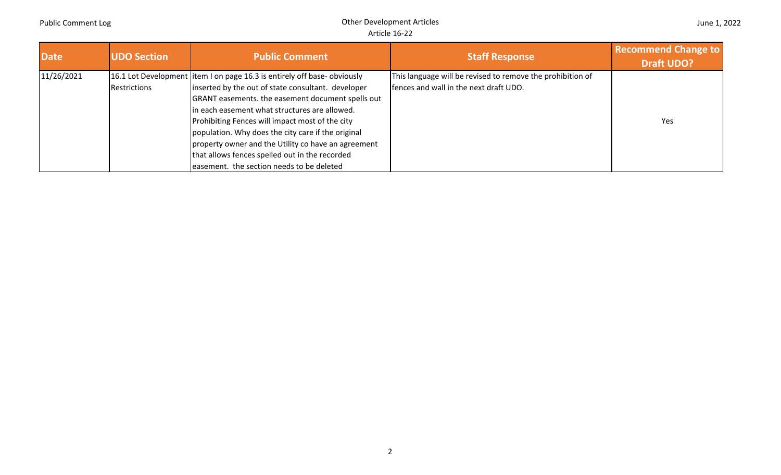| <b>Date</b> | <b>UDO Section</b> | <b>Public Comment</b>                                                    | <b>Staff Response</b>                                      | <b>Recommend Change to</b><br><b>Draft UDO?</b> |
|-------------|--------------------|--------------------------------------------------------------------------|------------------------------------------------------------|-------------------------------------------------|
| 11/26/2021  |                    | 16.1 Lot Development litem I on page 16.3 is entirely off base-obviously | This language will be revised to remove the prohibition of |                                                 |
|             | Restrictions       | inserted by the out of state consultant. developer                       | fences and wall in the next draft UDO.                     |                                                 |
|             |                    | GRANT easements. the easement document spells out                        |                                                            |                                                 |
|             |                    | in each easement what structures are allowed.                            |                                                            |                                                 |
|             |                    | Prohibiting Fences will impact most of the city                          |                                                            | Yes                                             |
|             |                    | population. Why does the city care if the original                       |                                                            |                                                 |
|             |                    | property owner and the Utility co have an agreement                      |                                                            |                                                 |
|             |                    | that allows fences spelled out in the recorded                           |                                                            |                                                 |
|             |                    | easement. the section needs to be deleted                                |                                                            |                                                 |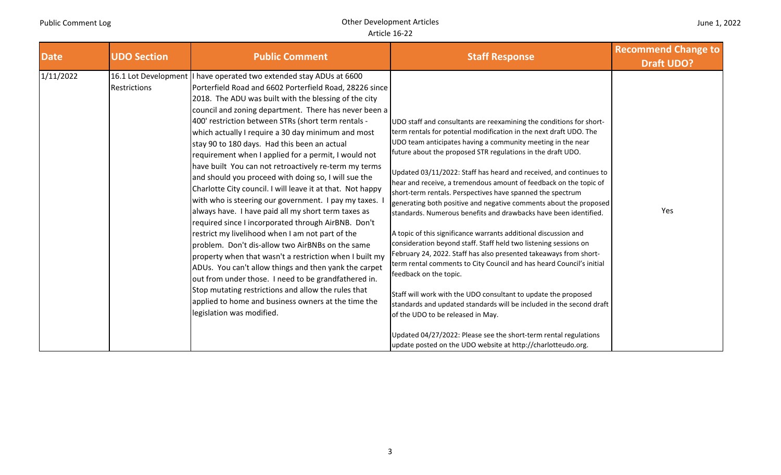| <b>Date</b> | <b>UDO Section</b> | <b>Public Comment</b>                                                                                                                                                                                                                                                                                                                                                                                                                                                                                                                                                                                                                                                                                                                                                                                                                                                                                                                                                                                                                                                                                                                                                                                                                                     | <b>Staff Response</b>                                                                                                                                                                                                                                                                                                                                                                                                                                                                                                                                                                                                                                                                                                                                                                                                                                                                                                                                                                                                                                                                                                                                                                                                                                      | <b>Recommend Change to</b><br><b>Draft UDO?</b> |
|-------------|--------------------|-----------------------------------------------------------------------------------------------------------------------------------------------------------------------------------------------------------------------------------------------------------------------------------------------------------------------------------------------------------------------------------------------------------------------------------------------------------------------------------------------------------------------------------------------------------------------------------------------------------------------------------------------------------------------------------------------------------------------------------------------------------------------------------------------------------------------------------------------------------------------------------------------------------------------------------------------------------------------------------------------------------------------------------------------------------------------------------------------------------------------------------------------------------------------------------------------------------------------------------------------------------|------------------------------------------------------------------------------------------------------------------------------------------------------------------------------------------------------------------------------------------------------------------------------------------------------------------------------------------------------------------------------------------------------------------------------------------------------------------------------------------------------------------------------------------------------------------------------------------------------------------------------------------------------------------------------------------------------------------------------------------------------------------------------------------------------------------------------------------------------------------------------------------------------------------------------------------------------------------------------------------------------------------------------------------------------------------------------------------------------------------------------------------------------------------------------------------------------------------------------------------------------------|-------------------------------------------------|
| 1/11/2022   | Restrictions       | 16.1 Lot Development   have operated two extended stay ADUs at 6600<br>Porterfield Road and 6602 Porterfield Road, 28226 since<br>2018. The ADU was built with the blessing of the city<br>council and zoning department. There has never been a<br>400' restriction between STRs (short term rentals -<br>which actually I require a 30 day minimum and most<br>stay 90 to 180 days. Had this been an actual<br>requirement when I applied for a permit, I would not<br>have built You can not retroactively re-term my terms<br>and should you proceed with doing so, I will sue the<br>Charlotte City council. I will leave it at that. Not happy<br>with who is steering our government. I pay my taxes.<br>always have. I have paid all my short term taxes as<br>required since I incorporated through AirBNB. Don't<br>restrict my livelihood when I am not part of the<br>problem. Don't dis-allow two AirBNBs on the same<br>property when that wasn't a restriction when I built my<br>ADUs. You can't allow things and then yank the carpet<br>out from under those. I need to be grandfathered in.<br>Stop mutating restrictions and allow the rules that<br>applied to home and business owners at the time the<br>legislation was modified. | UDO staff and consultants are reexamining the conditions for short-<br>term rentals for potential modification in the next draft UDO. The<br>UDO team anticipates having a community meeting in the near<br>future about the proposed STR regulations in the draft UDO.<br>Updated 03/11/2022: Staff has heard and received, and continues to<br>hear and receive, a tremendous amount of feedback on the topic of<br>short-term rentals. Perspectives have spanned the spectrum<br>generating both positive and negative comments about the proposed<br>standards. Numerous benefits and drawbacks have been identified.<br>A topic of this significance warrants additional discussion and<br>consideration beyond staff. Staff held two listening sessions on<br>February 24, 2022. Staff has also presented takeaways from short-<br>term rental comments to City Council and has heard Council's initial<br>feedback on the topic.<br>Staff will work with the UDO consultant to update the proposed<br>standards and updated standards will be included in the second draft<br>of the UDO to be released in May.<br>Updated 04/27/2022: Please see the short-term rental regulations<br>update posted on the UDO website at http://charlotteudo.org. | Yes                                             |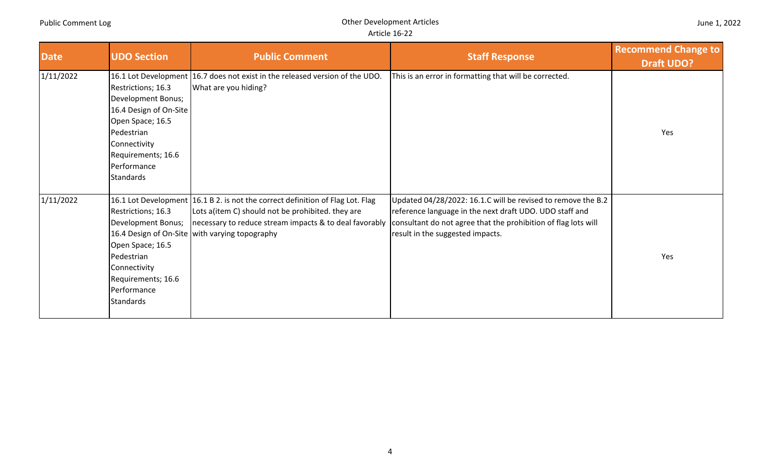| <b>Date</b> | <b>UDO Section</b>                                                                                                                                                            | <b>Public Comment</b>                                                                                                                                                                                                                           | <b>Staff Response</b>                                                                                                                                                                                                         | <b>Recommend Change to</b><br><b>Draft UDO?</b> |
|-------------|-------------------------------------------------------------------------------------------------------------------------------------------------------------------------------|-------------------------------------------------------------------------------------------------------------------------------------------------------------------------------------------------------------------------------------------------|-------------------------------------------------------------------------------------------------------------------------------------------------------------------------------------------------------------------------------|-------------------------------------------------|
| 1/11/2022   | Restrictions; 16.3<br>Development Bonus;<br>16.4 Design of On-Site<br>Open Space; 16.5<br>Pedestrian<br>Connectivity<br>Requirements; 16.6<br>Performance<br><b>Standards</b> | 16.1 Lot Development 16.7 does not exist in the released version of the UDO.<br>What are you hiding?                                                                                                                                            | This is an error in formatting that will be corrected.                                                                                                                                                                        | Yes                                             |
| 1/11/2022   | Restrictions; 16.3<br>Development Bonus;<br>Open Space; 16.5<br>Pedestrian<br>Connectivity<br>Requirements; 16.6<br>Performance<br><b>Standards</b>                           | 16.1 Lot Development 16.1 B 2. is not the correct definition of Flag Lot. Flag<br>Lots a(item C) should not be prohibited. they are<br>necessary to reduce stream impacts & to deal favorably<br>16.4 Design of On-Site with varying topography | Updated 04/28/2022: 16.1.C will be revised to remove the B.2<br>reference language in the next draft UDO. UDO staff and<br>consultant do not agree that the prohibition of flag lots will<br>result in the suggested impacts. | Yes                                             |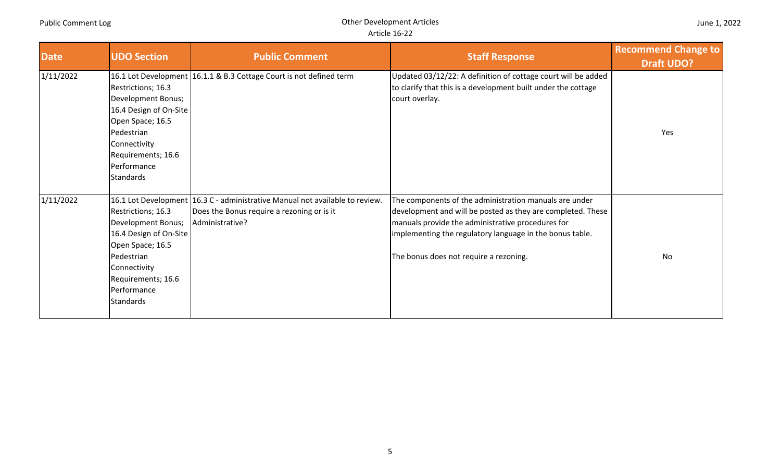| <b>Date</b> | <b>UDO Section</b>                                                                                                                                                            | <b>Public Comment</b>                                                                                                                           | <b>Staff Response</b>                                                                                                                                                                                                                                                            | <b>Recommend Change to</b><br><b>Draft UDO?</b> |
|-------------|-------------------------------------------------------------------------------------------------------------------------------------------------------------------------------|-------------------------------------------------------------------------------------------------------------------------------------------------|----------------------------------------------------------------------------------------------------------------------------------------------------------------------------------------------------------------------------------------------------------------------------------|-------------------------------------------------|
| 1/11/2022   | Restrictions; 16.3<br>Development Bonus;<br>16.4 Design of On-Site<br>Open Space; 16.5                                                                                        | 16.1 Lot Development   16.1.1 & B.3 Cottage Court is not defined term                                                                           | Updated 03/12/22: A definition of cottage court will be added<br>to clarify that this is a development built under the cottage<br>court overlay.                                                                                                                                 |                                                 |
|             | Pedestrian<br>Connectivity<br>Requirements; 16.6<br>Performance<br><b>Standards</b>                                                                                           |                                                                                                                                                 |                                                                                                                                                                                                                                                                                  | Yes                                             |
| 1/11/2022   | Restrictions; 16.3<br>Development Bonus;<br>16.4 Design of On-Site<br>Open Space; 16.5<br>Pedestrian<br>Connectivity<br>Requirements; 16.6<br>Performance<br><b>Standards</b> | 16.1 Lot Development   16.3 C - administrative Manual not available to review.<br>Does the Bonus require a rezoning or is it<br>Administrative? | The components of the administration manuals are under<br>development and will be posted as they are completed. These<br>manuals provide the administrative procedures for<br>implementing the regulatory language in the bonus table.<br>The bonus does not require a rezoning. | <b>No</b>                                       |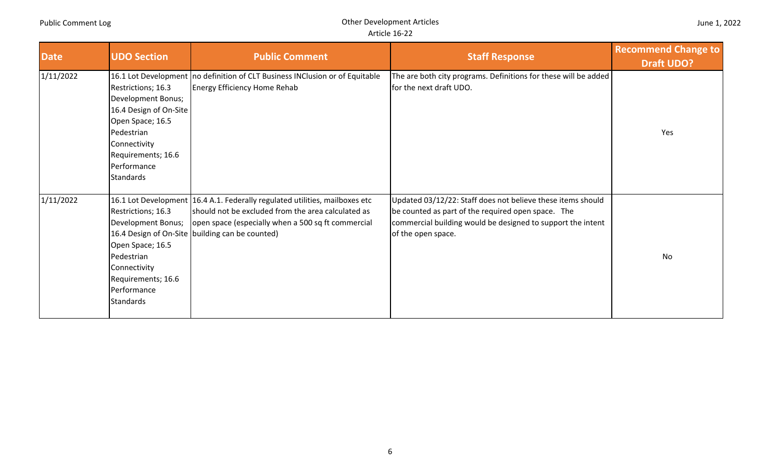| <b>Date</b> | <b>UDO Section</b>                                                                                                                                  | <b>Public Comment</b>                                                                                                                                                                                                                      | <b>Staff Response</b>                                                                                                                                                                                  | <b>Recommend Change to</b><br><b>Draft UDO?</b> |
|-------------|-----------------------------------------------------------------------------------------------------------------------------------------------------|--------------------------------------------------------------------------------------------------------------------------------------------------------------------------------------------------------------------------------------------|--------------------------------------------------------------------------------------------------------------------------------------------------------------------------------------------------------|-------------------------------------------------|
| 1/11/2022   | Restrictions; 16.3<br>Development Bonus;<br>16.4 Design of On-Site<br>Open Space; 16.5                                                              | 16.1 Lot Development   no definition of CLT Business INClusion or of Equitable<br>Energy Efficiency Home Rehab                                                                                                                             | The are both city programs. Definitions for these will be added<br>for the next draft UDO.                                                                                                             |                                                 |
|             | Pedestrian<br>Connectivity<br>Requirements; 16.6<br>Performance<br><b>Standards</b>                                                                 |                                                                                                                                                                                                                                            |                                                                                                                                                                                                        | Yes                                             |
| 1/11/2022   | Restrictions; 16.3<br>Development Bonus;<br>Open Space; 16.5<br>Pedestrian<br>Connectivity<br>Requirements; 16.6<br>Performance<br><b>Standards</b> | 16.1 Lot Development 16.4 A.1. Federally regulated utilities, mailboxes etc<br>should not be excluded from the area calculated as<br>open space (especially when a 500 sq ft commercial<br>16.4 Design of On-Site building can be counted) | Updated 03/12/22: Staff does not believe these items should<br>be counted as part of the required open space. The<br>commercial building would be designed to support the intent<br>of the open space. | No                                              |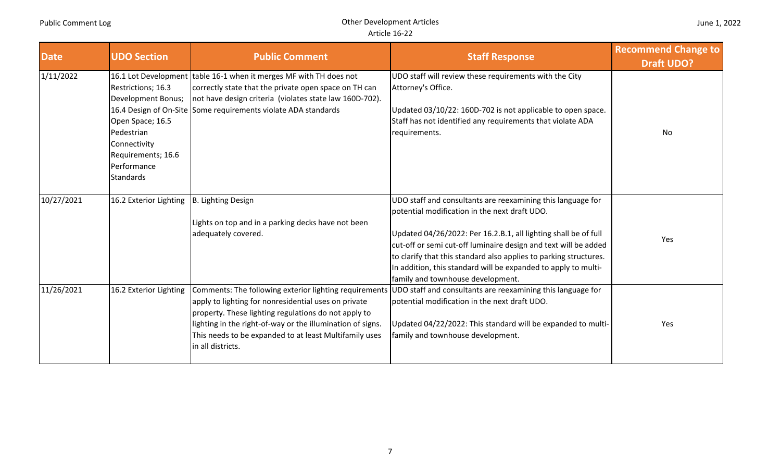| <b>Date</b> | <b>UDO Section</b>                                                                                                                           | <b>Public Comment</b>                                                                                                                                                                                                                                                                                               | <b>Staff Response</b>                                                                                                                                                                                                                                                                                                                                                                                                          | <b>Recommend Change to</b><br><b>Draft UDO?</b> |
|-------------|----------------------------------------------------------------------------------------------------------------------------------------------|---------------------------------------------------------------------------------------------------------------------------------------------------------------------------------------------------------------------------------------------------------------------------------------------------------------------|--------------------------------------------------------------------------------------------------------------------------------------------------------------------------------------------------------------------------------------------------------------------------------------------------------------------------------------------------------------------------------------------------------------------------------|-------------------------------------------------|
| 1/11/2022   | Restrictions; 16.3<br>Development Bonus;<br>Open Space; 16.5<br>Pedestrian<br>Connectivity<br>Requirements; 16.6<br>Performance<br>Standards | 16.1 Lot Development table 16-1 when it merges MF with TH does not<br>correctly state that the private open space on TH can<br>not have design criteria (violates state law 160D-702).<br>16.4 Design of On-Site Some requirements violate ADA standards                                                            | UDO staff will review these requirements with the City<br>Attorney's Office.<br>Updated 03/10/22: 160D-702 is not applicable to open space.<br>Staff has not identified any requirements that violate ADA<br>requirements.                                                                                                                                                                                                     | No                                              |
| 10/27/2021  | 16.2 Exterior Lighting                                                                                                                       | B. Lighting Design<br>Lights on top and in a parking decks have not been<br>adequately covered.                                                                                                                                                                                                                     | UDO staff and consultants are reexamining this language for<br>potential modification in the next draft UDO.<br>Updated 04/26/2022: Per 16.2.B.1, all lighting shall be of full<br>cut-off or semi cut-off luminaire design and text will be added<br>to clarify that this standard also applies to parking structures.<br>In addition, this standard will be expanded to apply to multi-<br>family and townhouse development. | Yes                                             |
| 11/26/2021  | 16.2 Exterior Lighting                                                                                                                       | Comments: The following exterior lighting requirements<br>apply to lighting for nonresidential uses on private<br>property. These lighting regulations do not apply to<br>lighting in the right-of-way or the illumination of signs.<br>This needs to be expanded to at least Multifamily uses<br>in all districts. | UDO staff and consultants are reexamining this language for<br>potential modification in the next draft UDO.<br>Updated 04/22/2022: This standard will be expanded to multi-<br>family and townhouse development.                                                                                                                                                                                                              | Yes                                             |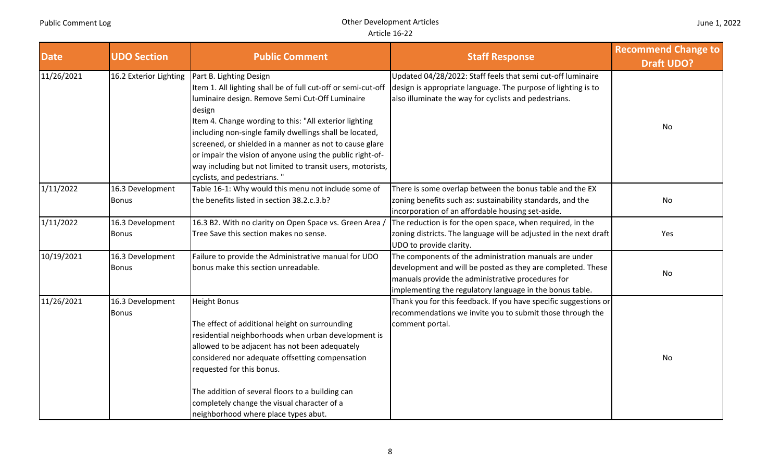| <b>Date</b> | <b>UDO Section</b>               | <b>Public Comment</b>                                                                                                                                                                                                                                                                                                                                                                                                                                                                           | <b>Staff Response</b>                                                                                                                                                                                                                  | <b>Recommend Change to</b><br><b>Draft UDO?</b> |
|-------------|----------------------------------|-------------------------------------------------------------------------------------------------------------------------------------------------------------------------------------------------------------------------------------------------------------------------------------------------------------------------------------------------------------------------------------------------------------------------------------------------------------------------------------------------|----------------------------------------------------------------------------------------------------------------------------------------------------------------------------------------------------------------------------------------|-------------------------------------------------|
| 11/26/2021  | 16.2 Exterior Lighting           | Part B. Lighting Design<br>Item 1. All lighting shall be of full cut-off or semi-cut-off<br>luminaire design. Remove Semi Cut-Off Luminaire<br>design<br>Item 4. Change wording to this: "All exterior lighting<br>including non-single family dwellings shall be located,<br>screened, or shielded in a manner as not to cause glare<br>or impair the vision of anyone using the public right-of-<br>way including but not limited to transit users, motorists,<br>cyclists, and pedestrians." | Updated 04/28/2022: Staff feels that semi cut-off luminaire<br>design is appropriate language. The purpose of lighting is to<br>also illuminate the way for cyclists and pedestrians.                                                  | No                                              |
| 1/11/2022   | 16.3 Development<br><b>Bonus</b> | Table 16-1: Why would this menu not include some of<br>the benefits listed in section 38.2.c.3.b?                                                                                                                                                                                                                                                                                                                                                                                               | There is some overlap between the bonus table and the EX<br>zoning benefits such as: sustainability standards, and the<br>incorporation of an affordable housing set-aside.                                                            | No                                              |
| 1/11/2022   | 16.3 Development<br><b>Bonus</b> | 16.3 B2. With no clarity on Open Space vs. Green Area /<br>Tree Save this section makes no sense.                                                                                                                                                                                                                                                                                                                                                                                               | The reduction is for the open space, when required, in the<br>zoning districts. The language will be adjusted in the next draft<br>UDO to provide clarity.                                                                             | Yes                                             |
| 10/19/2021  | 16.3 Development<br><b>Bonus</b> | Failure to provide the Administrative manual for UDO<br>bonus make this section unreadable.                                                                                                                                                                                                                                                                                                                                                                                                     | The components of the administration manuals are under<br>development and will be posted as they are completed. These<br>manuals provide the administrative procedures for<br>implementing the regulatory language in the bonus table. | No                                              |
| 11/26/2021  | 16.3 Development<br><b>Bonus</b> | <b>Height Bonus</b><br>The effect of additional height on surrounding<br>residential neighborhoods when urban development is<br>allowed to be adjacent has not been adequately<br>considered nor adequate offsetting compensation<br>requested for this bonus.<br>The addition of several floors to a building can<br>completely change the visual character of a<br>neighborhood where place types abut.                                                                                       | Thank you for this feedback. If you have specific suggestions or<br>recommendations we invite you to submit those through the<br>comment portal.                                                                                       | No                                              |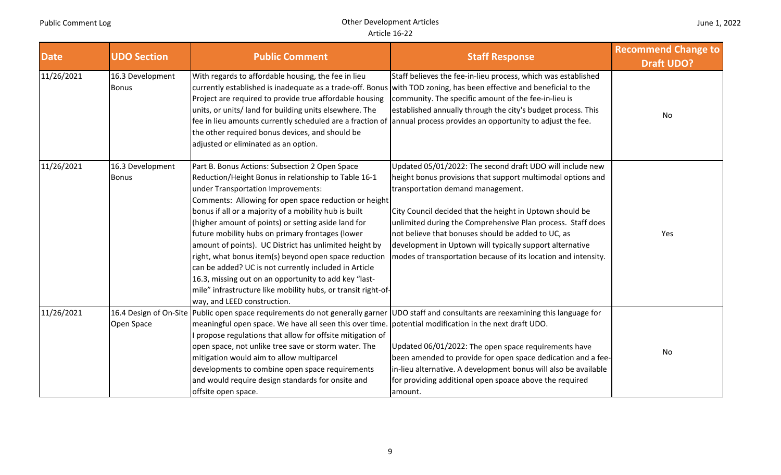| <b>Date</b> | <b>UDO Section</b>               | <b>Public Comment</b>                                                                                                                                                                                                                                                                                                                                                                                                                                                                                                                                                                                                                                                                                          | <b>Staff Response</b>                                                                                                                                                                                                                                                                                                                                                                                                                                                        | <b>Recommend Change to</b><br><b>Draft UDO?</b> |
|-------------|----------------------------------|----------------------------------------------------------------------------------------------------------------------------------------------------------------------------------------------------------------------------------------------------------------------------------------------------------------------------------------------------------------------------------------------------------------------------------------------------------------------------------------------------------------------------------------------------------------------------------------------------------------------------------------------------------------------------------------------------------------|------------------------------------------------------------------------------------------------------------------------------------------------------------------------------------------------------------------------------------------------------------------------------------------------------------------------------------------------------------------------------------------------------------------------------------------------------------------------------|-------------------------------------------------|
| 11/26/2021  | 16.3 Development<br><b>Bonus</b> | With regards to affordable housing, the fee in lieu<br>currently established is inadequate as a trade-off. Bonus<br>Project are required to provide true affordable housing<br>units, or units/ land for building units elsewhere. The<br>the other required bonus devices, and should be<br>adjusted or eliminated as an option.                                                                                                                                                                                                                                                                                                                                                                              | Staff believes the fee-in-lieu process, which was established<br>with TOD zoning, has been effective and beneficial to the<br>community. The specific amount of the fee-in-lieu is<br>established annually through the city's budget process. This<br>fee in lieu amounts currently scheduled are a fraction of annual process provides an opportunity to adjust the fee.                                                                                                    | No                                              |
| 11/26/2021  | 16.3 Development<br><b>Bonus</b> | Part B. Bonus Actions: Subsection 2 Open Space<br>Reduction/Height Bonus in relationship to Table 16-1<br>under Transportation Improvements:<br>Comments: Allowing for open space reduction or height<br>bonus if all or a majority of a mobility hub is built<br>(higher amount of points) or setting aside land for<br>future mobility hubs on primary frontages (lower<br>amount of points). UC District has unlimited height by<br>right, what bonus item(s) beyond open space reduction<br>can be added? UC is not currently included in Article<br>16.3, missing out on an opportunity to add key "last-<br>mile" infrastructure like mobility hubs, or transit right-of-<br>way, and LEED construction. | Updated 05/01/2022: The second draft UDO will include new<br>height bonus provisions that support multimodal options and<br>transportation demand management.<br>City Council decided that the height in Uptown should be<br>unlimited during the Comprehensive Plan process. Staff does<br>not believe that bonuses should be added to UC, as<br>development in Uptown will typically support alternative<br>modes of transportation because of its location and intensity. | Yes                                             |
| 11/26/2021  | Open Space                       | meaningful open space. We have all seen this over time. potential modification in the next draft UDO.<br>I propose regulations that allow for offsite mitigation of<br>open space, not unlike tree save or storm water. The<br>mitigation would aim to allow multiparcel<br>developments to combine open space requirements<br>and would require design standards for onsite and<br>offsite open space.                                                                                                                                                                                                                                                                                                        | 16.4 Design of On-Site Public open space requirements do not generally garner UDO staff and consultants are reexamining this language for<br>Updated 06/01/2022: The open space requirements have<br>been amended to provide for open space dedication and a fee-<br>in-lieu alternative. A development bonus will also be available<br>for providing additional open spoace above the required<br>amount.                                                                   | No                                              |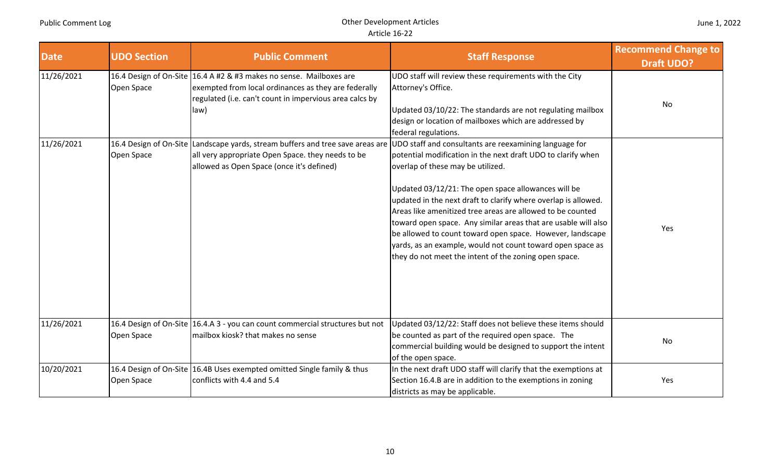| <b>Date</b> | <b>UDO Section</b> | <b>Public Comment</b>                                                                                                                                                                          | <b>Staff Response</b>                                                                                                                                                                                                                                                                                                                                                                                                                                                                                                                                                                                    | <b>Recommend Change to</b><br><b>Draft UDO?</b> |
|-------------|--------------------|------------------------------------------------------------------------------------------------------------------------------------------------------------------------------------------------|----------------------------------------------------------------------------------------------------------------------------------------------------------------------------------------------------------------------------------------------------------------------------------------------------------------------------------------------------------------------------------------------------------------------------------------------------------------------------------------------------------------------------------------------------------------------------------------------------------|-------------------------------------------------|
| 11/26/2021  | Open Space         | 16.4 Design of On-Site 16.4 A #2 & #3 makes no sense. Mailboxes are<br>exempted from local ordinances as they are federally<br>regulated (i.e. can't count in impervious area calcs by<br>law) | UDO staff will review these requirements with the City<br>Attorney's Office.<br>Updated 03/10/22: The standards are not regulating mailbox<br>design or location of mailboxes which are addressed by<br>federal regulations.                                                                                                                                                                                                                                                                                                                                                                             | No                                              |
| 11/26/2021  | Open Space         | 16.4 Design of On-Site Landscape yards, stream buffers and tree save areas are<br>all very appropriate Open Space. they needs to be<br>allowed as Open Space (once it's defined)               | UDO staff and consultants are reexamining language for<br>potential modification in the next draft UDO to clarify when<br>overlap of these may be utilized.<br>Updated 03/12/21: The open space allowances will be<br>updated in the next draft to clarify where overlap is allowed.<br>Areas like amenitized tree areas are allowed to be counted<br>toward open space. Any similar areas that are usable will also<br>be allowed to count toward open space. However, landscape<br>yards, as an example, would not count toward open space as<br>they do not meet the intent of the zoning open space. | Yes                                             |
| 11/26/2021  | Open Space         | 16.4 Design of On-Site 16.4.A 3 - you can count commercial structures but not<br>mailbox kiosk? that makes no sense                                                                            | Updated 03/12/22: Staff does not believe these items should<br>be counted as part of the required open space. The<br>commercial building would be designed to support the intent<br>of the open space.                                                                                                                                                                                                                                                                                                                                                                                                   | No                                              |
| 10/20/2021  | Open Space         | 16.4 Design of On-Site 16.4B Uses exempted omitted Single family & thus<br>conflicts with 4.4 and 5.4                                                                                          | In the next draft UDO staff will clarify that the exemptions at<br>Section 16.4.B are in addition to the exemptions in zoning<br>districts as may be applicable.                                                                                                                                                                                                                                                                                                                                                                                                                                         | Yes                                             |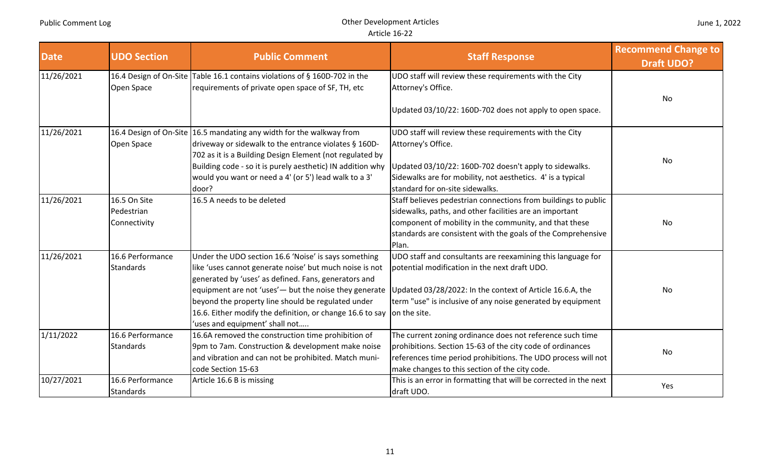| <b>Date</b> | <b>UDO Section</b>                         | <b>Public Comment</b>                                                                                                                                                                                                                                                                                                                                                                  | <b>Staff Response</b>                                                                                                                                                                                                                                        | <b>Recommend Change to</b><br><b>Draft UDO?</b> |
|-------------|--------------------------------------------|----------------------------------------------------------------------------------------------------------------------------------------------------------------------------------------------------------------------------------------------------------------------------------------------------------------------------------------------------------------------------------------|--------------------------------------------------------------------------------------------------------------------------------------------------------------------------------------------------------------------------------------------------------------|-------------------------------------------------|
| 11/26/2021  |                                            | 16.4 Design of On-Site Table 16.1 contains violations of § 160D-702 in the                                                                                                                                                                                                                                                                                                             | UDO staff will review these requirements with the City                                                                                                                                                                                                       |                                                 |
|             | Open Space                                 | requirements of private open space of SF, TH, etc                                                                                                                                                                                                                                                                                                                                      | Attorney's Office.                                                                                                                                                                                                                                           |                                                 |
|             |                                            |                                                                                                                                                                                                                                                                                                                                                                                        | Updated 03/10/22: 160D-702 does not apply to open space.                                                                                                                                                                                                     | No                                              |
| 11/26/2021  |                                            | 16.4 Design of On-Site 16.5 mandating any width for the walkway from                                                                                                                                                                                                                                                                                                                   | UDO staff will review these requirements with the City                                                                                                                                                                                                       |                                                 |
|             | Open Space                                 | driveway or sidewalk to the entrance violates § 160D-                                                                                                                                                                                                                                                                                                                                  | Attorney's Office.                                                                                                                                                                                                                                           |                                                 |
|             |                                            | 702 as it is a Building Design Element (not regulated by<br>Building code - so it is purely aesthetic) IN addition why<br>would you want or need a 4' (or 5') lead walk to a 3'<br>door?                                                                                                                                                                                               | Updated 03/10/22: 160D-702 doesn't apply to sidewalks.<br>Sidewalks are for mobility, not aesthetics. 4' is a typical<br>standard for on-site sidewalks.                                                                                                     | No                                              |
| 11/26/2021  | 16.5 On Site<br>Pedestrian<br>Connectivity | 16.5 A needs to be deleted                                                                                                                                                                                                                                                                                                                                                             | Staff believes pedestrian connections from buildings to public<br>sidewalks, paths, and other facilities are an important<br>component of mobility in the community, and that these<br>standards are consistent with the goals of the Comprehensive<br>Plan. | No                                              |
| 11/26/2021  | 16.6 Performance<br><b>Standards</b>       | Under the UDO section 16.6 'Noise' is says something<br>like 'uses cannot generate noise' but much noise is not<br>generated by 'uses' as defined. Fans, generators and<br>equipment are not 'uses' - but the noise they generate<br>beyond the property line should be regulated under<br>16.6. Either modify the definition, or change 16.6 to say<br>'uses and equipment' shall not | UDO staff and consultants are reexamining this language for<br>potential modification in the next draft UDO.<br>Updated 03/28/2022: In the context of Article 16.6.A, the<br>term "use" is inclusive of any noise generated by equipment<br>on the site.     | No                                              |
| 1/11/2022   | 16.6 Performance<br><b>Standards</b>       | 16.6A removed the construction time prohibition of<br>9pm to 7am. Construction & development make noise<br>and vibration and can not be prohibited. Match muni-<br>code Section 15-63                                                                                                                                                                                                  | The current zoning ordinance does not reference such time<br>prohibitions. Section 15-63 of the city code of ordinances<br>references time period prohibitions. The UDO process will not<br>make changes to this section of the city code.                   | No                                              |
| 10/27/2021  | 16.6 Performance<br><b>Standards</b>       | Article 16.6 B is missing                                                                                                                                                                                                                                                                                                                                                              | This is an error in formatting that will be corrected in the next<br>draft UDO.                                                                                                                                                                              | Yes                                             |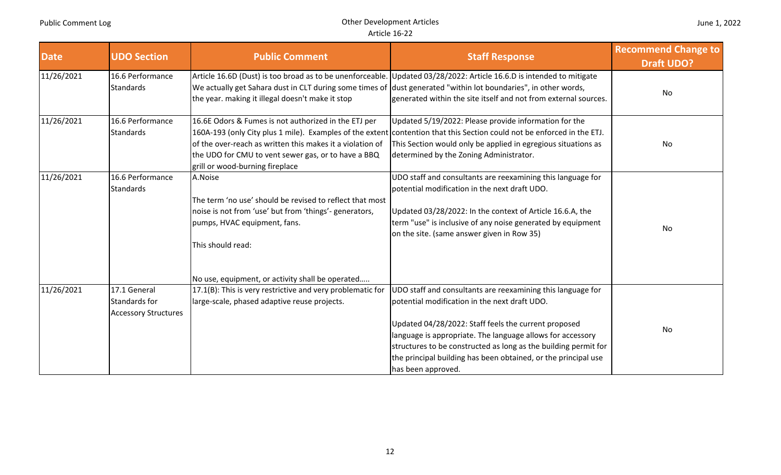| <b>Date</b> | <b>UDO Section</b>                                           | <b>Public Comment</b>                                                                                                                                                                                       | <b>Staff Response</b>                                                                                                                                                                                                                                                                                                                                                                         | <b>Recommend Change to</b><br><b>Draft UDO?</b> |
|-------------|--------------------------------------------------------------|-------------------------------------------------------------------------------------------------------------------------------------------------------------------------------------------------------------|-----------------------------------------------------------------------------------------------------------------------------------------------------------------------------------------------------------------------------------------------------------------------------------------------------------------------------------------------------------------------------------------------|-------------------------------------------------|
| 11/26/2021  | 16.6 Performance<br>Standards                                | the year. making it illegal doesn't make it stop                                                                                                                                                            | Article 16.6D (Dust) is too broad as to be unenforceable. Updated 03/28/2022: Article 16.6.D is intended to mitigate<br>We actually get Sahara dust in CLT during some times of dust generated "within lot boundaries", in other words,<br>generated within the site itself and not from external sources.                                                                                    | No                                              |
| 11/26/2021  | 16.6 Performance<br><b>Standards</b>                         | 16.6E Odors & Fumes is not authorized in the ETJ per<br>of the over-reach as written this makes it a violation of<br>the UDO for CMU to vent sewer gas, or to have a BBQ<br>grill or wood-burning fireplace | Updated 5/19/2022: Please provide information for the<br>160A-193 (only City plus 1 mile). Examples of the extent contention that this Section could not be enforced in the ETJ.<br>This Section would only be applied in egregious situations as<br>determined by the Zoning Administrator.                                                                                                  | No                                              |
| 11/26/2021  | 16.6 Performance<br><b>Standards</b>                         | A.Noise<br>The term 'no use' should be revised to reflect that most<br>noise is not from 'use' but from 'things'- generators,<br>pumps, HVAC equipment, fans.<br>This should read:                          | UDO staff and consultants are reexamining this language for<br>potential modification in the next draft UDO.<br>Updated 03/28/2022: In the context of Article 16.6.A, the<br>term "use" is inclusive of any noise generated by equipment<br>on the site. (same answer given in Row 35)                                                                                                        | No                                              |
| 11/26/2021  | 17.1 General<br>Standards for<br><b>Accessory Structures</b> | No use, equipment, or activity shall be operated<br>17.1(B): This is very restrictive and very problematic for<br>large-scale, phased adaptive reuse projects.                                              | UDO staff and consultants are reexamining this language for<br>potential modification in the next draft UDO.<br>Updated 04/28/2022: Staff feels the current proposed<br>language is appropriate. The language allows for accessory<br>structures to be constructed as long as the building permit for<br>the principal building has been obtained, or the principal use<br>has been approved. | No                                              |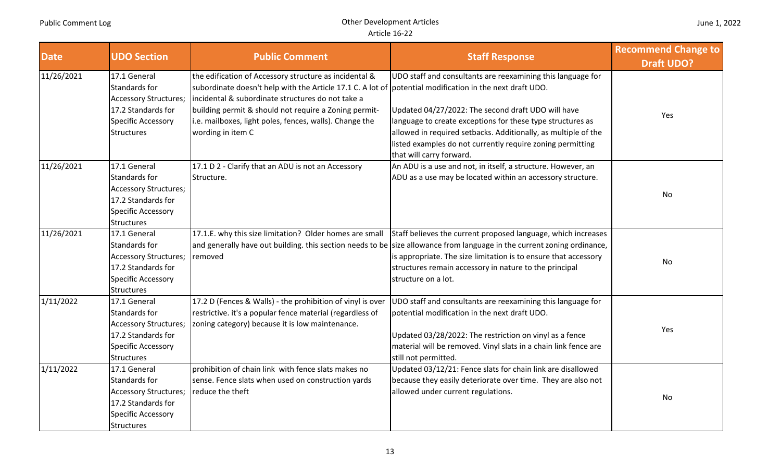| <b>Date</b> | <b>UDO Section</b>                                                                                                                    | <b>Public Comment</b>                                                                                                                                                                                                                                                                                                                                            | <b>Staff Response</b>                                                                                                                                                                                                                                                                                                                        | <b>Recommend Change to</b><br><b>Draft UDO?</b> |
|-------------|---------------------------------------------------------------------------------------------------------------------------------------|------------------------------------------------------------------------------------------------------------------------------------------------------------------------------------------------------------------------------------------------------------------------------------------------------------------------------------------------------------------|----------------------------------------------------------------------------------------------------------------------------------------------------------------------------------------------------------------------------------------------------------------------------------------------------------------------------------------------|-------------------------------------------------|
| 11/26/2021  | 17.1 General<br>Standards for<br><b>Accessory Structures;</b><br>17.2 Standards for<br>Specific Accessory<br><b>Structures</b>        | the edification of Accessory structure as incidental &<br>subordinate doesn't help with the Article 17.1 C. A lot of potential modification in the next draft UDO.<br>incidental & subordinate structures do not take a<br>building permit & should not require a Zoning permit-<br>i.e. mailboxes, light poles, fences, walls). Change the<br>wording in item C | UDO staff and consultants are reexamining this language for<br>Updated 04/27/2022: The second draft UDO will have<br>language to create exceptions for these type structures as<br>allowed in required setbacks. Additionally, as multiple of the<br>listed examples do not currently require zoning permitting<br>that will carry forward.  | Yes                                             |
| 11/26/2021  | 17.1 General<br>Standards for<br><b>Accessory Structures;</b><br>17.2 Standards for<br><b>Specific Accessory</b><br><b>Structures</b> | 17.1 D 2 - Clarify that an ADU is not an Accessory<br>Structure.                                                                                                                                                                                                                                                                                                 | An ADU is a use and not, in itself, a structure. However, an<br>ADU as a use may be located within an accessory structure.                                                                                                                                                                                                                   | <b>No</b>                                       |
| 11/26/2021  | 17.1 General<br>Standards for<br><b>Accessory Structures;</b><br>17.2 Standards for<br>Specific Accessory<br><b>Structures</b>        | 17.1.E. why this size limitation? Older homes are small<br>removed                                                                                                                                                                                                                                                                                               | Staff believes the current proposed language, which increases<br>and generally have out building. this section needs to be size allowance from language in the current zoning ordinance,<br>is appropriate. The size limitation is to ensure that accessory<br>structures remain accessory in nature to the principal<br>structure on a lot. | <b>No</b>                                       |
| 1/11/2022   | 17.1 General<br>Standards for<br><b>Accessory Structures;</b><br>17.2 Standards for<br>Specific Accessory<br><b>Structures</b>        | 17.2 D (Fences & Walls) - the prohibition of vinyl is over<br>restrictive. it's a popular fence material (regardless of<br>zoning category) because it is low maintenance.                                                                                                                                                                                       | UDO staff and consultants are reexamining this language for<br>potential modification in the next draft UDO.<br>Updated 03/28/2022: The restriction on vinyl as a fence<br>material will be removed. Vinyl slats in a chain link fence are<br>still not permitted.                                                                           | Yes                                             |
| 1/11/2022   | 17.1 General<br>Standards for<br><b>Accessory Structures;</b><br>17.2 Standards for<br>Specific Accessory<br>Structures               | prohibition of chain link with fence slats makes no<br>sense. Fence slats when used on construction yards<br>reduce the theft                                                                                                                                                                                                                                    | Updated 03/12/21: Fence slats for chain link are disallowed<br>because they easily deteriorate over time. They are also not<br>allowed under current regulations.                                                                                                                                                                            | <b>No</b>                                       |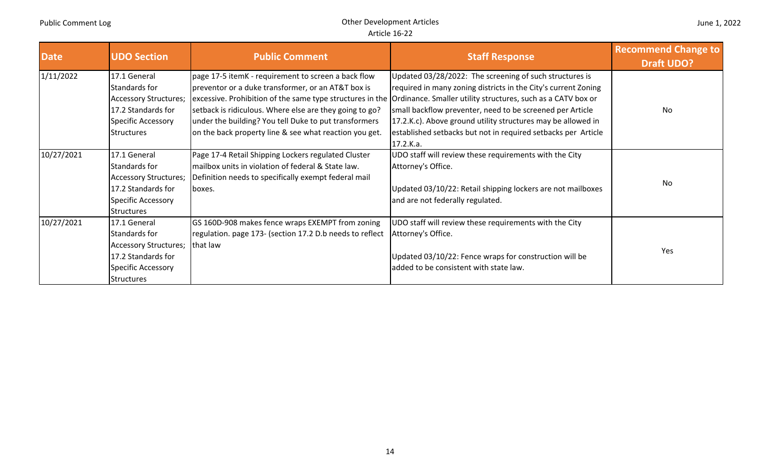| <b>Date</b> | <b>UDO Section</b>    | <b>Public Comment</b>                                    | <b>Staff Response</b>                                                                                                  | <b>Recommend Change to</b><br><b>Draft UDO?</b> |
|-------------|-----------------------|----------------------------------------------------------|------------------------------------------------------------------------------------------------------------------------|-------------------------------------------------|
| 1/11/2022   | 17.1 General          | page 17-5 itemK - requirement to screen a back flow      | Updated 03/28/2022: The screening of such structures is                                                                |                                                 |
|             | Standards for         | preventor or a duke transformer, or an AT&T box is       | required in many zoning districts in the City's current Zoning                                                         |                                                 |
|             | Accessory Structures; |                                                          | excessive. Prohibition of the same type structures in the Ordinance. Smaller utility structures, such as a CATV box or |                                                 |
|             | 17.2 Standards for    | setback is ridiculous. Where else are they going to go?  | small backflow preventer, need to be screened per Article                                                              | No                                              |
|             | Specific Accessory    | under the building? You tell Duke to put transformers    | 17.2.K.c). Above ground utility structures may be allowed in                                                           |                                                 |
|             | <b>Structures</b>     | on the back property line & see what reaction you get.   | established setbacks but not in required setbacks per Article                                                          |                                                 |
|             |                       |                                                          | 17.2.K.a.                                                                                                              |                                                 |
| 10/27/2021  | 17.1 General          | Page 17-4 Retail Shipping Lockers regulated Cluster      | UDO staff will review these requirements with the City                                                                 |                                                 |
|             | Standards for         | mailbox units in violation of federal & State law.       | Attorney's Office.                                                                                                     |                                                 |
|             | Accessory Structures; | Definition needs to specifically exempt federal mail     |                                                                                                                        | No                                              |
|             | 17.2 Standards for    | boxes.                                                   | Updated 03/10/22: Retail shipping lockers are not mailboxes                                                            |                                                 |
|             | Specific Accessory    |                                                          | and are not federally regulated.                                                                                       |                                                 |
|             | <b>Structures</b>     |                                                          |                                                                                                                        |                                                 |
| 10/27/2021  | 17.1 General          | GS 160D-908 makes fence wraps EXEMPT from zoning         | UDO staff will review these requirements with the City                                                                 |                                                 |
|             | Standards for         | regulation. page 173- (section 17.2 D.b needs to reflect | Attorney's Office.                                                                                                     |                                                 |
|             | Accessory Structures; | that law                                                 |                                                                                                                        | Yes                                             |
|             | 17.2 Standards for    |                                                          | Updated 03/10/22: Fence wraps for construction will be                                                                 |                                                 |
|             | Specific Accessory    |                                                          | added to be consistent with state law.                                                                                 |                                                 |
|             | <b>Structures</b>     |                                                          |                                                                                                                        |                                                 |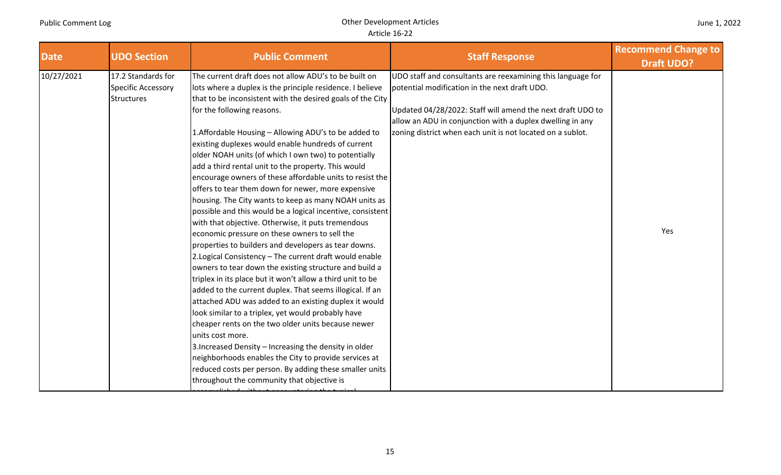| <b>Date</b> | <b>UDO Section</b>                                            | <b>Public Comment</b>                                                                                                                                                                                                                                                                                                                                                                                                                                                                                                                                                                                                                                                                                                                                                                                                                                                                                                                                                                                                                                                                                                                                                                                                                                                                                                                                                                                                                                                                                                    | <b>Staff Response</b>                                                                                                                                                                                                                                                                                 | <b>Recommend Change to</b><br><b>Draft UDO?</b> |
|-------------|---------------------------------------------------------------|--------------------------------------------------------------------------------------------------------------------------------------------------------------------------------------------------------------------------------------------------------------------------------------------------------------------------------------------------------------------------------------------------------------------------------------------------------------------------------------------------------------------------------------------------------------------------------------------------------------------------------------------------------------------------------------------------------------------------------------------------------------------------------------------------------------------------------------------------------------------------------------------------------------------------------------------------------------------------------------------------------------------------------------------------------------------------------------------------------------------------------------------------------------------------------------------------------------------------------------------------------------------------------------------------------------------------------------------------------------------------------------------------------------------------------------------------------------------------------------------------------------------------|-------------------------------------------------------------------------------------------------------------------------------------------------------------------------------------------------------------------------------------------------------------------------------------------------------|-------------------------------------------------|
| 10/27/2021  | 17.2 Standards for<br>Specific Accessory<br><b>Structures</b> | The current draft does not allow ADU's to be built on<br>lots where a duplex is the principle residence. I believe<br>that to be inconsistent with the desired goals of the City<br>for the following reasons.<br>1. Affordable Housing - Allowing ADU's to be added to<br>existing duplexes would enable hundreds of current<br>older NOAH units (of which I own two) to potentially<br>add a third rental unit to the property. This would<br>encourage owners of these affordable units to resist the<br>offers to tear them down for newer, more expensive<br>housing. The City wants to keep as many NOAH units as<br>possible and this would be a logical incentive, consistent<br>with that objective. Otherwise, it puts tremendous<br>economic pressure on these owners to sell the<br>properties to builders and developers as tear downs.<br>2. Logical Consistency - The current draft would enable<br>owners to tear down the existing structure and build a<br>triplex in its place but it won't allow a third unit to be<br>added to the current duplex. That seems illogical. If an<br>attached ADU was added to an existing duplex it would<br>look similar to a triplex, yet would probably have<br>cheaper rents on the two older units because newer<br>units cost more.<br>3. Increased Density - Increasing the density in older<br>neighborhoods enables the City to provide services at<br>reduced costs per person. By adding these smaller units<br>throughout the community that objective is | UDO staff and consultants are reexamining this language for<br>potential modification in the next draft UDO.<br>Updated 04/28/2022: Staff will amend the next draft UDO to<br>allow an ADU in conjunction with a duplex dwelling in any<br>zoning district when each unit is not located on a sublot. | Yes                                             |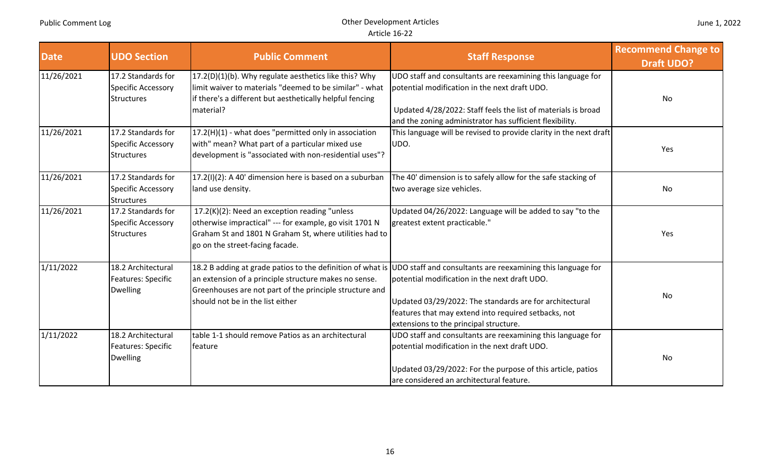| <b>Date</b> | <b>UDO Section</b>                                            | <b>Public Comment</b>                                                                                                                                                                                 | <b>Staff Response</b>                                                                                                                                                                                                                                                                                                                | <b>Recommend Change to</b><br><b>Draft UDO?</b> |
|-------------|---------------------------------------------------------------|-------------------------------------------------------------------------------------------------------------------------------------------------------------------------------------------------------|--------------------------------------------------------------------------------------------------------------------------------------------------------------------------------------------------------------------------------------------------------------------------------------------------------------------------------------|-------------------------------------------------|
| 11/26/2021  | 17.2 Standards for<br>Specific Accessory<br>Structures        | 17.2(D)(1)(b). Why regulate aesthetics like this? Why<br>limit waiver to materials "deemed to be similar" - what<br>if there's a different but aesthetically helpful fencing<br>material?             | UDO staff and consultants are reexamining this language for<br>potential modification in the next draft UDO.<br>Updated 4/28/2022: Staff feels the list of materials is broad<br>and the zoning administrator has sufficient flexibility.                                                                                            | No                                              |
| 11/26/2021  | 17.2 Standards for<br>Specific Accessory<br><b>Structures</b> | 17.2(H)(1) - what does "permitted only in association<br>with" mean? What part of a particular mixed use<br>development is "associated with non-residential uses"?                                    | This language will be revised to provide clarity in the next draft<br>UDO.                                                                                                                                                                                                                                                           | Yes                                             |
| 11/26/2021  | 17.2 Standards for<br><b>Specific Accessory</b><br>Structures | 17.2(I)(2): A 40' dimension here is based on a suburban<br>land use density.                                                                                                                          | The 40' dimension is to safely allow for the safe stacking of<br>two average size vehicles.                                                                                                                                                                                                                                          | <b>No</b>                                       |
| 11/26/2021  | 17.2 Standards for<br>Specific Accessory<br>Structures        | 17.2(K)(2): Need an exception reading "unless<br>otherwise impractical" --- for example, go visit 1701 N<br>Graham St and 1801 N Graham St, where utilities had to<br>go on the street-facing facade. | Updated 04/26/2022: Language will be added to say "to the<br>greatest extent practicable."                                                                                                                                                                                                                                           | Yes                                             |
| 1/11/2022   | 18.2 Architectural<br>Features: Specific<br><b>Dwelling</b>   | an extension of a principle structure makes no sense.<br>Greenhouses are not part of the principle structure and<br>should not be in the list either                                                  | 18.2 B adding at grade patios to the definition of what is UDO staff and consultants are reexamining this language for<br>potential modification in the next draft UDO.<br>Updated 03/29/2022: The standards are for architectural<br>features that may extend into required setbacks, not<br>extensions to the principal structure. | No                                              |
| 1/11/2022   | 18.2 Architectural<br>Features: Specific<br><b>Dwelling</b>   | table 1-1 should remove Patios as an architectural<br>feature                                                                                                                                         | UDO staff and consultants are reexamining this language for<br>potential modification in the next draft UDO.<br>Updated 03/29/2022: For the purpose of this article, patios<br>are considered an architectural feature.                                                                                                              | No                                              |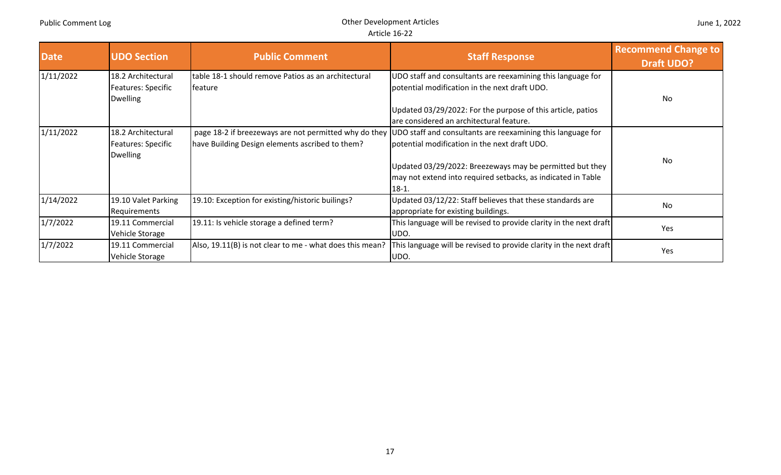| <b>Date</b> | <b>UDO Section</b>                                                 | <b>Public Comment</b>                                                                                    | <b>Staff Response</b>                                                                                                                                                                                                                    | <b>Recommend Change to</b><br><b>Draft UDO?</b> |
|-------------|--------------------------------------------------------------------|----------------------------------------------------------------------------------------------------------|------------------------------------------------------------------------------------------------------------------------------------------------------------------------------------------------------------------------------------------|-------------------------------------------------|
| 1/11/2022   | 18.2 Architectural<br>Features: Specific<br><b>Dwelling</b>        | table 18-1 should remove Patios as an architectural<br>feature                                           | UDO staff and consultants are reexamining this language for<br>potential modification in the next draft UDO.                                                                                                                             | No                                              |
|             |                                                                    |                                                                                                          | Updated 03/29/2022: For the purpose of this article, patios<br>are considered an architectural feature.                                                                                                                                  |                                                 |
| 1/11/2022   | 18.2 Architectural<br><b>Features: Specific</b><br><b>Dwelling</b> | page 18-2 if breezeways are not permitted why do they<br>have Building Design elements ascribed to them? | UDO staff and consultants are reexamining this language for<br>potential modification in the next draft UDO.<br>Updated 03/29/2022: Breezeways may be permitted but they<br>may not extend into required setbacks, as indicated in Table | No                                              |
| 1/14/2022   | 19.10 Valet Parking<br>Requirements                                | 19.10: Exception for existing/historic builings?                                                         | $18-1.$<br>Updated 03/12/22: Staff believes that these standards are<br>appropriate for existing buildings.                                                                                                                              | No                                              |
| 1/7/2022    | 19.11 Commercial<br>Vehicle Storage                                | 19.11: Is vehicle storage a defined term?                                                                | This language will be revised to provide clarity in the next draft<br>UDO.                                                                                                                                                               | Yes                                             |
| 1/7/2022    | 19.11 Commercial<br>Vehicle Storage                                | Also, 19.11(B) is not clear to me - what does this mean?                                                 | This language will be revised to provide clarity in the next draft<br>UDO.                                                                                                                                                               | Yes                                             |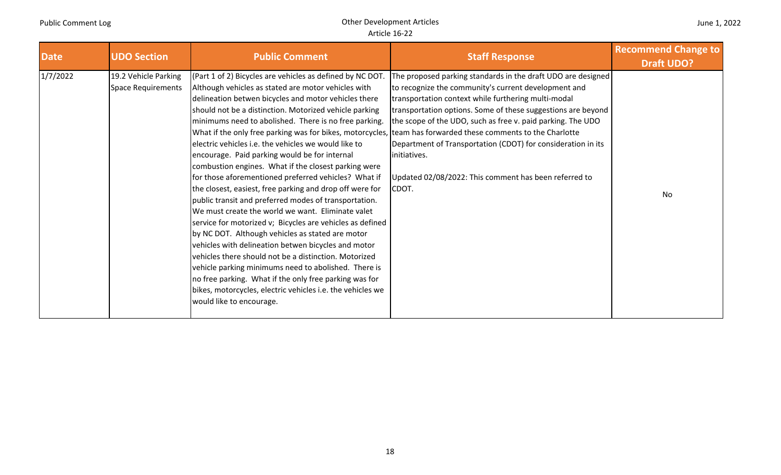| <b>Date</b> | <b>UDO Section</b>                                | <b>Public Comment</b>                                                                                                                                                                                                                                                                                                                                                                                                                                                                                                                                                                                                                                                                                                                                                                                                                                                                                                                                                                                                                                                                                                                                                                                                                                       | <b>Staff Response</b>                                                                                                                                                                                                                                                                                                                                                                                                                                        | <b>Recommend Change to</b><br><b>Draft UDO?</b> |
|-------------|---------------------------------------------------|-------------------------------------------------------------------------------------------------------------------------------------------------------------------------------------------------------------------------------------------------------------------------------------------------------------------------------------------------------------------------------------------------------------------------------------------------------------------------------------------------------------------------------------------------------------------------------------------------------------------------------------------------------------------------------------------------------------------------------------------------------------------------------------------------------------------------------------------------------------------------------------------------------------------------------------------------------------------------------------------------------------------------------------------------------------------------------------------------------------------------------------------------------------------------------------------------------------------------------------------------------------|--------------------------------------------------------------------------------------------------------------------------------------------------------------------------------------------------------------------------------------------------------------------------------------------------------------------------------------------------------------------------------------------------------------------------------------------------------------|-------------------------------------------------|
| 1/7/2022    | 19.2 Vehicle Parking<br><b>Space Requirements</b> | (Part 1 of 2) Bicycles are vehicles as defined by NC DOT.<br>Although vehicles as stated are motor vehicles with<br>delineation betwen bicycles and motor vehicles there<br>should not be a distinction. Motorized vehicle parking<br>minimums need to abolished. There is no free parking.<br>What if the only free parking was for bikes, motorcycles, team has forwarded these comments to the Charlotte<br>electric vehicles i.e. the vehicles we would like to<br>encourage. Paid parking would be for internal<br>combustion engines. What if the closest parking were<br>for those aforementioned preferred vehicles? What if<br>the closest, easiest, free parking and drop off were for<br>public transit and preferred modes of transportation.<br>We must create the world we want. Eliminate valet<br>service for motorized v; Bicycles are vehicles as defined<br>by NC DOT. Although vehicles as stated are motor<br>vehicles with delineation betwen bicycles and motor<br>vehicles there should not be a distinction. Motorized<br>vehicle parking minimums need to abolished. There is<br>no free parking. What if the only free parking was for<br>bikes, motorcycles, electric vehicles i.e. the vehicles we<br>would like to encourage. | The proposed parking standards in the draft UDO are designed<br>to recognize the community's current development and<br>transportation context while furthering multi-modal<br>transportation options. Some of these suggestions are beyond<br>the scope of the UDO, such as free v. paid parking. The UDO<br>Department of Transportation (CDOT) for consideration in its<br>initiatives.<br>Updated 02/08/2022: This comment has been referred to<br>CDOT. | No                                              |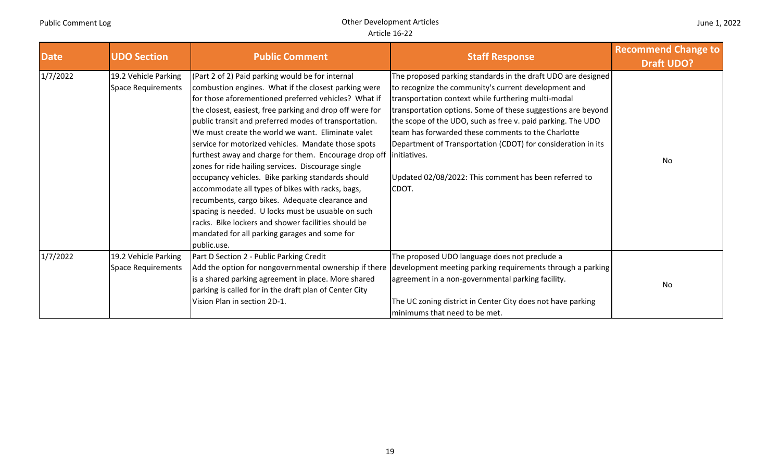| June 1, 2022 |  |  |  |
|--------------|--|--|--|
|--------------|--|--|--|

| <b>Date</b> | <b>UDO Section</b>                                | <b>Public Comment</b>                                                                                                                                                                                                                                                                                                                                                                                                                                                                                                                                                                                                                                                                                                                                                                                                                                     | <b>Staff Response</b>                                                                                                                                                                                                                                                                                                                                                                                                                                                                                              | <b>Recommend Change to</b><br><b>Draft UDO?</b> |
|-------------|---------------------------------------------------|-----------------------------------------------------------------------------------------------------------------------------------------------------------------------------------------------------------------------------------------------------------------------------------------------------------------------------------------------------------------------------------------------------------------------------------------------------------------------------------------------------------------------------------------------------------------------------------------------------------------------------------------------------------------------------------------------------------------------------------------------------------------------------------------------------------------------------------------------------------|--------------------------------------------------------------------------------------------------------------------------------------------------------------------------------------------------------------------------------------------------------------------------------------------------------------------------------------------------------------------------------------------------------------------------------------------------------------------------------------------------------------------|-------------------------------------------------|
| 1/7/2022    | 19.2 Vehicle Parking<br><b>Space Requirements</b> | (Part 2 of 2) Paid parking would be for internal<br>combustion engines. What if the closest parking were<br>for those aforementioned preferred vehicles? What if<br>the closest, easiest, free parking and drop off were for<br>public transit and preferred modes of transportation.<br>We must create the world we want. Eliminate valet<br>service for motorized vehicles. Mandate those spots<br>furthest away and charge for them. Encourage drop off<br>zones for ride hailing services. Discourage single<br>occupancy vehicles. Bike parking standards should<br>accommodate all types of bikes with racks, bags,<br>recumbents, cargo bikes. Adequate clearance and<br>spacing is needed. U locks must be usuable on such<br>racks. Bike lockers and shower facilities should be<br>mandated for all parking garages and some for<br>public.use. | The proposed parking standards in the draft UDO are designed<br>to recognize the community's current development and<br>transportation context while furthering multi-modal<br>transportation options. Some of these suggestions are beyond<br>the scope of the UDO, such as free v. paid parking. The UDO<br>team has forwarded these comments to the Charlotte<br>Department of Transportation (CDOT) for consideration in its<br>initiatives.<br>Updated 02/08/2022: This comment has been referred to<br>CDOT. | No                                              |
| 1/7/2022    | 19.2 Vehicle Parking<br><b>Space Requirements</b> | Part D Section 2 - Public Parking Credit<br>Add the option for nongovernmental ownership if there<br>is a shared parking agreement in place. More shared<br>parking is called for in the draft plan of Center City<br>Vision Plan in section 2D-1.                                                                                                                                                                                                                                                                                                                                                                                                                                                                                                                                                                                                        | The proposed UDO language does not preclude a<br>development meeting parking requirements through a parking<br>agreement in a non-governmental parking facility.<br>The UC zoning district in Center City does not have parking<br>minimums that need to be met.                                                                                                                                                                                                                                                   | No                                              |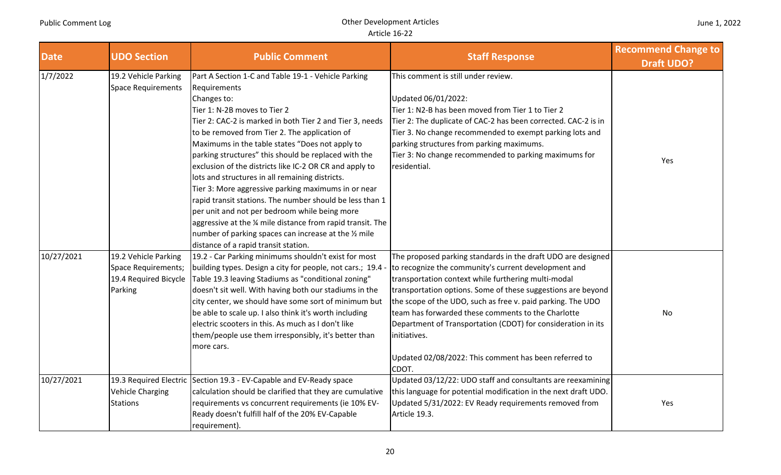| <b>Date</b> | <b>UDO Section</b>                                                              | <b>Public Comment</b>                                                                                                                                                                                                                                                                                                                                                                                                                                                                                                                                                                                                                                                                                                                                                                        | <b>Staff Response</b>                                                                                                                                                                                                                                                                                                                                                                                                                                                                                              | <b>Recommend Change to</b><br><b>Draft UDO?</b> |
|-------------|---------------------------------------------------------------------------------|----------------------------------------------------------------------------------------------------------------------------------------------------------------------------------------------------------------------------------------------------------------------------------------------------------------------------------------------------------------------------------------------------------------------------------------------------------------------------------------------------------------------------------------------------------------------------------------------------------------------------------------------------------------------------------------------------------------------------------------------------------------------------------------------|--------------------------------------------------------------------------------------------------------------------------------------------------------------------------------------------------------------------------------------------------------------------------------------------------------------------------------------------------------------------------------------------------------------------------------------------------------------------------------------------------------------------|-------------------------------------------------|
| 1/7/2022    | 19.2 Vehicle Parking<br><b>Space Requirements</b>                               | Part A Section 1-C and Table 19-1 - Vehicle Parking<br>Requirements<br>Changes to:<br>Tier 1: N-2B moves to Tier 2<br>Tier 2: CAC-2 is marked in both Tier 2 and Tier 3, needs<br>to be removed from Tier 2. The application of<br>Maximums in the table states "Does not apply to<br>parking structures" this should be replaced with the<br>exclusion of the districts like IC-2 OR CR and apply to<br>lots and structures in all remaining districts.<br>Tier 3: More aggressive parking maximums in or near<br>rapid transit stations. The number should be less than 1<br>per unit and not per bedroom while being more<br>aggressive at the 1/4 mile distance from rapid transit. The<br>number of parking spaces can increase at the 1/2 mile<br>distance of a rapid transit station. | This comment is still under review.<br>Updated 06/01/2022:<br>Tier 1: N2-B has been moved from Tier 1 to Tier 2<br>Tier 2: The duplicate of CAC-2 has been corrected. CAC-2 is in<br>Tier 3. No change recommended to exempt parking lots and<br>parking structures from parking maximums.<br>Tier 3: No change recommended to parking maximums for<br>residential.                                                                                                                                                | Yes                                             |
| 10/27/2021  | 19.2 Vehicle Parking<br>Space Requirements;<br>19.4 Required Bicycle<br>Parking | 19.2 - Car Parking minimums shouldn't exist for most<br>building types. Design a city for people, not cars.; 19.4<br>Table 19.3 leaving Stadiums as "conditional zoning"<br>doesn't sit well. With having both our stadiums in the<br>city center, we should have some sort of minimum but<br>be able to scale up. I also think it's worth including<br>electric scooters in this. As much as I don't like<br>them/people use them irresponsibly, it's better than<br>more cars.                                                                                                                                                                                                                                                                                                             | The proposed parking standards in the draft UDO are designed<br>to recognize the community's current development and<br>transportation context while furthering multi-modal<br>transportation options. Some of these suggestions are beyond<br>the scope of the UDO, such as free v. paid parking. The UDO<br>team has forwarded these comments to the Charlotte<br>Department of Transportation (CDOT) for consideration in its<br>initiatives.<br>Updated 02/08/2022: This comment has been referred to<br>CDOT. | No                                              |
| 10/27/2021  | <b>Vehicle Charging</b><br><b>Stations</b>                                      | 19.3 Required Electric Section 19.3 - EV-Capable and EV-Ready space<br>calculation should be clarified that they are cumulative<br>requirements vs concurrent requirements (ie 10% EV-<br>Ready doesn't fulfill half of the 20% EV-Capable<br>requirement).                                                                                                                                                                                                                                                                                                                                                                                                                                                                                                                                  | Updated 03/12/22: UDO staff and consultants are reexamining<br>this language for potential modification in the next draft UDO.<br>Updated 5/31/2022: EV Ready requirements removed from<br>Article 19.3.                                                                                                                                                                                                                                                                                                           | Yes                                             |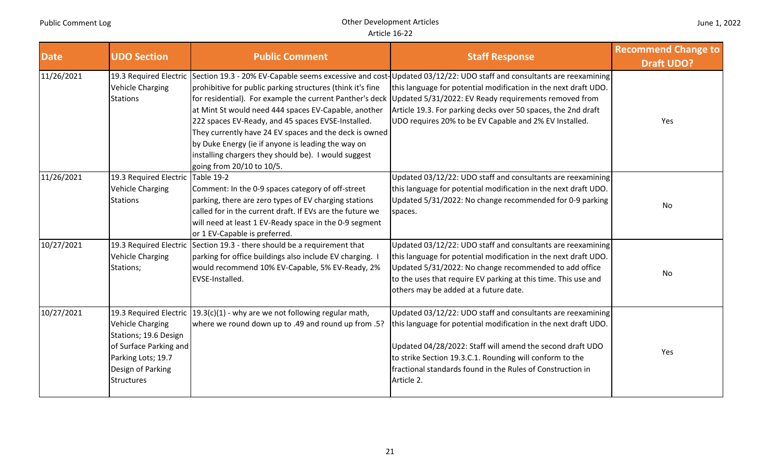| <b>Date</b> | <b>UDO Section</b>                                                                                                                         | <b>Public Comment</b>                                                                                                                                                                                                                                                                                                                                                                                                                     | <b>Staff Response</b>                                                                                                                                                                                                                                                                                                                                                                            | <b>Recommend Change to</b><br><b>Draft UDO?</b> |
|-------------|--------------------------------------------------------------------------------------------------------------------------------------------|-------------------------------------------------------------------------------------------------------------------------------------------------------------------------------------------------------------------------------------------------------------------------------------------------------------------------------------------------------------------------------------------------------------------------------------------|--------------------------------------------------------------------------------------------------------------------------------------------------------------------------------------------------------------------------------------------------------------------------------------------------------------------------------------------------------------------------------------------------|-------------------------------------------------|
| 11/26/2021  | <b>Vehicle Charging</b><br><b>Stations</b>                                                                                                 | prohibitive for public parking structures (think it's fine<br>for residential). For example the current Panther's deck<br>at Mint St would need 444 spaces EV-Capable, another<br>222 spaces EV-Ready, and 45 spaces EVSE-Installed.<br>They currently have 24 EV spaces and the deck is owned<br>by Duke Energy (ie if anyone is leading the way on<br>installing chargers they should be). I would suggest<br>going from 20/10 to 10/5. | 19.3 Required Electric Section 19.3 - 20% EV-Capable seems excessive and cost-Updated 03/12/22: UDO staff and consultants are reexamining<br>this language for potential modification in the next draft UDO.<br>Updated 5/31/2022: EV Ready requirements removed from<br>Article 19.3. For parking decks over 50 spaces, the 2nd draft<br>UDO requires 20% to be EV Capable and 2% EV Installed. | Yes                                             |
| 11/26/2021  | 19.3 Required Electric Table 19-2<br><b>Vehicle Charging</b><br><b>Stations</b>                                                            | Comment: In the 0-9 spaces category of off-street<br>parking, there are zero types of EV charging stations<br>called for in the current draft. If EVs are the future we<br>will need at least 1 EV-Ready space in the 0-9 segment<br>or 1 EV-Capable is preferred.                                                                                                                                                                        | Updated 03/12/22: UDO staff and consultants are reexamining<br>this language for potential modification in the next draft UDO.<br>Updated 5/31/2022: No change recommended for 0-9 parking<br>spaces.                                                                                                                                                                                            | No                                              |
| 10/27/2021  | <b>Vehicle Charging</b><br>Stations;                                                                                                       | 19.3 Required Electric Section 19.3 - there should be a requirement that<br>parking for office buildings also include EV charging.<br>would recommend 10% EV-Capable, 5% EV-Ready, 2%<br>EVSE-Installed.                                                                                                                                                                                                                                  | Updated 03/12/22: UDO staff and consultants are reexamining<br>this language for potential modification in the next draft UDO.<br>Updated 5/31/2022: No change recommended to add office<br>to the uses that require EV parking at this time. This use and<br>others may be added at a future date.                                                                                              | No                                              |
| 10/27/2021  | <b>Vehicle Charging</b><br>Stations; 19.6 Design<br>of Surface Parking and<br>Parking Lots; 19.7<br>Design of Parking<br><b>Structures</b> | 19.3 Required Electric $(19.3(c)(1)$ - why are we not following regular math,<br>where we round down up to .49 and round up from .5?                                                                                                                                                                                                                                                                                                      | Updated 03/12/22: UDO staff and consultants are reexamining<br>this language for potential modification in the next draft UDO.<br>Updated 04/28/2022: Staff will amend the second draft UDO<br>to strike Section 19.3.C.1. Rounding will conform to the<br>fractional standards found in the Rules of Construction in<br>Article 2.                                                              | Yes                                             |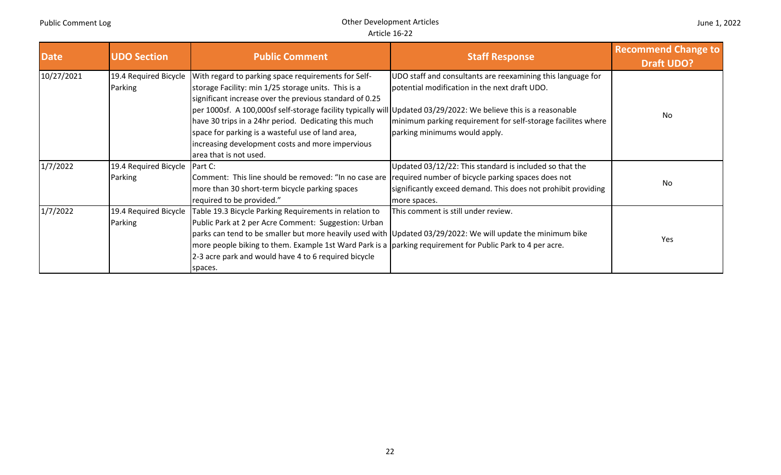| <b>Date</b> | <b>UDO Section</b>               | <b>Public Comment</b>                                                                                                                                                                                                                                                                                                                                                                                                                                                                | <b>Staff Response</b>                                                                                                                                                                                         | <b>Recommend Change to</b><br><b>Draft UDO?</b> |
|-------------|----------------------------------|--------------------------------------------------------------------------------------------------------------------------------------------------------------------------------------------------------------------------------------------------------------------------------------------------------------------------------------------------------------------------------------------------------------------------------------------------------------------------------------|---------------------------------------------------------------------------------------------------------------------------------------------------------------------------------------------------------------|-------------------------------------------------|
| 10/27/2021  | 19.4 Required Bicycle<br>Parking | With regard to parking space requirements for Self-<br>storage Facility: min 1/25 storage units. This is a<br>significant increase over the previous standard of 0.25<br>per 1000sf. A 100,000sf self-storage facility typically will Updated 03/29/2022: We believe this is a reasonable<br>have 30 trips in a 24hr period. Dedicating this much<br>space for parking is a wasteful use of land area,<br>increasing development costs and more impervious<br>area that is not used. | UDO staff and consultants are reexamining this language for<br>potential modification in the next draft UDO.<br>minimum parking requirement for self-storage facilites where<br>parking minimums would apply. | No                                              |
| 1/7/2022    | 19.4 Required Bicycle<br>Parking | Part C:<br>Comment: This line should be removed: "In no case are required number of bicycle parking spaces does not<br>more than 30 short-term bicycle parking spaces<br>required to be provided."                                                                                                                                                                                                                                                                                   | Updated 03/12/22: This standard is included so that the<br>significantly exceed demand. This does not prohibit providing<br>more spaces.                                                                      | No                                              |
| 1/7/2022    | 19.4 Required Bicycle<br>Parking | Table 19.3 Bicycle Parking Requirements in relation to<br>Public Park at 2 per Acre Comment: Suggestion: Urban<br>more people biking to them. Example 1st Ward Park is a  parking requirement for Public Park to 4 per acre.<br>2-3 acre park and would have 4 to 6 required bicycle<br>spaces.                                                                                                                                                                                      | This comment is still under review.<br>parks can tend to be smaller but more heavily used with Updated 03/29/2022: We will update the minimum bike                                                            | Yes                                             |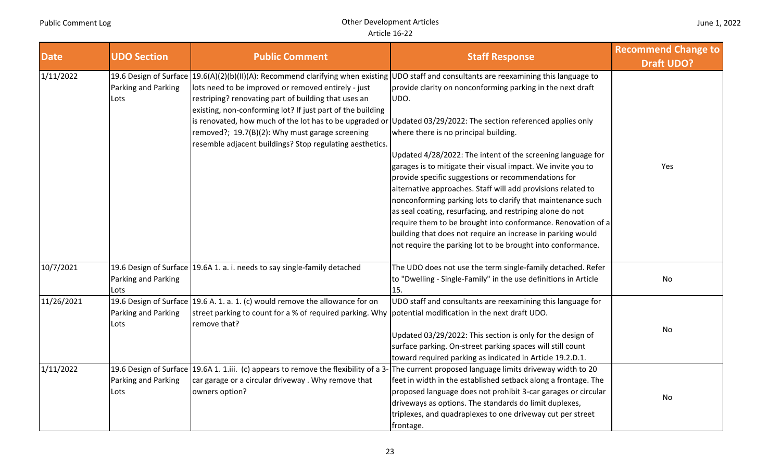| <b>Date</b> | <b>UDO Section</b>          | <b>Public Comment</b>                                                                                                                                                                                                                                                                    | <b>Staff Response</b>                                                                                                                                                                                                                                                                                                                                                                                                                                                                                                                                                                                                                                                                                                                                                                                                                                                                                                                                            | <b>Recommend Change to</b><br><b>Draft UDO?</b> |
|-------------|-----------------------------|------------------------------------------------------------------------------------------------------------------------------------------------------------------------------------------------------------------------------------------------------------------------------------------|------------------------------------------------------------------------------------------------------------------------------------------------------------------------------------------------------------------------------------------------------------------------------------------------------------------------------------------------------------------------------------------------------------------------------------------------------------------------------------------------------------------------------------------------------------------------------------------------------------------------------------------------------------------------------------------------------------------------------------------------------------------------------------------------------------------------------------------------------------------------------------------------------------------------------------------------------------------|-------------------------------------------------|
| 1/11/2022   | Parking and Parking<br>Lots | lots need to be improved or removed entirely - just<br>restriping? renovating part of building that uses an<br>existing, non-conforming lot? If just part of the building<br>removed?; 19.7(B)(2): Why must garage screening<br>resemble adjacent buildings? Stop regulating aesthetics. | 19.6 Design of Surface   19.6(A)(2)(b)(II)(A): Recommend clarifying when existing   UDO staff and consultants are reexamining this language to<br>provide clarity on nonconforming parking in the next draft<br>UDO.<br>is renovated, how much of the lot has to be upgraded or Updated 03/29/2022: The section referenced applies only<br>where there is no principal building.<br>Updated 4/28/2022: The intent of the screening language for<br>garages is to mitigate their visual impact. We invite you to<br>provide specific suggestions or recommendations for<br>alternative approaches. Staff will add provisions related to<br>nonconforming parking lots to clarify that maintenance such<br>as seal coating, resurfacing, and restriping alone do not<br>require them to be brought into conformance. Renovation of a<br>building that does not require an increase in parking would<br>not require the parking lot to be brought into conformance. | Yes                                             |
| 10/7/2021   | Parking and Parking<br>Lots | 19.6 Design of Surface 19.6A 1. a. i. needs to say single-family detached                                                                                                                                                                                                                | The UDO does not use the term single-family detached. Refer<br>to "Dwelling - Single-Family" in the use definitions in Article<br>15.                                                                                                                                                                                                                                                                                                                                                                                                                                                                                                                                                                                                                                                                                                                                                                                                                            | No                                              |
| 11/26/2021  | Parking and Parking<br>Lots | 19.6 Design of Surface 19.6 A. 1. a. 1. (c) would remove the allowance for on<br>street parking to count for a % of required parking. Why<br>remove that?                                                                                                                                | UDO staff and consultants are reexamining this language for<br>potential modification in the next draft UDO.<br>Updated 03/29/2022: This section is only for the design of<br>surface parking. On-street parking spaces will still count<br>toward required parking as indicated in Article 19.2.D.1.                                                                                                                                                                                                                                                                                                                                                                                                                                                                                                                                                                                                                                                            | No                                              |
| 1/11/2022   | Parking and Parking<br>Lots | 19.6 Design of Surface 19.6A 1. 1.iii. (c) appears to remove the flexibility of a 3-<br>car garage or a circular driveway. Why remove that<br>owners option?                                                                                                                             | The current proposed language limits driveway width to 20<br>feet in width in the established setback along a frontage. The<br>proposed language does not prohibit 3-car garages or circular<br>driveways as options. The standards do limit duplexes,<br>triplexes, and quadraplexes to one driveway cut per street<br>frontage.                                                                                                                                                                                                                                                                                                                                                                                                                                                                                                                                                                                                                                | No                                              |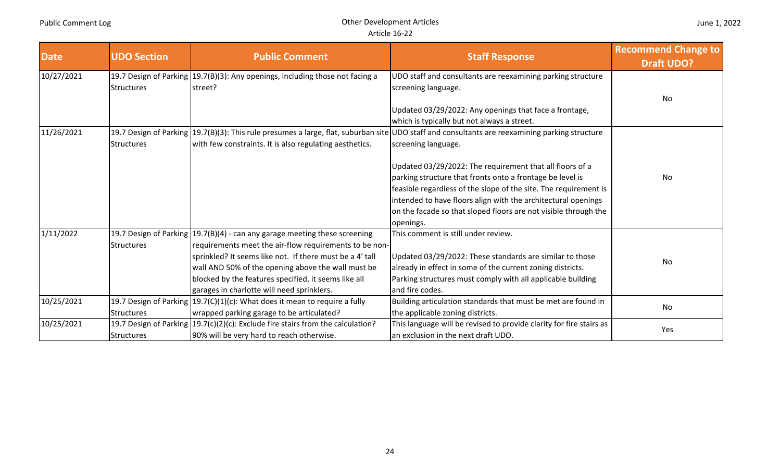| <b>Date</b> | <b>UDO Section</b> | <b>Public Comment</b>                                                                                                                                                                                                                                                                                                                                           | <b>Staff Response</b>                                                                                                                                                                                                                                                                                                                                                                                                                                                                                                | <b>Recommend Change to</b><br><b>Draft UDO?</b> |
|-------------|--------------------|-----------------------------------------------------------------------------------------------------------------------------------------------------------------------------------------------------------------------------------------------------------------------------------------------------------------------------------------------------------------|----------------------------------------------------------------------------------------------------------------------------------------------------------------------------------------------------------------------------------------------------------------------------------------------------------------------------------------------------------------------------------------------------------------------------------------------------------------------------------------------------------------------|-------------------------------------------------|
| 10/27/2021  | <b>Structures</b>  | 19.7 Design of Parking   19.7(B)(3): Any openings, including those not facing a<br>street?                                                                                                                                                                                                                                                                      | UDO staff and consultants are reexamining parking structure<br>screening language.<br>Updated 03/29/2022: Any openings that face a frontage,<br>which is typically but not always a street.                                                                                                                                                                                                                                                                                                                          | No                                              |
| 11/26/2021  | <b>Structures</b>  | with few constraints. It is also regulating aesthetics.                                                                                                                                                                                                                                                                                                         | 19.7 Design of Parking  19.7(B)(3): This rule presumes a large, flat, suburban site UDO staff and consultants are reexamining parking structure<br>screening language.<br>Updated 03/29/2022: The requirement that all floors of a<br>parking structure that fronts onto a frontage be level is<br>feasible regardless of the slope of the site. The requirement is<br>intended to have floors align with the architectural openings<br>on the facade so that sloped floors are not visible through the<br>openings. | No                                              |
| 1/11/2022   | <b>Structures</b>  | 19.7 Design of Parking   19.7(B) (4) - can any garage meeting these screening<br>requirements meet the air-flow requirements to be non-<br>sprinkled? It seems like not. If there must be a 4' tall<br>wall AND 50% of the opening above the wall must be<br>blocked by the features specified, it seems like all<br>garages in charlotte will need sprinklers. | This comment is still under review.<br>Updated 03/29/2022: These standards are similar to those<br>already in effect in some of the current zoning districts.<br>Parking structures must comply with all applicable building<br>and fire codes.                                                                                                                                                                                                                                                                      | No                                              |
| 10/25/2021  | <b>Structures</b>  | 19.7 Design of Parking $(19.7(C)(1)(c)$ : What does it mean to require a fully<br>wrapped parking garage to be articulated?                                                                                                                                                                                                                                     | Building articulation standards that must be met are found in<br>the applicable zoning districts.                                                                                                                                                                                                                                                                                                                                                                                                                    | No                                              |
| 10/25/2021  | <b>Structures</b>  | 19.7 Design of Parking   19.7(c)(2)(c): Exclude fire stairs from the calculation?<br>90% will be very hard to reach otherwise.                                                                                                                                                                                                                                  | This language will be revised to provide clarity for fire stairs as<br>an exclusion in the next draft UDO.                                                                                                                                                                                                                                                                                                                                                                                                           | Yes                                             |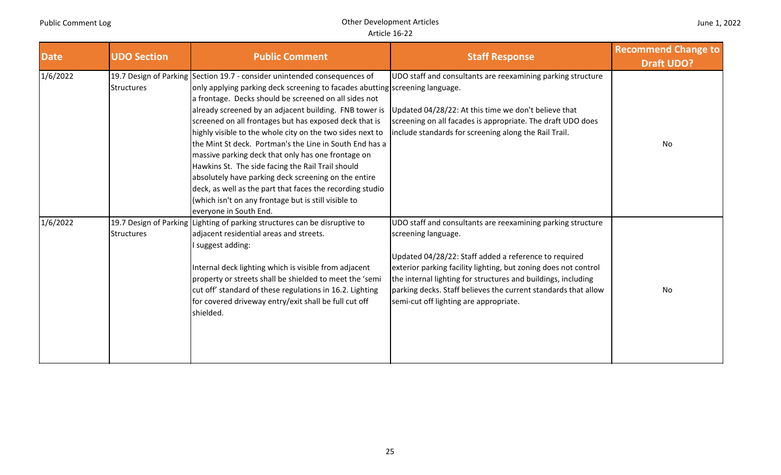| <b>Date</b> | <b>UDO Section</b> | <b>Public Comment</b>                                                                                                                                                                                                                                                                                                                                                                                                                                                                                                                                                                                                                                                                                                                                                            | <b>Staff Response</b>                                                                                                                                                                                                                                                                                                                                                                       | <b>Recommend Change to</b><br><b>Draft UDO?</b> |
|-------------|--------------------|----------------------------------------------------------------------------------------------------------------------------------------------------------------------------------------------------------------------------------------------------------------------------------------------------------------------------------------------------------------------------------------------------------------------------------------------------------------------------------------------------------------------------------------------------------------------------------------------------------------------------------------------------------------------------------------------------------------------------------------------------------------------------------|---------------------------------------------------------------------------------------------------------------------------------------------------------------------------------------------------------------------------------------------------------------------------------------------------------------------------------------------------------------------------------------------|-------------------------------------------------|
| 1/6/2022    | <b>Structures</b>  | 19.7 Design of Parking Section 19.7 - consider unintended consequences of<br>only applying parking deck screening to facades abutting screening language.<br>a frontage. Decks should be screened on all sides not<br>already screened by an adjacent building. FNB tower is<br>screened on all frontages but has exposed deck that is<br>highly visible to the whole city on the two sides next to<br>the Mint St deck. Portman's the Line in South End has a<br>massive parking deck that only has one frontage on<br>Hawkins St. The side facing the Rail Trail should<br>absolutely have parking deck screening on the entire<br>deck, as well as the part that faces the recording studio<br>(which isn't on any frontage but is still visible to<br>everyone in South End. | UDO staff and consultants are reexamining parking structure<br>Updated 04/28/22: At this time we don't believe that<br>screening on all facades is appropriate. The draft UDO does<br>include standards for screening along the Rail Trail.                                                                                                                                                 | No                                              |
| 1/6/2022    | <b>Structures</b>  | 19.7 Design of Parking Lighting of parking structures can be disruptive to<br>adjacent residential areas and streets.<br>I suggest adding:<br>Internal deck lighting which is visible from adjacent<br>property or streets shall be shielded to meet the 'semi<br>cut off' standard of these regulations in 16.2. Lighting<br>for covered driveway entry/exit shall be full cut off<br>shielded.                                                                                                                                                                                                                                                                                                                                                                                 | UDO staff and consultants are reexamining parking structure<br>screening language.<br>Updated 04/28/22: Staff added a reference to required<br>exterior parking facility lighting, but zoning does not control<br>the internal lighting for structures and buildings, including<br>parking decks. Staff believes the current standards that allow<br>semi-cut off lighting are appropriate. | No                                              |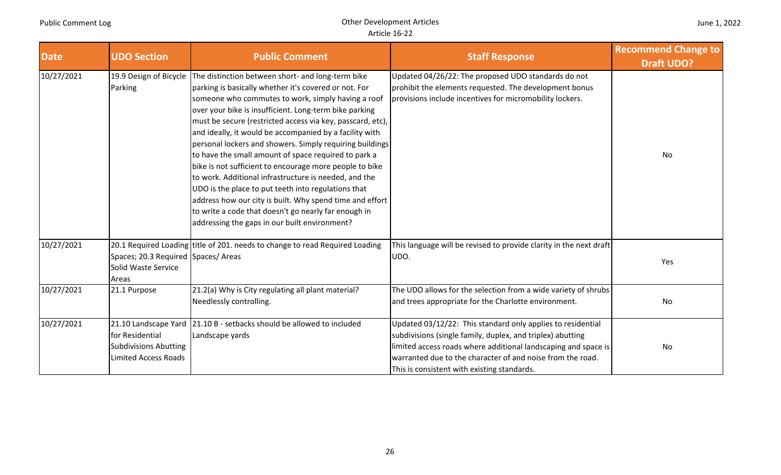| <b>Date</b> | <b>UDO Section</b>                                                                                     | <b>Public Comment</b>                                                                                                                                                                                                                                                                                                                                                                                                                                                                                                                                                                                                                                                                                                                                                                                                   | <b>Staff Response</b>                                                                                                                                                                                                                                                                                    | <b>Recommend Change to</b><br><b>Draft UDO?</b> |
|-------------|--------------------------------------------------------------------------------------------------------|-------------------------------------------------------------------------------------------------------------------------------------------------------------------------------------------------------------------------------------------------------------------------------------------------------------------------------------------------------------------------------------------------------------------------------------------------------------------------------------------------------------------------------------------------------------------------------------------------------------------------------------------------------------------------------------------------------------------------------------------------------------------------------------------------------------------------|----------------------------------------------------------------------------------------------------------------------------------------------------------------------------------------------------------------------------------------------------------------------------------------------------------|-------------------------------------------------|
| 10/27/2021  | 19.9 Design of Bicycle<br>Parking                                                                      | The distinction between short- and long-term bike<br>parking is basically whether it's covered or not. For<br>someone who commutes to work, simply having a roof<br>over your bike is insufficient. Long-term bike parking<br>must be secure (restricted access via key, passcard, etc),<br>and ideally, it would be accompanied by a facility with<br>personal lockers and showers. Simply requiring buildings<br>to have the small amount of space required to park a<br>bike is not sufficient to encourage more people to bike<br>to work. Additional infrastructure is needed, and the<br>UDO is the place to put teeth into regulations that<br>address how our city is built. Why spend time and effort<br>to write a code that doesn't go nearly far enough in<br>addressing the gaps in our built environment? | Updated 04/26/22: The proposed UDO standards do not<br>prohibit the elements requested. The development bonus<br>provisions include incentives for micromobility lockers.                                                                                                                                | No                                              |
| 10/27/2021  | Spaces; 20.3 Required Spaces/ Areas<br>Solid Waste Service<br>Areas                                    | 20.1 Required Loading title of 201. needs to change to read Required Loading                                                                                                                                                                                                                                                                                                                                                                                                                                                                                                                                                                                                                                                                                                                                            | This language will be revised to provide clarity in the next draft<br>UDO.                                                                                                                                                                                                                               | Yes                                             |
| 10/27/2021  | 21.1 Purpose                                                                                           | 21.2(a) Why is City regulating all plant material?<br>Needlessly controlling.                                                                                                                                                                                                                                                                                                                                                                                                                                                                                                                                                                                                                                                                                                                                           | The UDO allows for the selection from a wide variety of shrubs<br>and trees appropriate for the Charlotte environment.                                                                                                                                                                                   | No                                              |
| 10/27/2021  | 21.10 Landscape Yard<br>for Residential<br><b>Subdivisions Abutting</b><br><b>Limited Access Roads</b> | 21.10 B - setbacks should be allowed to included<br>Landscape yards                                                                                                                                                                                                                                                                                                                                                                                                                                                                                                                                                                                                                                                                                                                                                     | Updated 03/12/22: This standard only applies to residential<br>subdivisions (single family, duplex, and triplex) abutting<br>limited access roads where additional landscaping and space is<br>warranted due to the character of and noise from the road.<br>This is consistent with existing standards. | No                                              |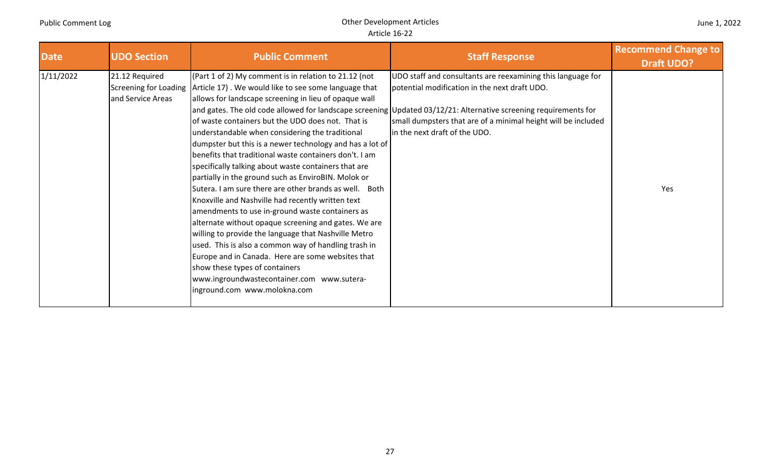| <b>Date</b> | <b>UDO Section</b>                                                  | <b>Public Comment</b>                                                                                                                                                                                                                                                                                                                                                                                                                                                                                                                                                                                                                                                                                                                                                                                                                                                                                                                                                                                                              | <b>Staff Response</b>                                                                                                                                                                                                                                                                                                              | <b>Recommend Change to</b><br><b>Draft UDO?</b> |
|-------------|---------------------------------------------------------------------|------------------------------------------------------------------------------------------------------------------------------------------------------------------------------------------------------------------------------------------------------------------------------------------------------------------------------------------------------------------------------------------------------------------------------------------------------------------------------------------------------------------------------------------------------------------------------------------------------------------------------------------------------------------------------------------------------------------------------------------------------------------------------------------------------------------------------------------------------------------------------------------------------------------------------------------------------------------------------------------------------------------------------------|------------------------------------------------------------------------------------------------------------------------------------------------------------------------------------------------------------------------------------------------------------------------------------------------------------------------------------|-------------------------------------------------|
| 1/11/2022   | 21.12 Required<br><b>Screening for Loading</b><br>and Service Areas | (Part 1 of 2) My comment is in relation to 21.12 (not<br>Article 17). We would like to see some language that<br>allows for landscape screening in lieu of opaque wall<br>of waste containers but the UDO does not. That is<br>understandable when considering the traditional<br>dumpster but this is a newer technology and has a lot of<br>benefits that traditional waste containers don't. I am<br>specifically talking about waste containers that are<br>partially in the ground such as EnviroBIN. Molok or<br>Sutera. I am sure there are other brands as well. Both<br>Knoxville and Nashville had recently written text<br>amendments to use in-ground waste containers as<br>alternate without opaque screening and gates. We are<br>willing to provide the language that Nashville Metro<br>used. This is also a common way of handling trash in<br>Europe and in Canada. Here are some websites that<br>show these types of containers<br>www.ingroundwastecontainer.com www.sutera-<br>inground.com www.molokna.com | UDO staff and consultants are reexamining this language for<br>potential modification in the next draft UDO.<br>and gates. The old code allowed for landscape screening Updated 03/12/21: Alternative screening requirements for<br>small dumpsters that are of a minimal height will be included<br>in the next draft of the UDO. | Yes                                             |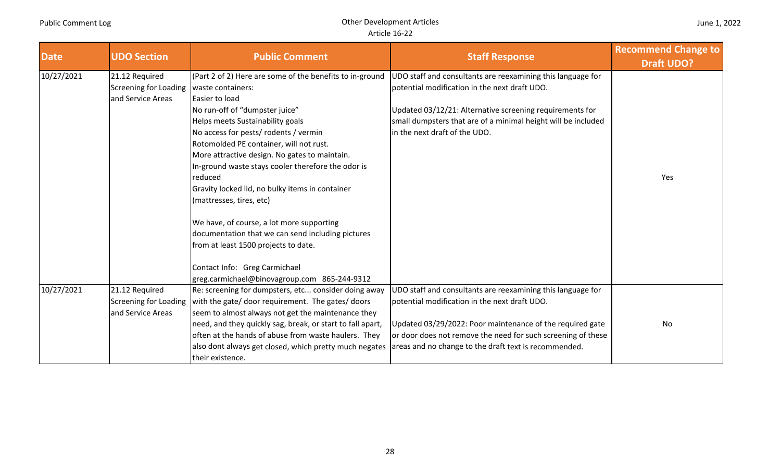| <b>Date</b> | <b>UDO Section</b>                                           | <b>Public Comment</b>                                                                                                                                                                                                                                                                                                                                                                                                                                                                                                                                                                                                                                                                 | <b>Staff Response</b>                                                                                                                                                                                                                                                                              | <b>Recommend Change to</b><br><b>Draft UDO?</b> |
|-------------|--------------------------------------------------------------|---------------------------------------------------------------------------------------------------------------------------------------------------------------------------------------------------------------------------------------------------------------------------------------------------------------------------------------------------------------------------------------------------------------------------------------------------------------------------------------------------------------------------------------------------------------------------------------------------------------------------------------------------------------------------------------|----------------------------------------------------------------------------------------------------------------------------------------------------------------------------------------------------------------------------------------------------------------------------------------------------|-------------------------------------------------|
| 10/27/2021  | 21.12 Required<br>Screening for Loading<br>and Service Areas | (Part 2 of 2) Here are some of the benefits to in-ground<br>waste containers:<br>Easier to load<br>No run-off of "dumpster juice"<br>Helps meets Sustainability goals<br>No access for pests/ rodents / vermin<br>Rotomolded PE container, will not rust.<br>More attractive design. No gates to maintain.<br>In-ground waste stays cooler therefore the odor is<br>reduced<br>Gravity locked lid, no bulky items in container<br>(mattresses, tires, etc)<br>We have, of course, a lot more supporting<br>documentation that we can send including pictures<br>from at least 1500 projects to date.<br>Contact Info: Greg Carmichael<br>greg.carmichael@binovagroup.com 865-244-9312 | UDO staff and consultants are reexamining this language for<br>potential modification in the next draft UDO.<br>Updated 03/12/21: Alternative screening requirements for<br>small dumpsters that are of a minimal height will be included<br>in the next draft of the UDO.                         | Yes                                             |
| 10/27/2021  | 21.12 Required<br>Screening for Loading<br>and Service Areas | Re: screening for dumpsters, etc consider doing away<br>with the gate/ door requirement. The gates/ doors<br>seem to almost always not get the maintenance they<br>need, and they quickly sag, break, or start to fall apart,<br>often at the hands of abuse from waste haulers. They<br>also dont always get closed, which pretty much negates<br>their existence.                                                                                                                                                                                                                                                                                                                   | UDO staff and consultants are reexamining this language for<br>potential modification in the next draft UDO.<br>Updated 03/29/2022: Poor maintenance of the required gate<br>or door does not remove the need for such screening of these<br>areas and no change to the draft text is recommended. | No                                              |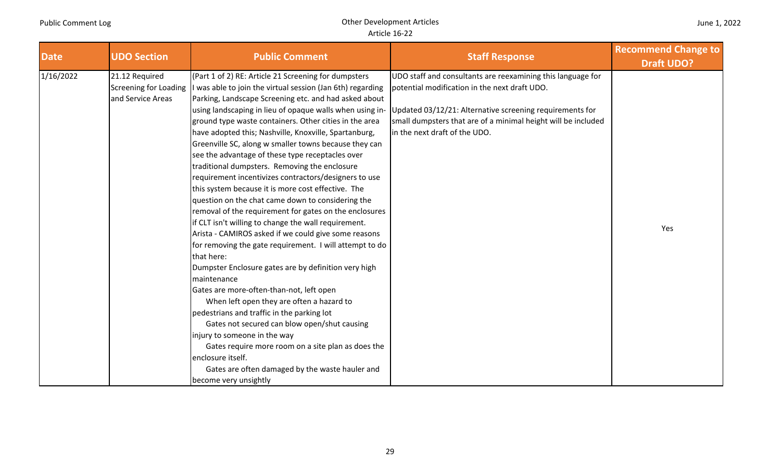| <b>Date</b> | <b>UDO Section</b> | <b>Public Comment</b>                                                              | <b>Staff Response</b>                                         | <b>Recommend Change to</b><br><b>Draft UDO?</b> |
|-------------|--------------------|------------------------------------------------------------------------------------|---------------------------------------------------------------|-------------------------------------------------|
| 1/16/2022   | 21.12 Required     | (Part 1 of 2) RE: Article 21 Screening for dumpsters                               | UDO staff and consultants are reexamining this language for   |                                                 |
|             |                    | Screening for Loading   I was able to join the virtual session (Jan 6th) regarding | potential modification in the next draft UDO.                 |                                                 |
|             | and Service Areas  | Parking, Landscape Screening etc. and had asked about                              |                                                               |                                                 |
|             |                    | using landscaping in lieu of opaque walls when using in-                           | Updated 03/12/21: Alternative screening requirements for      |                                                 |
|             |                    | ground type waste containers. Other cities in the area                             | small dumpsters that are of a minimal height will be included |                                                 |
|             |                    | have adopted this; Nashville, Knoxville, Spartanburg,                              | in the next draft of the UDO.                                 |                                                 |
|             |                    | Greenville SC, along w smaller towns because they can                              |                                                               |                                                 |
|             |                    | see the advantage of these type receptacles over                                   |                                                               |                                                 |
|             |                    | traditional dumpsters. Removing the enclosure                                      |                                                               |                                                 |
|             |                    | requirement incentivizes contractors/designers to use                              |                                                               |                                                 |
|             |                    | this system because it is more cost effective. The                                 |                                                               |                                                 |
|             |                    | question on the chat came down to considering the                                  |                                                               |                                                 |
|             |                    | removal of the requirement for gates on the enclosures                             |                                                               |                                                 |
|             |                    | if CLT isn't willing to change the wall requirement.                               |                                                               | Yes                                             |
|             |                    | Arista - CAMIROS asked if we could give some reasons                               |                                                               |                                                 |
|             |                    | for removing the gate requirement. I will attempt to do<br>that here:              |                                                               |                                                 |
|             |                    | Dumpster Enclosure gates are by definition very high<br>maintenance                |                                                               |                                                 |
|             |                    | Gates are more-often-than-not, left open                                           |                                                               |                                                 |
|             |                    | When left open they are often a hazard to                                          |                                                               |                                                 |
|             |                    | pedestrians and traffic in the parking lot                                         |                                                               |                                                 |
|             |                    | Gates not secured can blow open/shut causing                                       |                                                               |                                                 |
|             |                    | injury to someone in the way                                                       |                                                               |                                                 |
|             |                    | Gates require more room on a site plan as does the                                 |                                                               |                                                 |
|             |                    | enclosure itself.                                                                  |                                                               |                                                 |
|             |                    | Gates are often damaged by the waste hauler and                                    |                                                               |                                                 |
|             |                    | become very unsightly                                                              |                                                               |                                                 |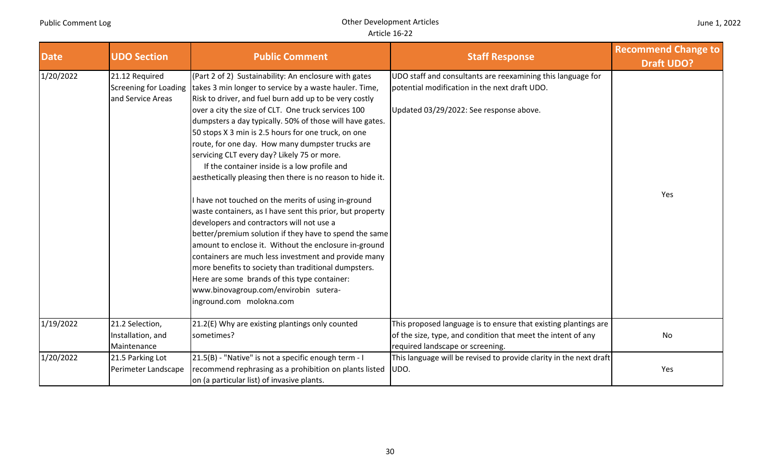| <b>Date</b> | <b>UDO Section</b>                                                  | <b>Public Comment</b>                                                                                                                                                                                                                                                                                                                                                                                                                                                                                                                                                                                                                                                                                                                                                                                                                                                                                                                                                                                                                                                                         | <b>Staff Response</b>                                                                                                                                               | <b>Recommend Change to</b><br><b>Draft UDO?</b> |
|-------------|---------------------------------------------------------------------|-----------------------------------------------------------------------------------------------------------------------------------------------------------------------------------------------------------------------------------------------------------------------------------------------------------------------------------------------------------------------------------------------------------------------------------------------------------------------------------------------------------------------------------------------------------------------------------------------------------------------------------------------------------------------------------------------------------------------------------------------------------------------------------------------------------------------------------------------------------------------------------------------------------------------------------------------------------------------------------------------------------------------------------------------------------------------------------------------|---------------------------------------------------------------------------------------------------------------------------------------------------------------------|-------------------------------------------------|
| 1/20/2022   | 21.12 Required<br><b>Screening for Loading</b><br>and Service Areas | (Part 2 of 2) Sustainability: An enclosure with gates<br>takes 3 min longer to service by a waste hauler. Time,<br>Risk to driver, and fuel burn add up to be very costly<br>over a city the size of CLT. One truck services 100<br>dumpsters a day typically. 50% of those will have gates.<br>50 stops X 3 min is 2.5 hours for one truck, on one<br>route, for one day. How many dumpster trucks are<br>servicing CLT every day? Likely 75 or more.<br>If the container inside is a low profile and<br>aesthetically pleasing then there is no reason to hide it.<br>I have not touched on the merits of using in-ground<br>waste containers, as I have sent this prior, but property<br>developers and contractors will not use a<br>better/premium solution if they have to spend the same<br>amount to enclose it. Without the enclosure in-ground<br>containers are much less investment and provide many<br>more benefits to society than traditional dumpsters.<br>Here are some brands of this type container:<br>www.binovagroup.com/envirobin sutera-<br>inground.com molokna.com | UDO staff and consultants are reexamining this language for<br>potential modification in the next draft UDO.<br>Updated 03/29/2022: See response above.             | Yes                                             |
| 1/19/2022   | 21.2 Selection,<br>Installation, and<br>Maintenance                 | 21.2(E) Why are existing plantings only counted<br>sometimes?                                                                                                                                                                                                                                                                                                                                                                                                                                                                                                                                                                                                                                                                                                                                                                                                                                                                                                                                                                                                                                 | This proposed language is to ensure that existing plantings are<br>of the size, type, and condition that meet the intent of any<br>required landscape or screening. | No                                              |
| 1/20/2022   | 21.5 Parking Lot<br>Perimeter Landscape                             | 21.5(B) - "Native" is not a specific enough term - I<br>recommend rephrasing as a prohibition on plants listed<br>on (a particular list) of invasive plants.                                                                                                                                                                                                                                                                                                                                                                                                                                                                                                                                                                                                                                                                                                                                                                                                                                                                                                                                  | This language will be revised to provide clarity in the next draft<br>UDO.                                                                                          | Yes                                             |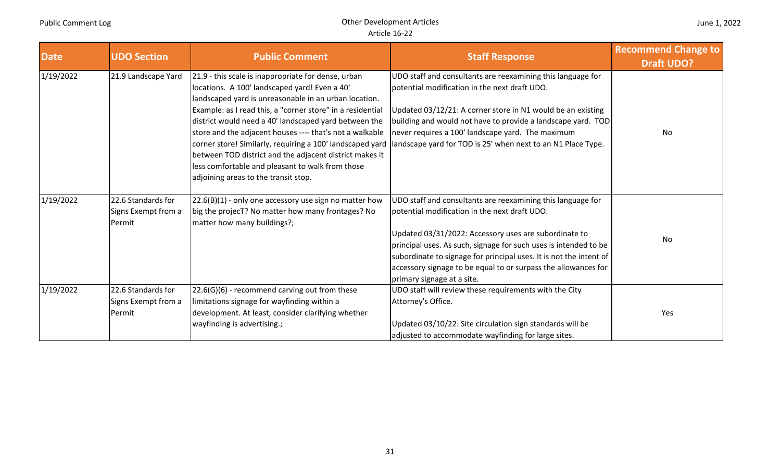| <b>Date</b> | <b>UDO Section</b>                                  | <b>Public Comment</b>                                                                                                                                                                                                                                                                                                                                                                                                                                                                                                                                                | <b>Staff Response</b>                                                                                                                                                                                                                                                                                                                                                                                           | <b>Recommend Change to</b><br><b>Draft UDO?</b> |
|-------------|-----------------------------------------------------|----------------------------------------------------------------------------------------------------------------------------------------------------------------------------------------------------------------------------------------------------------------------------------------------------------------------------------------------------------------------------------------------------------------------------------------------------------------------------------------------------------------------------------------------------------------------|-----------------------------------------------------------------------------------------------------------------------------------------------------------------------------------------------------------------------------------------------------------------------------------------------------------------------------------------------------------------------------------------------------------------|-------------------------------------------------|
| 1/19/2022   | 21.9 Landscape Yard                                 | 21.9 - this scale is inappropriate for dense, urban<br>locations. A 100' landscaped yard! Even a 40'<br>landscaped yard is unreasonable in an urban location.<br>Example: as I read this, a "corner store" in a residential<br>district would need a 40' landscaped yard between the<br>store and the adjacent houses ---- that's not a walkable<br>corner store! Similarly, requiring a 100' landscaped yard<br>between TOD district and the adjacent district makes it<br>less comfortable and pleasant to walk from those<br>adjoining areas to the transit stop. | UDO staff and consultants are reexamining this language for<br>potential modification in the next draft UDO.<br>Updated 03/12/21: A corner store in N1 would be an existing<br>building and would not have to provide a landscape yard. TOD<br>never requires a 100' landscape yard. The maximum<br>landscape yard for TOD is 25' when next to an N1 Place Type.                                                | No                                              |
| 1/19/2022   | 22.6 Standards for<br>Signs Exempt from a<br>Permit | $22.6(B)(1)$ - only one accessory use sign no matter how<br>big the projecT? No matter how many frontages? No<br>matter how many buildings?;                                                                                                                                                                                                                                                                                                                                                                                                                         | UDO staff and consultants are reexamining this language for<br>potential modification in the next draft UDO.<br>Updated 03/31/2022: Accessory uses are subordinate to<br>principal uses. As such, signage for such uses is intended to be<br>subordinate to signage for principal uses. It is not the intent of<br>accessory signage to be equal to or surpass the allowances for<br>primary signage at a site. | No                                              |
| 1/19/2022   | 22.6 Standards for<br>Signs Exempt from a<br>Permit | 22.6(G)(6) - recommend carving out from these<br>limitations signage for wayfinding within a<br>development. At least, consider clarifying whether<br>wayfinding is advertising.;                                                                                                                                                                                                                                                                                                                                                                                    | UDO staff will review these requirements with the City<br>Attorney's Office.<br>Updated 03/10/22: Site circulation sign standards will be<br>adjusted to accommodate wayfinding for large sites.                                                                                                                                                                                                                | Yes                                             |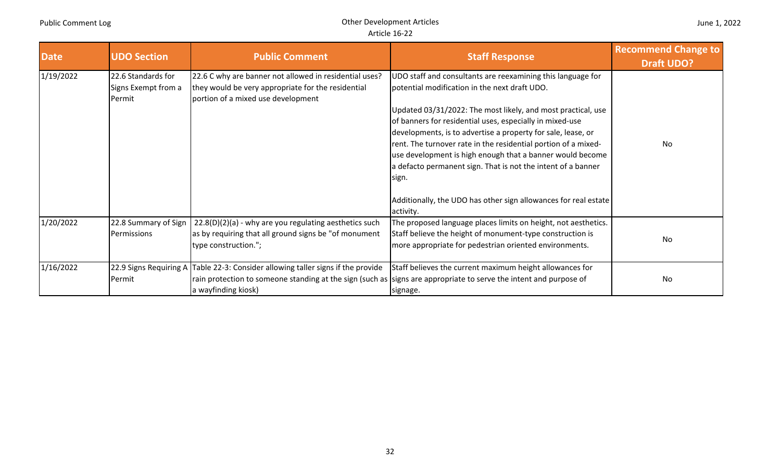| <b>Date</b> | <b>UDO Section</b>                                  | <b>Public Comment</b>                                                                                                                                               | <b>Staff Response</b>                                                                                                                                                                                                                                                                                                                                                                                                                                                                                                                                                                            | <b>Recommend Change to</b><br><b>Draft UDO?</b> |
|-------------|-----------------------------------------------------|---------------------------------------------------------------------------------------------------------------------------------------------------------------------|--------------------------------------------------------------------------------------------------------------------------------------------------------------------------------------------------------------------------------------------------------------------------------------------------------------------------------------------------------------------------------------------------------------------------------------------------------------------------------------------------------------------------------------------------------------------------------------------------|-------------------------------------------------|
| 1/19/2022   | 22.6 Standards for<br>Signs Exempt from a<br>Permit | 22.6 C why are banner not allowed in residential uses?<br>they would be very appropriate for the residential<br>portion of a mixed use development                  | UDO staff and consultants are reexamining this language for<br>potential modification in the next draft UDO.<br>Updated 03/31/2022: The most likely, and most practical, use<br>of banners for residential uses, especially in mixed-use<br>developments, is to advertise a property for sale, lease, or<br>rent. The turnover rate in the residential portion of a mixed-<br>use development is high enough that a banner would become<br>a defacto permanent sign. That is not the intent of a banner<br>sign.<br>Additionally, the UDO has other sign allowances for real estate<br>activity. | No                                              |
| 1/20/2022   | 22.8 Summary of Sign<br>Permissions                 | $22.8(D)(2)(a)$ - why are you regulating aesthetics such<br>as by requiring that all ground signs be "of monument<br>type construction.";                           | The proposed language places limits on height, not aesthetics.<br>Staff believe the height of monument-type construction is<br>more appropriate for pedestrian oriented environments.                                                                                                                                                                                                                                                                                                                                                                                                            | No                                              |
| 1/16/2022   | Permit                                              | 22.9 Signs Requiring A Table 22-3: Consider allowing taller signs if the provide<br>rain protection to someone standing at the sign (such as<br>a wayfinding kiosk) | Staff believes the current maximum height allowances for<br>signs are appropriate to serve the intent and purpose of<br>signage.                                                                                                                                                                                                                                                                                                                                                                                                                                                                 | No                                              |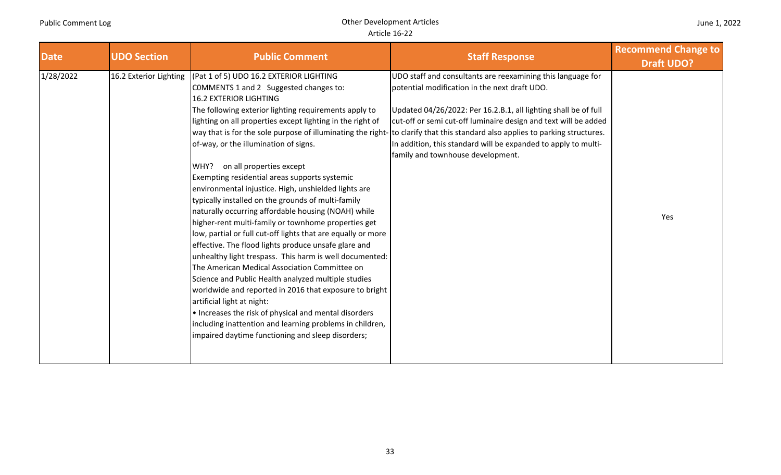| <b>UDO Section</b><br><b>Date</b>   | <b>Public Comment</b>                                                                                                                                                                                                                                                                                                                                                                                                                                                                                                                                                                                                                                                                                                                                                                                                                                                                                                                                                                                                                                                                                                                                            | <b>Staff Response</b>                                                                                                                                                                                                                                                                                                                                                                                                                                                                      | <b>Recommend Change to</b><br><b>Draft UDO?</b> |
|-------------------------------------|------------------------------------------------------------------------------------------------------------------------------------------------------------------------------------------------------------------------------------------------------------------------------------------------------------------------------------------------------------------------------------------------------------------------------------------------------------------------------------------------------------------------------------------------------------------------------------------------------------------------------------------------------------------------------------------------------------------------------------------------------------------------------------------------------------------------------------------------------------------------------------------------------------------------------------------------------------------------------------------------------------------------------------------------------------------------------------------------------------------------------------------------------------------|--------------------------------------------------------------------------------------------------------------------------------------------------------------------------------------------------------------------------------------------------------------------------------------------------------------------------------------------------------------------------------------------------------------------------------------------------------------------------------------------|-------------------------------------------------|
| 1/28/2022<br>16.2 Exterior Lighting | (Pat 1 of 5) UDO 16.2 EXTERIOR LIGHTING<br>COMMENTS 1 and 2 Suggested changes to:<br><b>16.2 EXTERIOR LIGHTING</b><br>The following exterior lighting requirements apply to<br>lighting on all properties except lighting in the right of<br>of-way, or the illumination of signs.<br>on all properties except<br>WHY?<br>Exempting residential areas supports systemic<br>environmental injustice. High, unshielded lights are<br>typically installed on the grounds of multi-family<br>naturally occurring affordable housing (NOAH) while<br>higher-rent multi-family or townhome properties get<br>low, partial or full cut-off lights that are equally or more<br>effective. The flood lights produce unsafe glare and<br>unhealthy light trespass. This harm is well documented:<br>The American Medical Association Committee on<br>Science and Public Health analyzed multiple studies<br>worldwide and reported in 2016 that exposure to bright<br>artificial light at night:<br>• Increases the risk of physical and mental disorders<br>including inattention and learning problems in children,<br>impaired daytime functioning and sleep disorders; | UDO staff and consultants are reexamining this language for<br>potential modification in the next draft UDO.<br>Updated 04/26/2022: Per 16.2.B.1, all lighting shall be of full<br>cut-off or semi cut-off luminaire design and text will be added<br>way that is for the sole purpose of illuminating the right- to clarify that this standard also applies to parking structures.<br>In addition, this standard will be expanded to apply to multi-<br>family and townhouse development. | Yes                                             |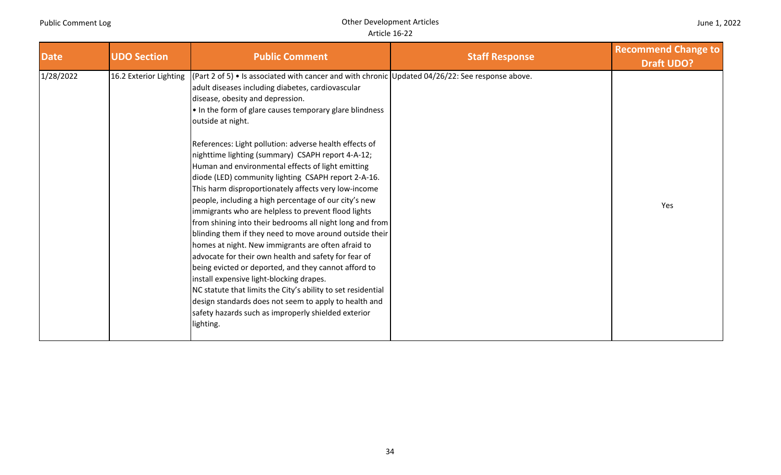## Other Development Articles Article 16‐22

| <b>Date</b> | <b>UDO Section</b>     | <b>Public Comment</b>                                                                                                                                                                                                                                                                                                                                                                                                                                                                                                                                                                                                                                                                                                                                                                                                                                                                                                                                                                                                                                                                                                                                                                                                | <b>Staff Response</b> | <b>Recommend Change to</b><br><b>Draft UDO?</b> |
|-------------|------------------------|----------------------------------------------------------------------------------------------------------------------------------------------------------------------------------------------------------------------------------------------------------------------------------------------------------------------------------------------------------------------------------------------------------------------------------------------------------------------------------------------------------------------------------------------------------------------------------------------------------------------------------------------------------------------------------------------------------------------------------------------------------------------------------------------------------------------------------------------------------------------------------------------------------------------------------------------------------------------------------------------------------------------------------------------------------------------------------------------------------------------------------------------------------------------------------------------------------------------|-----------------------|-------------------------------------------------|
| 1/28/2022   | 16.2 Exterior Lighting | $(Part 2 of 5)$ • Is associated with cancer and with chronic Updated 04/26/22: See response above.<br>adult diseases including diabetes, cardiovascular<br>disease, obesity and depression.<br>• In the form of glare causes temporary glare blindness<br>outside at night.<br>References: Light pollution: adverse health effects of<br>nighttime lighting (summary) CSAPH report 4-A-12;<br>Human and environmental effects of light emitting<br>diode (LED) community lighting CSAPH report 2-A-16.<br>This harm disproportionately affects very low-income<br>people, including a high percentage of our city's new<br>immigrants who are helpless to prevent flood lights<br>from shining into their bedrooms all night long and from<br>blinding them if they need to move around outside their<br>homes at night. New immigrants are often afraid to<br>advocate for their own health and safety for fear of<br>being evicted or deported, and they cannot afford to<br>install expensive light-blocking drapes.<br>NC statute that limits the City's ability to set residential<br>design standards does not seem to apply to health and<br>safety hazards such as improperly shielded exterior<br>lighting. |                       | Yes                                             |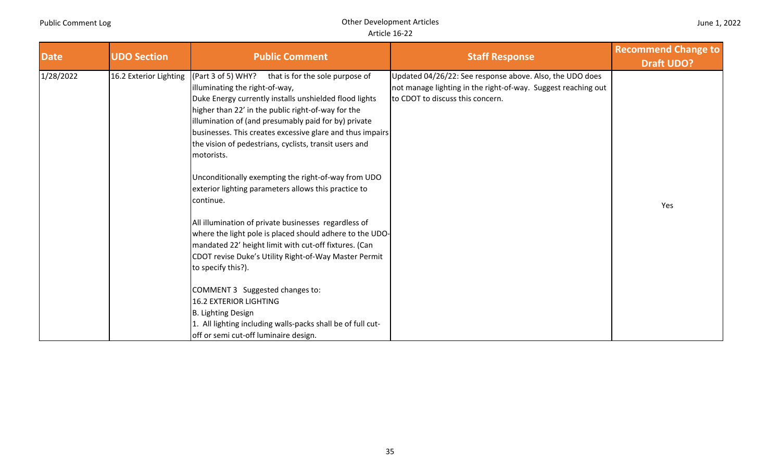| <b>Date</b> | <b>UDO Section</b>     | <b>Public Comment</b>                                                                                                                                                                                                                                                                                                                                                                                                                                                                                                                                                                                                                                                                                                                                                                                                                                                                                                                                                                           | <b>Staff Response</b>                                                                                                                                         | <b>Recommend Change to</b><br><b>Draft UDO?</b> |
|-------------|------------------------|-------------------------------------------------------------------------------------------------------------------------------------------------------------------------------------------------------------------------------------------------------------------------------------------------------------------------------------------------------------------------------------------------------------------------------------------------------------------------------------------------------------------------------------------------------------------------------------------------------------------------------------------------------------------------------------------------------------------------------------------------------------------------------------------------------------------------------------------------------------------------------------------------------------------------------------------------------------------------------------------------|---------------------------------------------------------------------------------------------------------------------------------------------------------------|-------------------------------------------------|
| 1/28/2022   | 16.2 Exterior Lighting | (CPart 3 of 5) WHY?<br>that is for the sole purpose of<br>illuminating the right-of-way,<br>Duke Energy currently installs unshielded flood lights<br>higher than 22' in the public right-of-way for the<br>illumination of (and presumably paid for by) private<br>businesses. This creates excessive glare and thus impairs<br>the vision of pedestrians, cyclists, transit users and<br>motorists.<br>Unconditionally exempting the right-of-way from UDO<br>exterior lighting parameters allows this practice to<br>continue.<br>All illumination of private businesses regardless of<br>where the light pole is placed should adhere to the UDO-<br>mandated 22' height limit with cut-off fixtures. (Can<br>CDOT revise Duke's Utility Right-of-Way Master Permit<br>to specify this?).<br>COMMENT 3 Suggested changes to:<br><b>16.2 EXTERIOR LIGHTING</b><br>B. Lighting Design<br>1. All lighting including walls-packs shall be of full cut-<br>off or semi cut-off luminaire design. | Updated 04/26/22: See response above. Also, the UDO does<br>not manage lighting in the right-of-way. Suggest reaching out<br>to CDOT to discuss this concern. | Yes                                             |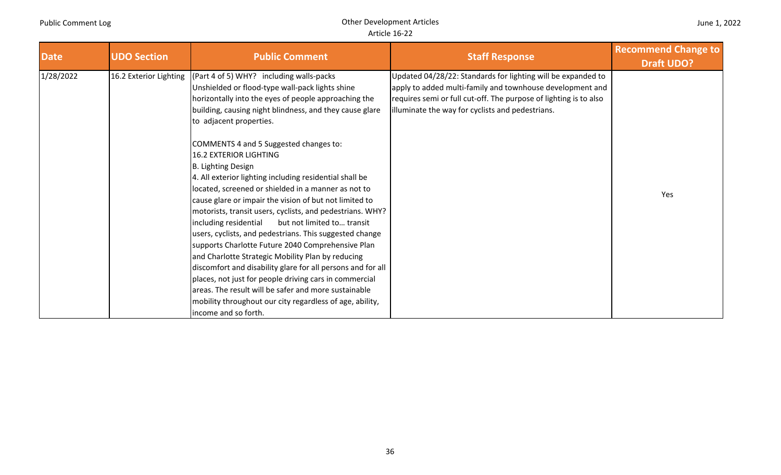| <b>Date</b> | <b>UDO Section</b>     | <b>Public Comment</b>                                                                                                                                                                                                                                                                                                                                                                                                                                                                                                                                                                                                                                                                                                                                                                                                                                                                                                                                                                                                                                                                | <b>Staff Response</b>                                                                                                                                                                                                                              | <b>Recommend Change to</b><br><b>Draft UDO?</b> |
|-------------|------------------------|--------------------------------------------------------------------------------------------------------------------------------------------------------------------------------------------------------------------------------------------------------------------------------------------------------------------------------------------------------------------------------------------------------------------------------------------------------------------------------------------------------------------------------------------------------------------------------------------------------------------------------------------------------------------------------------------------------------------------------------------------------------------------------------------------------------------------------------------------------------------------------------------------------------------------------------------------------------------------------------------------------------------------------------------------------------------------------------|----------------------------------------------------------------------------------------------------------------------------------------------------------------------------------------------------------------------------------------------------|-------------------------------------------------|
| 1/28/2022   | 16.2 Exterior Lighting | (Part 4 of 5) WHY? including walls-packs<br>Unshielded or flood-type wall-pack lights shine<br>horizontally into the eyes of people approaching the<br>building, causing night blindness, and they cause glare<br>to adjacent properties.<br>COMMENTS 4 and 5 Suggested changes to:<br><b>16.2 EXTERIOR LIGHTING</b><br>B. Lighting Design<br>4. All exterior lighting including residential shall be<br>located, screened or shielded in a manner as not to<br>cause glare or impair the vision of but not limited to<br>motorists, transit users, cyclists, and pedestrians. WHY?<br>including residential<br>but not limited to transit<br>users, cyclists, and pedestrians. This suggested change<br>supports Charlotte Future 2040 Comprehensive Plan<br>and Charlotte Strategic Mobility Plan by reducing<br>discomfort and disability glare for all persons and for all<br>places, not just for people driving cars in commercial<br>areas. The result will be safer and more sustainable<br>mobility throughout our city regardless of age, ability,<br>income and so forth. | Updated 04/28/22: Standards for lighting will be expanded to<br>apply to added multi-family and townhouse development and<br>requires semi or full cut-off. The purpose of lighting is to also<br>illuminate the way for cyclists and pedestrians. | Yes                                             |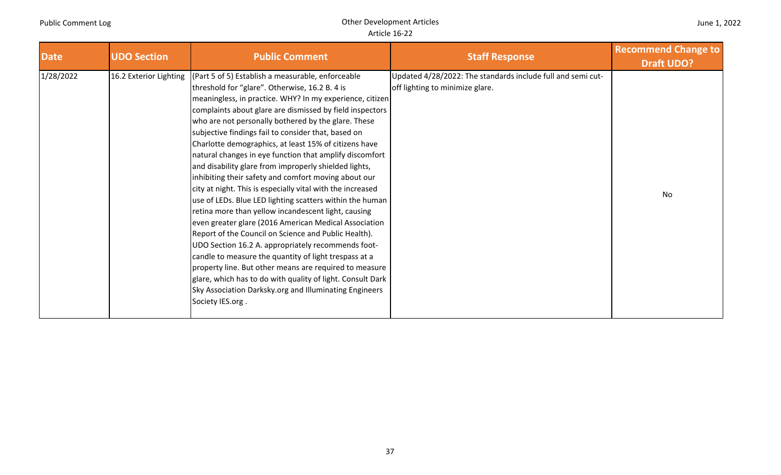| <b>Date</b> | <b>UDO Section</b>     | <b>Public Comment</b>                                                                                                                                                                                                                                                                                                                                                                                                                                                                                                                                                                                                                                                                                                                                                                                                                                                                                                                                                                                                                                                                                                                                                                                 | <b>Staff Response</b>                                                                          | <b>Recommend Change to</b><br><b>Draft UDO?</b> |
|-------------|------------------------|-------------------------------------------------------------------------------------------------------------------------------------------------------------------------------------------------------------------------------------------------------------------------------------------------------------------------------------------------------------------------------------------------------------------------------------------------------------------------------------------------------------------------------------------------------------------------------------------------------------------------------------------------------------------------------------------------------------------------------------------------------------------------------------------------------------------------------------------------------------------------------------------------------------------------------------------------------------------------------------------------------------------------------------------------------------------------------------------------------------------------------------------------------------------------------------------------------|------------------------------------------------------------------------------------------------|-------------------------------------------------|
| 1/28/2022   | 16.2 Exterior Lighting | (Part 5 of 5) Establish a measurable, enforceable<br>threshold for "glare". Otherwise, 16.2 B. 4 is<br>meaningless, in practice. WHY? In my experience, citizen<br>complaints about glare are dismissed by field inspectors<br>who are not personally bothered by the glare. These<br>subjective findings fail to consider that, based on<br>Charlotte demographics, at least 15% of citizens have<br>natural changes in eye function that amplify discomfort<br>and disability glare from improperly shielded lights,<br>inhibiting their safety and comfort moving about our<br>city at night. This is especially vital with the increased<br>use of LEDs. Blue LED lighting scatters within the human<br>retina more than yellow incandescent light, causing<br>even greater glare (2016 American Medical Association<br>Report of the Council on Science and Public Health).<br>UDO Section 16.2 A. appropriately recommends foot-<br>candle to measure the quantity of light trespass at a<br>property line. But other means are required to measure<br>glare, which has to do with quality of light. Consult Dark<br>Sky Association Darksky.org and Illuminating Engineers<br>Society IES.org. | Updated 4/28/2022: The standards include full and semi cut-<br>off lighting to minimize glare. | No                                              |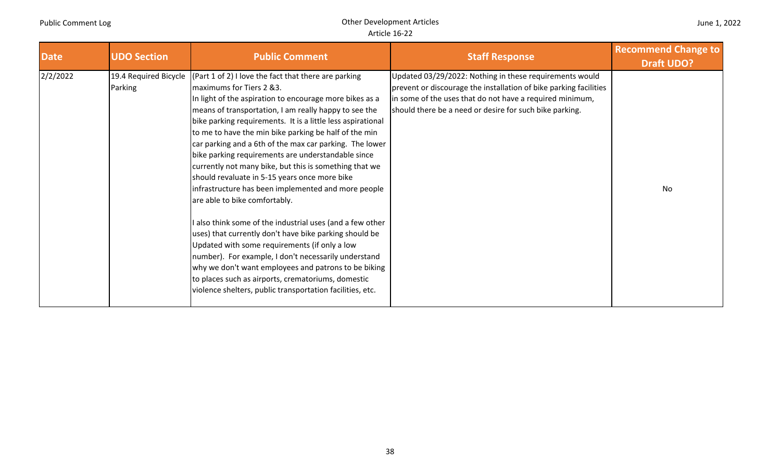| <b>Date</b> | <b>UDO Section</b> | <b>Public Comment</b>                                                                                                                                                                                                                                                                                                                                                                                                                                                                                                                                                                                                                                                                                                                                                                                                                                                                                                                                                                                                                                                                 | <b>Staff Response</b>                                                                                                                                                                                                                               | <b>Recommend Change to</b><br><b>Draft UDO?</b> |
|-------------|--------------------|---------------------------------------------------------------------------------------------------------------------------------------------------------------------------------------------------------------------------------------------------------------------------------------------------------------------------------------------------------------------------------------------------------------------------------------------------------------------------------------------------------------------------------------------------------------------------------------------------------------------------------------------------------------------------------------------------------------------------------------------------------------------------------------------------------------------------------------------------------------------------------------------------------------------------------------------------------------------------------------------------------------------------------------------------------------------------------------|-----------------------------------------------------------------------------------------------------------------------------------------------------------------------------------------------------------------------------------------------------|-------------------------------------------------|
| 2/2/2022    | Parking            | 19.4 Required Bicycle $ (Part 1 of 2) $ l love the fact that there are parking<br>maximums for Tiers 2 &3.<br>In light of the aspiration to encourage more bikes as a<br>means of transportation, I am really happy to see the<br>bike parking requirements. It is a little less aspirational<br>to me to have the min bike parking be half of the min<br>car parking and a 6th of the max car parking. The lower<br>bike parking requirements are understandable since<br>currently not many bike, but this is something that we<br>should revaluate in 5-15 years once more bike<br>infrastructure has been implemented and more people<br>are able to bike comfortably.<br>I also think some of the industrial uses (and a few other<br>uses) that currently don't have bike parking should be<br>Updated with some requirements (if only a low<br>number). For example, I don't necessarily understand<br>why we don't want employees and patrons to be biking<br>to places such as airports, crematoriums, domestic<br>violence shelters, public transportation facilities, etc. | Updated 03/29/2022: Nothing in these requirements would<br>prevent or discourage the installation of bike parking facilities<br>in some of the uses that do not have a required minimum,<br>should there be a need or desire for such bike parking. | No                                              |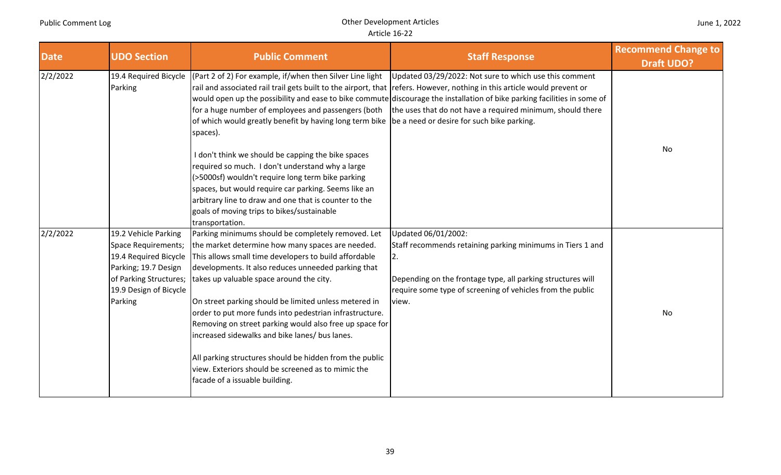| <b>Date</b> | <b>UDO Section</b>                                                                                                                                                 | <b>Public Comment</b>                                                                                                                                                                                                                                                                                                                                                                                                                                                                                                                                                                                                                                                     | <b>Staff Response</b>                                                                                                                                                                                                                                                                                                                                                        | <b>Recommend Change to</b><br><b>Draft UDO?</b> |
|-------------|--------------------------------------------------------------------------------------------------------------------------------------------------------------------|---------------------------------------------------------------------------------------------------------------------------------------------------------------------------------------------------------------------------------------------------------------------------------------------------------------------------------------------------------------------------------------------------------------------------------------------------------------------------------------------------------------------------------------------------------------------------------------------------------------------------------------------------------------------------|------------------------------------------------------------------------------------------------------------------------------------------------------------------------------------------------------------------------------------------------------------------------------------------------------------------------------------------------------------------------------|-------------------------------------------------|
| 2/2/2022    | 19.4 Required Bicycle<br>Parking                                                                                                                                   | (Part 2 of 2) For example, if/when then Silver Line light<br>for a huge number of employees and passengers (both<br>of which would greatly benefit by having long term bike  be a need or desire for such bike parking.<br>spaces).<br>I don't think we should be capping the bike spaces<br>required so much. I don't understand why a large<br>(>5000sf) wouldn't require long term bike parking<br>spaces, but would require car parking. Seems like an<br>arbitrary line to draw and one that is counter to the<br>goals of moving trips to bikes/sustainable                                                                                                         | Updated 03/29/2022: Not sure to which use this comment<br>rail and associated rail trail gets built to the airport, that refers. However, nothing in this article would prevent or<br>would open up the possibility and ease to bike commute discourage the installation of bike parking facilities in some of<br>the uses that do not have a required minimum, should there | No                                              |
| 2/2/2022    | 19.2 Vehicle Parking<br><b>Space Requirements;</b><br>19.4 Required Bicycle<br>Parking; 19.7 Design<br>of Parking Structures;<br>19.9 Design of Bicycle<br>Parking | transportation.<br>Parking minimums should be completely removed. Let<br>the market determine how many spaces are needed.<br>This allows small time developers to build affordable<br>developments. It also reduces unneeded parking that<br>takes up valuable space around the city.<br>On street parking should be limited unless metered in<br>order to put more funds into pedestrian infrastructure.<br>Removing on street parking would also free up space for<br>increased sidewalks and bike lanes/ bus lanes.<br>All parking structures should be hidden from the public<br>view. Exteriors should be screened as to mimic the<br>facade of a issuable building. | Updated 06/01/2002:<br>Staff recommends retaining parking minimums in Tiers 1 and<br>2.<br>Depending on the frontage type, all parking structures will<br>require some type of screening of vehicles from the public<br>view.                                                                                                                                                | No                                              |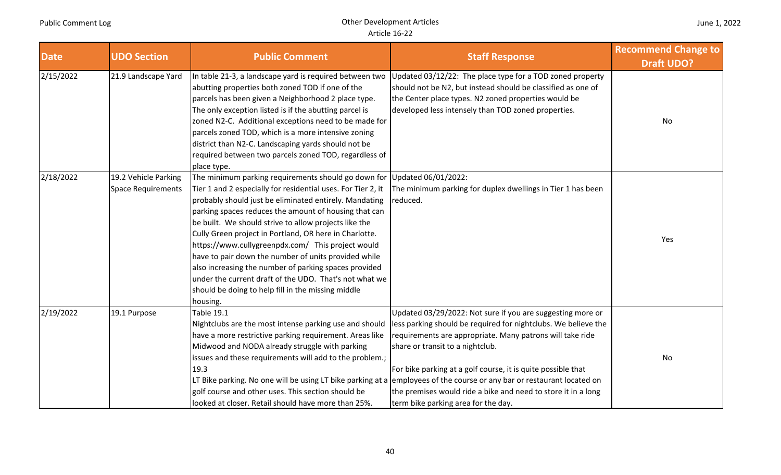| <b>Date</b> | <b>UDO Section</b>                                | <b>Public Comment</b>                                                                                                                                                                                                                                                                                                                                                                                                                                                                                                                                                                                                                                                           | <b>Staff Response</b>                                                                                                                                                                                                                                                                                                                                                                                                                                                | <b>Recommend Change to</b><br><b>Draft UDO?</b> |
|-------------|---------------------------------------------------|---------------------------------------------------------------------------------------------------------------------------------------------------------------------------------------------------------------------------------------------------------------------------------------------------------------------------------------------------------------------------------------------------------------------------------------------------------------------------------------------------------------------------------------------------------------------------------------------------------------------------------------------------------------------------------|----------------------------------------------------------------------------------------------------------------------------------------------------------------------------------------------------------------------------------------------------------------------------------------------------------------------------------------------------------------------------------------------------------------------------------------------------------------------|-------------------------------------------------|
| 2/15/2022   | 21.9 Landscape Yard                               | In table 21-3, a landscape yard is required between two<br>abutting properties both zoned TOD if one of the<br>parcels has been given a Neighborhood 2 place type.<br>The only exception listed is if the abutting parcel is<br>zoned N2-C. Additional exceptions need to be made for<br>parcels zoned TOD, which is a more intensive zoning<br>district than N2-C. Landscaping yards should not be<br>required between two parcels zoned TOD, regardless of<br>place type.                                                                                                                                                                                                     | Updated 03/12/22: The place type for a TOD zoned property<br>should not be N2, but instead should be classified as one of<br>the Center place types. N2 zoned properties would be<br>developed less intensely than TOD zoned properties.                                                                                                                                                                                                                             | No                                              |
| 2/18/2022   | 19.2 Vehicle Parking<br><b>Space Requirements</b> | The minimum parking requirements should go down for Updated 06/01/2022:<br>Tier 1 and 2 especially for residential uses. For Tier 2, it<br>probably should just be eliminated entirely. Mandating<br>parking spaces reduces the amount of housing that can<br>be built. We should strive to allow projects like the<br>Cully Green project in Portland, OR here in Charlotte.<br>https://www.cullygreenpdx.com/ This project would<br>have to pair down the number of units provided while<br>also increasing the number of parking spaces provided<br>under the current draft of the UDO. That's not what we<br>should be doing to help fill in the missing middle<br>housing. | The minimum parking for duplex dwellings in Tier 1 has been<br>reduced.                                                                                                                                                                                                                                                                                                                                                                                              | Yes                                             |
| 2/19/2022   | 19.1 Purpose                                      | Table 19.1<br>Nightclubs are the most intense parking use and should<br>have a more restrictive parking requirement. Areas like<br>Midwood and NODA already struggle with parking<br>issues and these requirements will add to the problem.;<br>19.3<br>LT Bike parking. No one will be using LT bike parking at a<br>golf course and other uses. This section should be<br>looked at closer. Retail should have more than 25%.                                                                                                                                                                                                                                                 | Updated 03/29/2022: Not sure if you are suggesting more or<br>less parking should be required for nightclubs. We believe the<br>requirements are appropriate. Many patrons will take ride<br>share or transit to a nightclub.<br>For bike parking at a golf course, it is quite possible that<br>employees of the course or any bar or restaurant located on<br>the premises would ride a bike and need to store it in a long<br>term bike parking area for the day. | No                                              |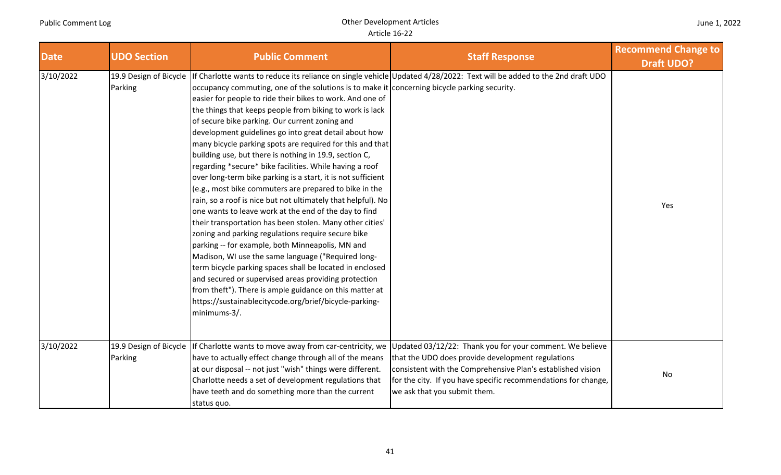| <b>Date</b> | <b>UDO Section</b>                | <b>Public Comment</b>                                                                                                                                                                                                                                                                                                                                                                                                                                                                                                                                                                                                                                                                                                                                                                                                                                                                                                                                                                                                                                                                                                                                                                                                                                      | <b>Staff Response</b>                                                                                                                                                                                                                                                          | <b>Recommend Change to</b><br><b>Draft UDO?</b> |
|-------------|-----------------------------------|------------------------------------------------------------------------------------------------------------------------------------------------------------------------------------------------------------------------------------------------------------------------------------------------------------------------------------------------------------------------------------------------------------------------------------------------------------------------------------------------------------------------------------------------------------------------------------------------------------------------------------------------------------------------------------------------------------------------------------------------------------------------------------------------------------------------------------------------------------------------------------------------------------------------------------------------------------------------------------------------------------------------------------------------------------------------------------------------------------------------------------------------------------------------------------------------------------------------------------------------------------|--------------------------------------------------------------------------------------------------------------------------------------------------------------------------------------------------------------------------------------------------------------------------------|-------------------------------------------------|
| 3/10/2022   | 19.9 Design of Bicycle<br>Parking | occupancy commuting, one of the solutions is to make it concerning bicycle parking security.<br>easier for people to ride their bikes to work. And one of<br>the things that keeps people from biking to work is lack<br>of secure bike parking. Our current zoning and<br>development guidelines go into great detail about how<br>many bicycle parking spots are required for this and that<br>building use, but there is nothing in 19.9, section C,<br>regarding *secure* bike facilities. While having a roof<br>over long-term bike parking is a start, it is not sufficient<br>(e.g., most bike commuters are prepared to bike in the<br>rain, so a roof is nice but not ultimately that helpful). No<br>one wants to leave work at the end of the day to find<br>their transportation has been stolen. Many other cities'<br>zoning and parking regulations require secure bike<br>parking -- for example, both Minneapolis, MN and<br>Madison, WI use the same language ("Required long-<br>term bicycle parking spaces shall be located in enclosed<br>and secured or supervised areas providing protection<br>from theft"). There is ample guidance on this matter at<br>https://sustainablecitycode.org/brief/bicycle-parking-<br>minimums-3/. | If Charlotte wants to reduce its reliance on single vehicle Updated 4/28/2022: Text will be added to the 2nd draft UDO                                                                                                                                                         | Yes                                             |
| 3/10/2022   | 19.9 Design of Bicycle<br>Parking | If Charlotte wants to move away from car-centricity, we<br>have to actually effect change through all of the means<br>at our disposal -- not just "wish" things were different.<br>Charlotte needs a set of development regulations that<br>have teeth and do something more than the current<br>status quo.                                                                                                                                                                                                                                                                                                                                                                                                                                                                                                                                                                                                                                                                                                                                                                                                                                                                                                                                               | Updated 03/12/22: Thank you for your comment. We believe<br>that the UDO does provide development regulations<br>consistent with the Comprehensive Plan's established vision<br>for the city. If you have specific recommendations for change,<br>we ask that you submit them. | No                                              |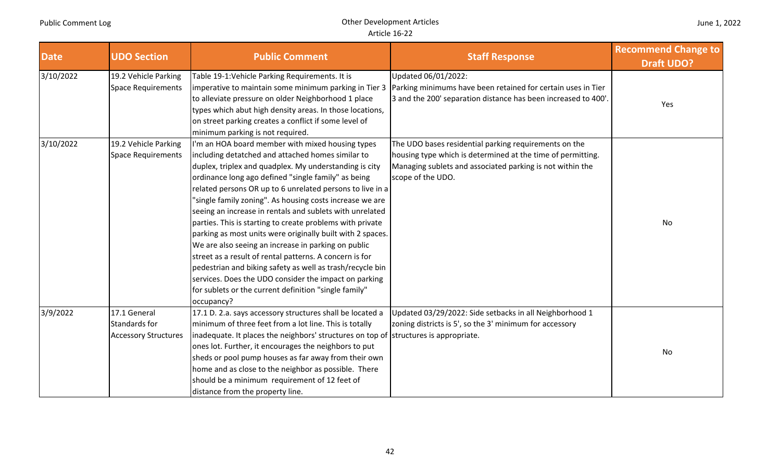| <b>Date</b> | <b>UDO Section</b>                                           | <b>Public Comment</b>                                                                                                                                                                                                                                                                                                                                                                                                                                                                                                                                                                                                                                                                                                                                                                                                                                 | <b>Staff Response</b>                                                                                                                                                                                  | <b>Recommend Change to</b><br><b>Draft UDO?</b> |
|-------------|--------------------------------------------------------------|-------------------------------------------------------------------------------------------------------------------------------------------------------------------------------------------------------------------------------------------------------------------------------------------------------------------------------------------------------------------------------------------------------------------------------------------------------------------------------------------------------------------------------------------------------------------------------------------------------------------------------------------------------------------------------------------------------------------------------------------------------------------------------------------------------------------------------------------------------|--------------------------------------------------------------------------------------------------------------------------------------------------------------------------------------------------------|-------------------------------------------------|
| 3/10/2022   | 19.2 Vehicle Parking<br><b>Space Requirements</b>            | Table 19-1: Vehicle Parking Requirements. It is<br>imperative to maintain some minimum parking in Tier 3<br>to alleviate pressure on older Neighborhood 1 place<br>types which abut high density areas. In those locations,<br>on street parking creates a conflict if some level of<br>minimum parking is not required.                                                                                                                                                                                                                                                                                                                                                                                                                                                                                                                              | Updated 06/01/2022:<br>Parking minimums have been retained for certain uses in Tier<br>3 and the 200' separation distance has been increased to 400'.                                                  | Yes                                             |
| 3/10/2022   | 19.2 Vehicle Parking<br>Space Requirements                   | I'm an HOA board member with mixed housing types<br>including detatched and attached homes similar to<br>duplex, triplex and quadplex. My understanding is city<br>ordinance long ago defined "single family" as being<br>related persons OR up to 6 unrelated persons to live in a<br>"single family zoning". As housing costs increase we are<br>seeing an increase in rentals and sublets with unrelated<br>parties. This is starting to create problems with private<br>parking as most units were originally built with 2 spaces.<br>We are also seeing an increase in parking on public<br>street as a result of rental patterns. A concern is for<br>pedestrian and biking safety as well as trash/recycle bin<br>services. Does the UDO consider the impact on parking<br>for sublets or the current definition "single family"<br>occupancy? | The UDO bases residential parking requirements on the<br>housing type which is determined at the time of permitting.<br>Managing sublets and associated parking is not within the<br>scope of the UDO. | No                                              |
| 3/9/2022    | 17.1 General<br>Standards for<br><b>Accessory Structures</b> | 17.1 D. 2.a. says accessory structures shall be located a<br>minimum of three feet from a lot line. This is totally<br>inadequate. It places the neighbors' structures on top of structures is appropriate.<br>ones lot. Further, it encourages the neighbors to put<br>sheds or pool pump houses as far away from their own<br>home and as close to the neighbor as possible. There<br>should be a minimum requirement of 12 feet of<br>distance from the property line.                                                                                                                                                                                                                                                                                                                                                                             | Updated 03/29/2022: Side setbacks in all Neighborhood 1<br>zoning districts is 5', so the 3' minimum for accessory                                                                                     | No                                              |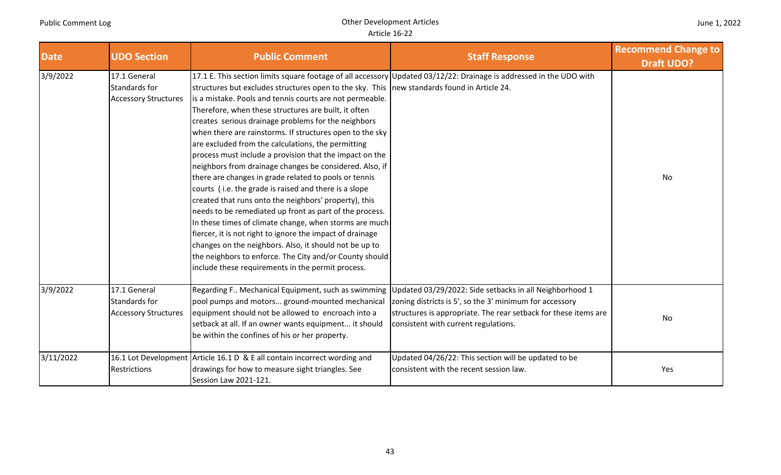| <b>Date</b> | <b>UDO Section</b>                                           | <b>Public Comment</b>                                                                                                                                                                                                                                                                                                                                                                                                                                                                                                                                                                                                                                                                                                                                                                                                                                                                                                                                                                                                                                 | <b>Staff Response</b>                                                                                                                                                                                                         | <b>Recommend Change to</b><br><b>Draft UDO?</b> |
|-------------|--------------------------------------------------------------|-------------------------------------------------------------------------------------------------------------------------------------------------------------------------------------------------------------------------------------------------------------------------------------------------------------------------------------------------------------------------------------------------------------------------------------------------------------------------------------------------------------------------------------------------------------------------------------------------------------------------------------------------------------------------------------------------------------------------------------------------------------------------------------------------------------------------------------------------------------------------------------------------------------------------------------------------------------------------------------------------------------------------------------------------------|-------------------------------------------------------------------------------------------------------------------------------------------------------------------------------------------------------------------------------|-------------------------------------------------|
| 3/9/2022    | 17.1 General<br>Standards for<br><b>Accessory Structures</b> | structures but excludes structures open to the sky. This new standards found in Article 24.<br>is a mistake. Pools and tennis courts are not permeable.<br>Therefore, when these structures are built, it often<br>creates serious drainage problems for the neighbors<br>when there are rainstorms. If structures open to the sky<br>are excluded from the calculations, the permitting<br>process must include a provision that the impact on the<br>neighbors from drainage changes be considered. Also, if<br>there are changes in grade related to pools or tennis<br>courts (i.e. the grade is raised and there is a slope<br>created that runs onto the neighbors' property), this<br>needs to be remediated up front as part of the process.<br>In these times of climate change, when storms are much<br>fiercer, it is not right to ignore the impact of drainage<br>changes on the neighbors. Also, it should not be up to<br>the neighbors to enforce. The City and/or County should<br>include these requirements in the permit process. | 17.1 E. This section limits square footage of all accessory Updated 03/12/22: Drainage is addressed in the UDO with                                                                                                           | <b>No</b>                                       |
| 3/9/2022    | 17.1 General<br>Standards for<br><b>Accessory Structures</b> | Regarding F Mechanical Equipment, such as swimming<br>pool pumps and motors ground-mounted mechanical<br>equipment should not be allowed to encroach into a<br>setback at all. If an owner wants equipment it should<br>be within the confines of his or her property.                                                                                                                                                                                                                                                                                                                                                                                                                                                                                                                                                                                                                                                                                                                                                                                | Updated 03/29/2022: Side setbacks in all Neighborhood 1<br>zoning districts is 5', so the 3' minimum for accessory<br>structures is appropriate. The rear setback for these items are<br>consistent with current regulations. | No                                              |
| 3/11/2022   | Restrictions                                                 | 16.1 Lot Development Article 16.1 D & E all contain incorrect wording and<br>drawings for how to measure sight triangles. See<br>Session Law 2021-121.                                                                                                                                                                                                                                                                                                                                                                                                                                                                                                                                                                                                                                                                                                                                                                                                                                                                                                | Updated 04/26/22: This section will be updated to be<br>consistent with the recent session law.                                                                                                                               | Yes                                             |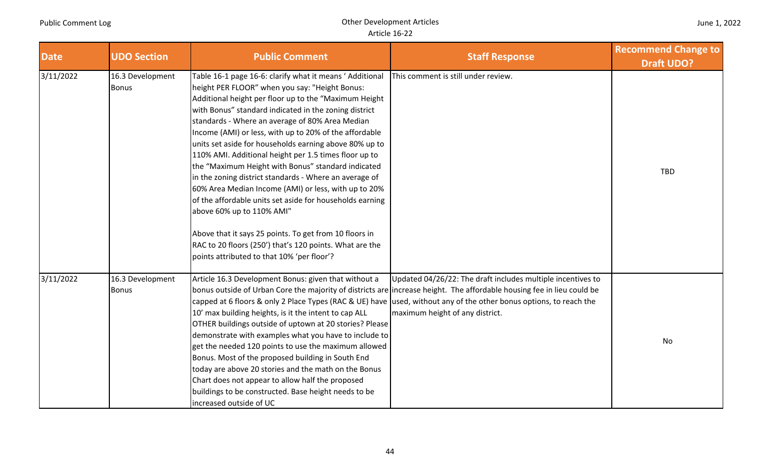| June 1, 2022 |
|--------------|
|--------------|

| <b>Date</b> | <b>UDO Section</b>               | <b>Public Comment</b>                                                                                                                                                                                                                                                                                                                                                                                                                                                                                                                                                                                                                                                                                                                                                                                                                                                                           | <b>Staff Response</b>                                                                                                                                                                                                                                                                                                                           | <b>Recommend Change to</b><br><b>Draft UDO?</b> |
|-------------|----------------------------------|-------------------------------------------------------------------------------------------------------------------------------------------------------------------------------------------------------------------------------------------------------------------------------------------------------------------------------------------------------------------------------------------------------------------------------------------------------------------------------------------------------------------------------------------------------------------------------------------------------------------------------------------------------------------------------------------------------------------------------------------------------------------------------------------------------------------------------------------------------------------------------------------------|-------------------------------------------------------------------------------------------------------------------------------------------------------------------------------------------------------------------------------------------------------------------------------------------------------------------------------------------------|-------------------------------------------------|
| 3/11/2022   | 16.3 Development<br><b>Bonus</b> | Table 16-1 page 16-6: clarify what it means 'Additional<br>height PER FLOOR" when you say: "Height Bonus:<br>Additional height per floor up to the "Maximum Height<br>with Bonus" standard indicated in the zoning district<br>standards - Where an average of 80% Area Median<br>Income (AMI) or less, with up to 20% of the affordable<br>units set aside for households earning above 80% up to<br>110% AMI. Additional height per 1.5 times floor up to<br>the "Maximum Height with Bonus" standard indicated<br>in the zoning district standards - Where an average of<br>60% Area Median Income (AMI) or less, with up to 20%<br>of the affordable units set aside for households earning<br>above 60% up to 110% AMI"<br>Above that it says 25 points. To get from 10 floors in<br>RAC to 20 floors (250') that's 120 points. What are the<br>points attributed to that 10% 'per floor'? | This comment is still under review.                                                                                                                                                                                                                                                                                                             | <b>TBD</b>                                      |
| 3/11/2022   | 16.3 Development<br><b>Bonus</b> | Article 16.3 Development Bonus: given that without a<br>10' max building heights, is it the intent to cap ALL<br>OTHER buildings outside of uptown at 20 stories? Please<br>demonstrate with examples what you have to include to<br>get the needed 120 points to use the maximum allowed<br>Bonus. Most of the proposed building in South End<br>today are above 20 stories and the math on the Bonus<br>Chart does not appear to allow half the proposed<br>buildings to be constructed. Base height needs to be<br>increased outside of UC                                                                                                                                                                                                                                                                                                                                                   | Updated 04/26/22: The draft includes multiple incentives to<br>bonus outside of Urban Core the majority of districts are lincrease height. The affordable housing fee in lieu could be<br>capped at 6 floors & only 2 Place Types (RAC & UE) have used, without any of the other bonus options, to reach the<br>maximum height of any district. | No                                              |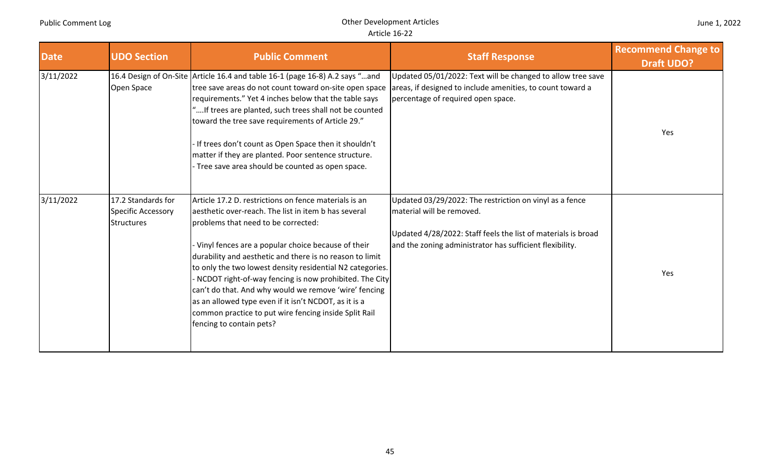| <b>Date</b> | <b>UDO Section</b>                                            | <b>Public Comment</b>                                                                                                                                                                                                                                                                                                                                                                                                                                                                                                                                                                                | <b>Staff Response</b>                                                                                                                                                                                             | <b>Recommend Change to</b><br><b>Draft UDO?</b> |
|-------------|---------------------------------------------------------------|------------------------------------------------------------------------------------------------------------------------------------------------------------------------------------------------------------------------------------------------------------------------------------------------------------------------------------------------------------------------------------------------------------------------------------------------------------------------------------------------------------------------------------------------------------------------------------------------------|-------------------------------------------------------------------------------------------------------------------------------------------------------------------------------------------------------------------|-------------------------------------------------|
| 3/11/2022   | Open Space                                                    | 16.4 Design of On-Site Article 16.4 and table 16-1 (page 16-8) A.2 says "and<br>tree save areas do not count toward on-site open space<br>requirements." Yet 4 inches below that the table says<br>"If trees are planted, such trees shall not be counted<br>toward the tree save requirements of Article 29."<br>If trees don't count as Open Space then it shouldn't<br>matter if they are planted. Poor sentence structure.<br>Tree save area should be counted as open space.                                                                                                                    | Updated 05/01/2022: Text will be changed to allow tree save<br>areas, if designed to include amenities, to count toward a<br>percentage of required open space.                                                   | Yes                                             |
| 3/11/2022   | 17.2 Standards for<br>Specific Accessory<br><b>Structures</b> | Article 17.2 D. restrictions on fence materials is an<br>aesthetic over-reach. The list in item b has several<br>problems that need to be corrected:<br>Vinyl fences are a popular choice because of their<br>durability and aesthetic and there is no reason to limit<br>to only the two lowest density residential N2 categories.<br>NCDOT right-of-way fencing is now prohibited. The City<br>can't do that. And why would we remove 'wire' fencing<br>as an allowed type even if it isn't NCDOT, as it is a<br>common practice to put wire fencing inside Split Rail<br>fencing to contain pets? | Updated 03/29/2022: The restriction on vinyl as a fence<br>material will be removed.<br>Updated 4/28/2022: Staff feels the list of materials is broad<br>and the zoning administrator has sufficient flexibility. | Yes                                             |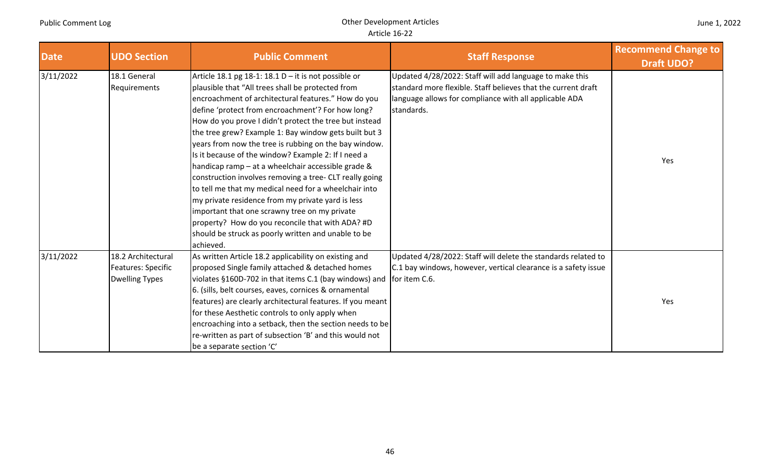| June 1, 2022 |  |  |  |
|--------------|--|--|--|
|--------------|--|--|--|

| <b>Date</b> | <b>UDO Section</b>        | <b>Public Comment</b>                                      | <b>Staff Response</b>                                          | <b>Recommend Change to</b><br><b>Draft UDO?</b> |
|-------------|---------------------------|------------------------------------------------------------|----------------------------------------------------------------|-------------------------------------------------|
| 3/11/2022   | 18.1 General              | Article 18.1 pg 18-1: 18.1 $D - it$ is not possible or     | Updated 4/28/2022: Staff will add language to make this        |                                                 |
|             | Requirements              | plausible that "All trees shall be protected from          | standard more flexible. Staff believes that the current draft  |                                                 |
|             |                           | encroachment of architectural features." How do you        | language allows for compliance with all applicable ADA         |                                                 |
|             |                           | define 'protect from encroachment'? For how long?          | standards.                                                     |                                                 |
|             |                           | How do you prove I didn't protect the tree but instead     |                                                                |                                                 |
|             |                           | the tree grew? Example 1: Bay window gets built but 3      |                                                                |                                                 |
|             |                           | years from now the tree is rubbing on the bay window.      |                                                                |                                                 |
|             |                           | Is it because of the window? Example 2: If I need a        |                                                                | Yes                                             |
|             |                           | handicap ramp – at a wheelchair accessible grade &         |                                                                |                                                 |
|             |                           | construction involves removing a tree- CLT really going    |                                                                |                                                 |
|             |                           | to tell me that my medical need for a wheelchair into      |                                                                |                                                 |
|             |                           | my private residence from my private yard is less          |                                                                |                                                 |
|             |                           | important that one scrawny tree on my private              |                                                                |                                                 |
|             |                           | property? How do you reconcile that with ADA? #D           |                                                                |                                                 |
|             |                           | should be struck as poorly written and unable to be        |                                                                |                                                 |
|             |                           | achieved.                                                  |                                                                |                                                 |
| 3/11/2022   | 18.2 Architectural        | As written Article 18.2 applicability on existing and      | Updated 4/28/2022: Staff will delete the standards related to  |                                                 |
|             | <b>Features: Specific</b> | proposed Single family attached & detached homes           | C.1 bay windows, however, vertical clearance is a safety issue |                                                 |
|             | <b>Dwelling Types</b>     | violates §160D-702 in that items C.1 (bay windows) and     | for item C.6.                                                  |                                                 |
|             |                           | 6. (sills, belt courses, eaves, cornices & ornamental      |                                                                |                                                 |
|             |                           | features) are clearly architectural features. If you meant |                                                                | Yes                                             |
|             |                           | for these Aesthetic controls to only apply when            |                                                                |                                                 |
|             |                           | encroaching into a setback, then the section needs to be   |                                                                |                                                 |
|             |                           | re-written as part of subsection 'B' and this would not    |                                                                |                                                 |
|             |                           | be a separate section 'C'                                  |                                                                |                                                 |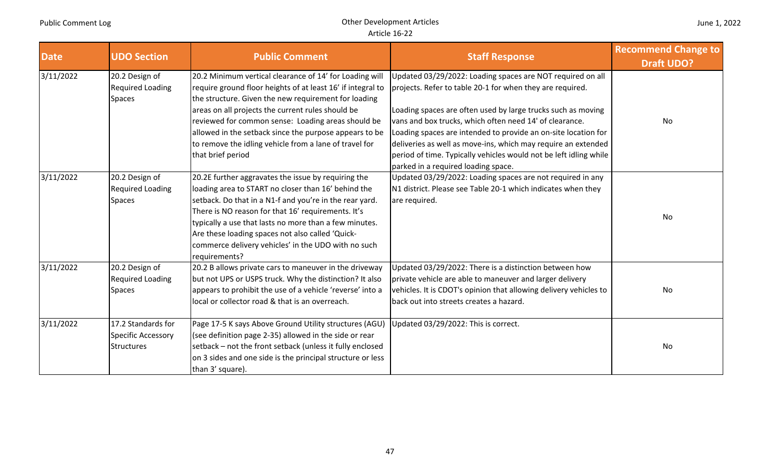| <b>Date</b> | <b>UDO Section</b>                                            | <b>Public Comment</b>                                                                                                                                                                                                                                                                                                                                                                                                              | <b>Staff Response</b>                                                                                                                                                                                                                                                                                                                                                                                                                                                                             | <b>Recommend Change to</b><br><b>Draft UDO?</b> |
|-------------|---------------------------------------------------------------|------------------------------------------------------------------------------------------------------------------------------------------------------------------------------------------------------------------------------------------------------------------------------------------------------------------------------------------------------------------------------------------------------------------------------------|---------------------------------------------------------------------------------------------------------------------------------------------------------------------------------------------------------------------------------------------------------------------------------------------------------------------------------------------------------------------------------------------------------------------------------------------------------------------------------------------------|-------------------------------------------------|
| 3/11/2022   | 20.2 Design of<br><b>Required Loading</b><br><b>Spaces</b>    | 20.2 Minimum vertical clearance of 14' for Loading will<br>require ground floor heights of at least 16' if integral to<br>the structure. Given the new requirement for loading<br>areas on all projects the current rules should be<br>reviewed for common sense: Loading areas should be<br>allowed in the setback since the purpose appears to be<br>to remove the idling vehicle from a lane of travel for<br>that brief period | Updated 03/29/2022: Loading spaces are NOT required on all<br>projects. Refer to table 20-1 for when they are required.<br>Loading spaces are often used by large trucks such as moving<br>vans and box trucks, which often need 14' of clearance.<br>Loading spaces are intended to provide an on-site location for<br>deliveries as well as move-ins, which may require an extended<br>period of time. Typically vehicles would not be left idling while<br>parked in a required loading space. | No                                              |
| 3/11/2022   | 20.2 Design of<br><b>Required Loading</b><br><b>Spaces</b>    | 20.2E further aggravates the issue by requiring the<br>loading area to START no closer than 16' behind the<br>setback. Do that in a N1-f and you're in the rear yard.<br>There is NO reason for that 16' requirements. It's<br>typically a use that lasts no more than a few minutes.<br>Are these loading spaces not also called 'Quick-<br>commerce delivery vehicles' in the UDO with no such<br>requirements?                  | Updated 03/29/2022: Loading spaces are not required in any<br>N1 district. Please see Table 20-1 which indicates when they<br>are required.                                                                                                                                                                                                                                                                                                                                                       | No                                              |
| 3/11/2022   | 20.2 Design of<br><b>Required Loading</b><br><b>Spaces</b>    | 20.2 B allows private cars to maneuver in the driveway<br>but not UPS or USPS truck. Why the distinction? It also<br>appears to prohibit the use of a vehicle 'reverse' into a<br>local or collector road & that is an overreach.                                                                                                                                                                                                  | Updated 03/29/2022: There is a distinction between how<br>private vehicle are able to maneuver and larger delivery<br>vehicles. It is CDOT's opinion that allowing delivery vehicles to<br>back out into streets creates a hazard.                                                                                                                                                                                                                                                                | No                                              |
| 3/11/2022   | 17.2 Standards for<br>Specific Accessory<br><b>Structures</b> | Page 17-5 K says Above Ground Utility structures (AGU)<br>(see definition page 2-35) allowed in the side or rear<br>setback - not the front setback (unless it fully enclosed<br>on 3 sides and one side is the principal structure or less<br>than 3' square).                                                                                                                                                                    | Updated 03/29/2022: This is correct.                                                                                                                                                                                                                                                                                                                                                                                                                                                              | No                                              |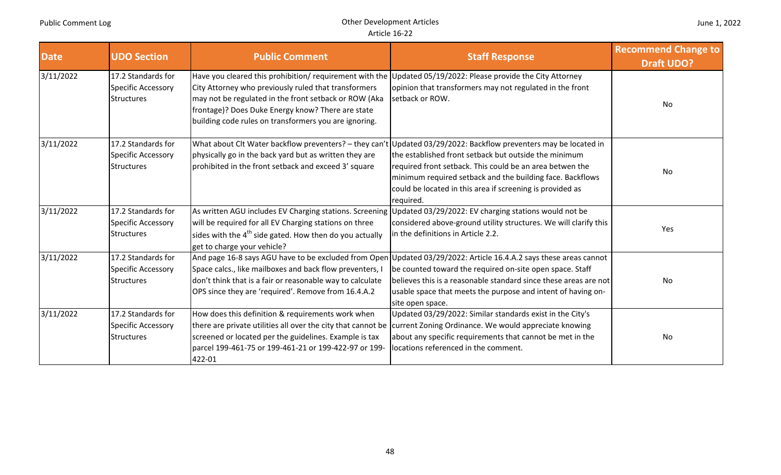| <b>Date</b> | <b>UDO Section</b>                                                   | <b>Public Comment</b>                                                                                                                                                                                                                                                                                                                      | <b>Staff Response</b>                                                                                                                                                                                                                                                                                                                                                        | <b>Recommend Change to</b><br><b>Draft UDO?</b> |
|-------------|----------------------------------------------------------------------|--------------------------------------------------------------------------------------------------------------------------------------------------------------------------------------------------------------------------------------------------------------------------------------------------------------------------------------------|------------------------------------------------------------------------------------------------------------------------------------------------------------------------------------------------------------------------------------------------------------------------------------------------------------------------------------------------------------------------------|-------------------------------------------------|
| 3/11/2022   | 17.2 Standards for<br>Specific Accessory<br><b>Structures</b>        | Have you cleared this prohibition/requirement with the Updated 05/19/2022: Please provide the City Attorney<br>City Attorney who previously ruled that transformers<br>may not be regulated in the front setback or ROW (Aka<br>frontage)? Does Duke Energy know? There are state<br>building code rules on transformers you are ignoring. | opinion that transformers may not regulated in the front<br>setback or ROW.                                                                                                                                                                                                                                                                                                  | No                                              |
| 3/11/2022   | 17.2 Standards for<br><b>Specific Accessory</b><br><b>Structures</b> | physically go in the back yard but as written they are<br>prohibited in the front setback and exceed 3' square                                                                                                                                                                                                                             | What about Clt Water backflow preventers? - they can't Updated 03/29/2022: Backflow preventers may be located in<br>the established front setback but outside the minimum<br>required front setback. This could be an area betwen the<br>minimum required setback and the building face. Backflows<br>could be located in this area if screening is provided as<br>required. | No                                              |
| 3/11/2022   | 17.2 Standards for<br>Specific Accessory<br><b>Structures</b>        | will be required for all EV Charging stations on three<br>sides with the 4 <sup>th</sup> side gated. How then do you actually<br>get to charge your vehicle?                                                                                                                                                                               | As written AGU includes EV Charging stations. Screening Updated 03/29/2022: EV charging stations would not be<br>considered above-ground utility structures. We will clarify this<br>in the definitions in Article 2.2.                                                                                                                                                      | Yes                                             |
| 3/11/2022   | 17.2 Standards for<br>Specific Accessory<br><b>Structures</b>        | Space calcs., like mailboxes and back flow preventers, I<br>don't think that is a fair or reasonable way to calculate<br>OPS since they are 'required'. Remove from 16.4.A.2                                                                                                                                                               | And page 16-8 says AGU have to be excluded from Open Updated 03/29/2022: Article 16.4.A.2 says these areas cannot<br>be counted toward the required on-site open space. Staff<br>believes this is a reasonable standard since these areas are not<br>usable space that meets the purpose and intent of having on-<br>site open space.                                        | No                                              |
| 3/11/2022   | 17.2 Standards for<br><b>Specific Accessory</b><br><b>Structures</b> | How does this definition & requirements work when<br>screened or located per the guidelines. Example is tax<br>parcel 199-461-75 or 199-461-21 or 199-422-97 or 199-<br>422-01                                                                                                                                                             | Updated 03/29/2022: Similar standards exist in the City's<br>there are private utilities all over the city that cannot be current Zoning Ordinance. We would appreciate knowing<br>about any specific requirements that cannot be met in the<br>locations referenced in the comment.                                                                                         | No                                              |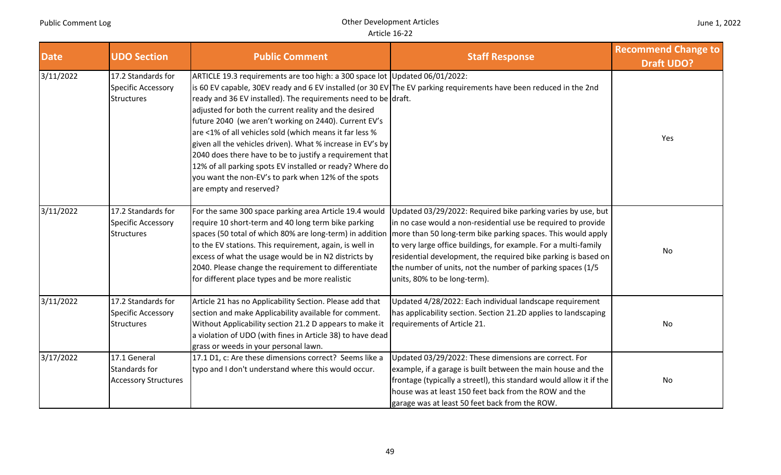| <b>Date</b> | <b>UDO Section</b>                                                   | <b>Public Comment</b>                                                                                                                                                                                                                                                                                                                                                                                                                                                                                                                                                                              | <b>Staff Response</b>                                                                                                                                                                                                                                                                                                                                                                                                            | <b>Recommend Change to</b><br><b>Draft UDO?</b> |
|-------------|----------------------------------------------------------------------|----------------------------------------------------------------------------------------------------------------------------------------------------------------------------------------------------------------------------------------------------------------------------------------------------------------------------------------------------------------------------------------------------------------------------------------------------------------------------------------------------------------------------------------------------------------------------------------------------|----------------------------------------------------------------------------------------------------------------------------------------------------------------------------------------------------------------------------------------------------------------------------------------------------------------------------------------------------------------------------------------------------------------------------------|-------------------------------------------------|
| 3/11/2022   | 17.2 Standards for<br>Specific Accessory<br><b>Structures</b>        | ARTICLE 19.3 requirements are too high: a 300 space lot Updated 06/01/2022:<br>ready and 36 EV installed). The requirements need to be draft.<br>adjusted for both the current reality and the desired<br>future 2040 (we aren't working on 2440). Current EV's<br>are <1% of all vehicles sold (which means it far less %<br>given all the vehicles driven). What % increase in EV's by<br>2040 does there have to be to justify a requirement that<br>12% of all parking spots EV installed or ready? Where do<br>you want the non-EV's to park when 12% of the spots<br>are empty and reserved? | is 60 EV capable, 30EV ready and 6 EV installed (or 30 EV The EV parking requirements have been reduced in the 2nd                                                                                                                                                                                                                                                                                                               | Yes                                             |
| 3/11/2022   | 17.2 Standards for<br><b>Specific Accessory</b><br><b>Structures</b> | For the same 300 space parking area Article 19.4 would<br>require 10 short-term and 40 long term bike parking<br>spaces (50 total of which 80% are long-term) in addition<br>to the EV stations. This requirement, again, is well in<br>excess of what the usage would be in N2 districts by<br>2040. Please change the requirement to differentiate<br>for different place types and be more realistic                                                                                                                                                                                            | Updated 03/29/2022: Required bike parking varies by use, but<br>in no case would a non-residential use be required to provide<br>more than 50 long-term bike parking spaces. This would apply<br>to very large office buildings, for example. For a multi-family<br>residential development, the required bike parking is based on<br>the number of units, not the number of parking spaces (1/5<br>units, 80% to be long-term). | <b>No</b>                                       |
| 3/11/2022   | 17.2 Standards for<br>Specific Accessory<br><b>Structures</b>        | Article 21 has no Applicability Section. Please add that<br>section and make Applicability available for comment.<br>Without Applicability section 21.2 D appears to make it<br>a violation of UDO (with fines in Article 38) to have dead<br>grass or weeds in your personal lawn.                                                                                                                                                                                                                                                                                                                | Updated 4/28/2022: Each individual landscape requirement<br>has applicability section. Section 21.2D applies to landscaping<br>requirements of Article 21.                                                                                                                                                                                                                                                                       | No                                              |
| 3/17/2022   | 17.1 General<br>Standards for<br><b>Accessory Structures</b>         | 17.1 D1, c: Are these dimensions correct? Seems like a<br>typo and I don't understand where this would occur.                                                                                                                                                                                                                                                                                                                                                                                                                                                                                      | Updated 03/29/2022: These dimensions are correct. For<br>example, if a garage is built between the main house and the<br>frontage (typically a streetl), this standard would allow it if the<br>house was at least 150 feet back from the ROW and the<br>garage was at least 50 feet back from the ROW.                                                                                                                          | No                                              |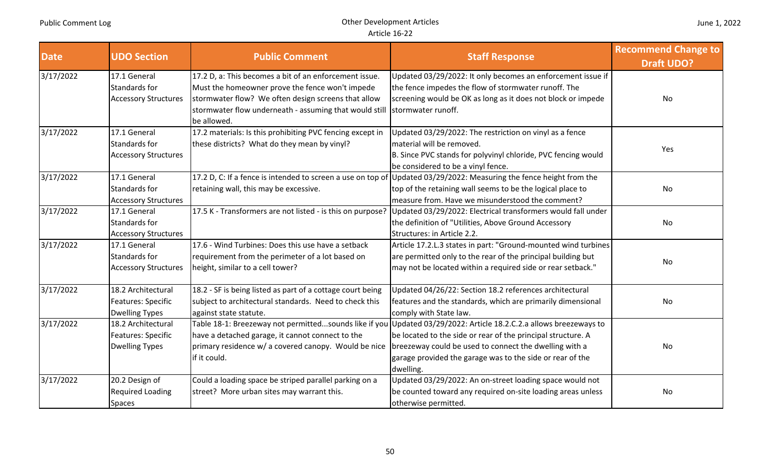| <b>Date</b> | <b>UDO Section</b>          | <b>Public Comment</b>                                                 | <b>Staff Response</b>                                                                                               | <b>Recommend Change to</b><br><b>Draft UDO?</b> |
|-------------|-----------------------------|-----------------------------------------------------------------------|---------------------------------------------------------------------------------------------------------------------|-------------------------------------------------|
| 3/17/2022   | 17.1 General                | 17.2 D, a: This becomes a bit of an enforcement issue.                | Updated 03/29/2022: It only becomes an enforcement issue if                                                         |                                                 |
|             | Standards for               | Must the homeowner prove the fence won't impede                       | the fence impedes the flow of stormwater runoff. The                                                                |                                                 |
|             | <b>Accessory Structures</b> | stormwater flow? We often design screens that allow                   | screening would be OK as long as it does not block or impede                                                        | No                                              |
|             |                             | stormwater flow underneath - assuming that would still<br>be allowed. | stormwater runoff.                                                                                                  |                                                 |
| 3/17/2022   | 17.1 General                | 17.2 materials: Is this prohibiting PVC fencing except in             | Updated 03/29/2022: The restriction on vinyl as a fence                                                             |                                                 |
|             | Standards for               | these districts? What do they mean by vinyl?                          | material will be removed.                                                                                           | Yes                                             |
|             | <b>Accessory Structures</b> |                                                                       | B. Since PVC stands for polyvinyl chloride, PVC fencing would                                                       |                                                 |
|             |                             |                                                                       | be considered to be a vinyl fence.                                                                                  |                                                 |
| 3/17/2022   | 17.1 General                |                                                                       | 17.2 D, C: If a fence is intended to screen a use on top of Updated 03/29/2022: Measuring the fence height from the |                                                 |
|             | Standards for               | retaining wall, this may be excessive.                                | top of the retaining wall seems to be the logical place to                                                          | No                                              |
|             | <b>Accessory Structures</b> |                                                                       | measure from. Have we misunderstood the comment?                                                                    |                                                 |
| 3/17/2022   | 17.1 General                | 17.5 K - Transformers are not listed - is this on purpose?            | Updated 03/29/2022: Electrical transformers would fall under                                                        |                                                 |
|             | Standards for               |                                                                       | the definition of "Utilities, Above Ground Accessory                                                                | No                                              |
|             | <b>Accessory Structures</b> |                                                                       | Structures: in Article 2.2.                                                                                         |                                                 |
| 3/17/2022   | 17.1 General                | 17.6 - Wind Turbines: Does this use have a setback                    | Article 17.2.L.3 states in part: "Ground-mounted wind turbines                                                      |                                                 |
|             | Standards for               | requirement from the perimeter of a lot based on                      | are permitted only to the rear of the principal building but                                                        | <b>No</b>                                       |
|             | <b>Accessory Structures</b> | height, similar to a cell tower?                                      | may not be located within a required side or rear setback."                                                         |                                                 |
| 3/17/2022   | 18.2 Architectural          | 18.2 - SF is being listed as part of a cottage court being            | Updated 04/26/22: Section 18.2 references architectural                                                             |                                                 |
|             | Features: Specific          | subject to architectural standards. Need to check this                | features and the standards, which are primarily dimensional                                                         | No                                              |
|             | <b>Dwelling Types</b>       | against state statute.                                                | comply with State law.                                                                                              |                                                 |
| 3/17/2022   | 18.2 Architectural          |                                                                       | Table 18-1: Breezeway not permittedsounds like if you Updated 03/29/2022: Article 18.2.C.2.a allows breezeways to   |                                                 |
|             | Features: Specific          | have a detached garage, it cannot connect to the                      | be located to the side or rear of the principal structure. A                                                        |                                                 |
|             | <b>Dwelling Types</b>       | primary residence w/ a covered canopy. Would be nice                  | breezeway could be used to connect the dwelling with a                                                              | No                                              |
|             |                             | if it could.                                                          | garage provided the garage was to the side or rear of the                                                           |                                                 |
|             |                             |                                                                       | dwelling.                                                                                                           |                                                 |
| 3/17/2022   | 20.2 Design of              | Could a loading space be striped parallel parking on a                | Updated 03/29/2022: An on-street loading space would not                                                            |                                                 |
|             | <b>Required Loading</b>     | street? More urban sites may warrant this.                            | be counted toward any required on-site loading areas unless                                                         | No                                              |
|             | <b>Spaces</b>               |                                                                       | otherwise permitted.                                                                                                |                                                 |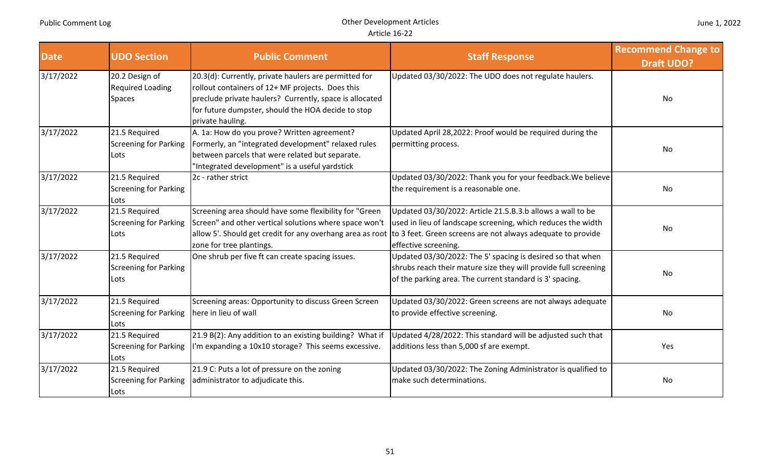| <b>Date</b> | <b>UDO Section</b>                                           | <b>Public Comment</b>                                                                                                                                                                                                                          | <b>Staff Response</b>                                                                                                                                                                                                                                                       | <b>Recommend Change to</b><br><b>Draft UDO?</b> |
|-------------|--------------------------------------------------------------|------------------------------------------------------------------------------------------------------------------------------------------------------------------------------------------------------------------------------------------------|-----------------------------------------------------------------------------------------------------------------------------------------------------------------------------------------------------------------------------------------------------------------------------|-------------------------------------------------|
| 3/17/2022   | 20.2 Design of<br><b>Required Loading</b><br><b>Spaces</b>   | 20.3(d): Currently, private haulers are permitted for<br>rollout containers of 12+ MF projects. Does this<br>preclude private haulers? Currently, space is allocated<br>for future dumpster, should the HOA decide to stop<br>private hauling. | Updated 03/30/2022: The UDO does not regulate haulers.                                                                                                                                                                                                                      | No                                              |
| 3/17/2022   | 21.5 Required<br>Screening for Parking<br>Lots               | A. 1a: How do you prove? Written agreement?<br>Formerly, an "integrated development" relaxed rules<br>between parcels that were related but separate.<br>'Integrated development" is a useful yardstick                                        | Updated April 28,2022: Proof would be required during the<br>permitting process.                                                                                                                                                                                            | No                                              |
| 3/17/2022   | 21.5 Required<br><b>Screening for Parking</b><br><b>Lots</b> | 2c - rather strict                                                                                                                                                                                                                             | Updated 03/30/2022: Thank you for your feedback. We believe<br>the requirement is a reasonable one.                                                                                                                                                                         | No                                              |
| 3/17/2022   | 21.5 Required<br>Screening for Parking<br>Lots               | Screening area should have some flexibility for "Green<br>Screen" and other vertical solutions where space won't<br>zone for tree plantings.                                                                                                   | Updated 03/30/2022: Article 21.5.B.3.b allows a wall to be<br>used in lieu of landscape screening, which reduces the width<br>allow 5'. Should get credit for any overhang area as root to 3 feet. Green screens are not always adequate to provide<br>effective screening. | No                                              |
| 3/17/2022   | 21.5 Required<br>Screening for Parking<br>Lots               | One shrub per five ft can create spacing issues.                                                                                                                                                                                               | Updated 03/30/2022: The 5' spacing is desired so that when<br>shrubs reach their mature size they will provide full screening<br>of the parking area. The current standard is 3' spacing.                                                                                   | No                                              |
| 3/17/2022   | 21.5 Required<br><b>Screening for Parking</b><br>Lots        | Screening areas: Opportunity to discuss Green Screen<br>here in lieu of wall                                                                                                                                                                   | Updated 03/30/2022: Green screens are not always adequate<br>to provide effective screening.                                                                                                                                                                                | No                                              |
| 3/17/2022   | 21.5 Required<br><b>Screening for Parking</b><br>Lots        | 21.9 B(2): Any addition to an existing building? What if<br>I'm expanding a 10x10 storage? This seems excessive.                                                                                                                               | Updated 4/28/2022: This standard will be adjusted such that<br>additions less than 5,000 sf are exempt.                                                                                                                                                                     | Yes                                             |
| 3/17/2022   | 21.5 Required<br><b>Screening for Parking</b><br>Lots        | 21.9 C: Puts a lot of pressure on the zoning<br>administrator to adjudicate this.                                                                                                                                                              | Updated 03/30/2022: The Zoning Administrator is qualified to<br>make such determinations.                                                                                                                                                                                   | No                                              |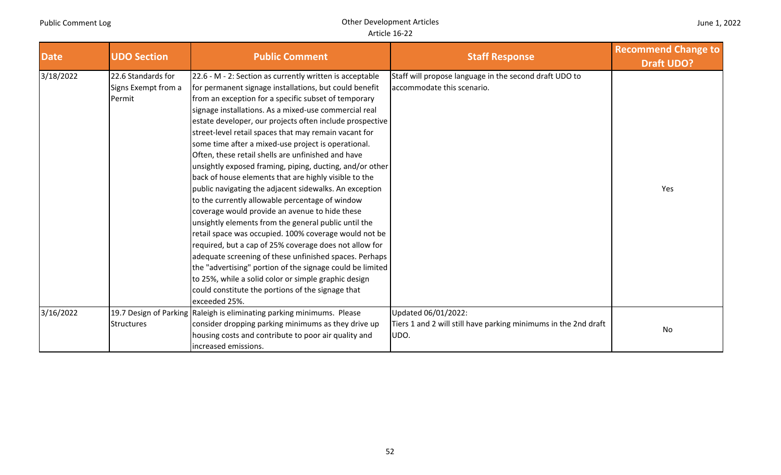| June 1, 2022 |
|--------------|
|--------------|

| <b>Date</b> | <b>UDO Section</b>                                  | <b>Public Comment</b>                                                                                                                                                                                                                                                                                                                                                                                                                                                                                                                                                                                                                                                                                                                                                                                                                                                                                                                                                                                                                                                                                                                                                                     | <b>Staff Response</b>                                                                          | <b>Recommend Change to</b><br><b>Draft UDO?</b> |
|-------------|-----------------------------------------------------|-------------------------------------------------------------------------------------------------------------------------------------------------------------------------------------------------------------------------------------------------------------------------------------------------------------------------------------------------------------------------------------------------------------------------------------------------------------------------------------------------------------------------------------------------------------------------------------------------------------------------------------------------------------------------------------------------------------------------------------------------------------------------------------------------------------------------------------------------------------------------------------------------------------------------------------------------------------------------------------------------------------------------------------------------------------------------------------------------------------------------------------------------------------------------------------------|------------------------------------------------------------------------------------------------|-------------------------------------------------|
| 3/18/2022   | 22.6 Standards for<br>Signs Exempt from a<br>Permit | 22.6 - M - 2: Section as currently written is acceptable<br>for permanent signage installations, but could benefit<br>from an exception for a specific subset of temporary<br>signage installations. As a mixed-use commercial real<br>estate developer, our projects often include prospective<br>street-level retail spaces that may remain vacant for<br>some time after a mixed-use project is operational.<br>Often, these retail shells are unfinished and have<br>unsightly exposed framing, piping, ducting, and/or other<br>back of house elements that are highly visible to the<br>public navigating the adjacent sidewalks. An exception<br>to the currently allowable percentage of window<br>coverage would provide an avenue to hide these<br>unsightly elements from the general public until the<br>retail space was occupied. 100% coverage would not be<br>required, but a cap of 25% coverage does not allow for<br>adequate screening of these unfinished spaces. Perhaps<br>the "advertising" portion of the signage could be limited<br>to 25%, while a solid color or simple graphic design<br>could constitute the portions of the signage that<br>exceeded 25%. | Staff will propose language in the second draft UDO to<br>accommodate this scenario.           | Yes                                             |
| 3/16/2022   | <b>Structures</b>                                   | 19.7 Design of Parking Raleigh is eliminating parking minimums. Please<br>consider dropping parking minimums as they drive up<br>housing costs and contribute to poor air quality and<br>increased emissions.                                                                                                                                                                                                                                                                                                                                                                                                                                                                                                                                                                                                                                                                                                                                                                                                                                                                                                                                                                             | Updated 06/01/2022:<br>Tiers 1 and 2 will still have parking minimums in the 2nd draft<br>UDO. | No                                              |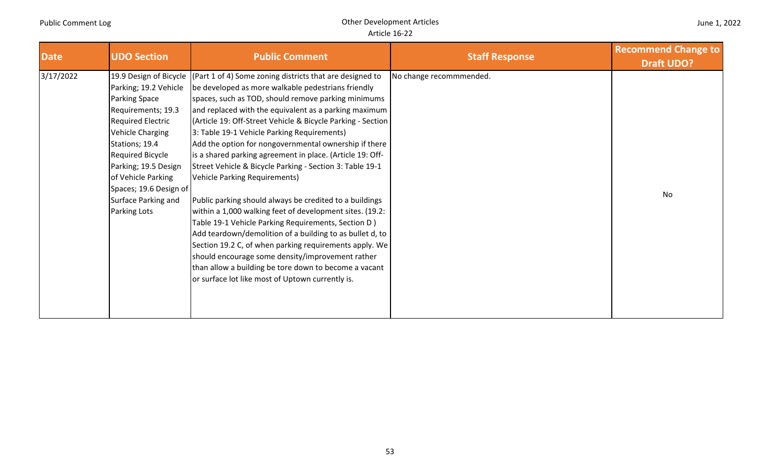|  |  | June 1, 2022 |  |
|--|--|--------------|--|
|--|--|--------------|--|

| <b>Date</b> | <b>UDO Section</b>                                                                                                                                                                                                                                                                     | <b>Public Comment</b>                                                                                                                                                                                                                                                                                                                                                                                                                                                                                                                                                                                                                                                                                                                                                                                                                                                                                                                                                                                                                                                  | <b>Staff Response</b>   | <b>Recommend Change to</b><br><b>Draft UDO?</b> |
|-------------|----------------------------------------------------------------------------------------------------------------------------------------------------------------------------------------------------------------------------------------------------------------------------------------|------------------------------------------------------------------------------------------------------------------------------------------------------------------------------------------------------------------------------------------------------------------------------------------------------------------------------------------------------------------------------------------------------------------------------------------------------------------------------------------------------------------------------------------------------------------------------------------------------------------------------------------------------------------------------------------------------------------------------------------------------------------------------------------------------------------------------------------------------------------------------------------------------------------------------------------------------------------------------------------------------------------------------------------------------------------------|-------------------------|-------------------------------------------------|
| 3/17/2022   | Parking; 19.2 Vehicle<br><b>Parking Space</b><br>Requirements; 19.3<br><b>Required Electric</b><br><b>Vehicle Charging</b><br>Stations; 19.4<br><b>Required Bicycle</b><br>Parking; 19.5 Design<br>of Vehicle Parking<br>Spaces; 19.6 Design of<br>Surface Parking and<br>Parking Lots | 19.9 Design of Bicycle   (Part 1 of 4) Some zoning districts that are designed to<br>be developed as more walkable pedestrians friendly<br>spaces, such as TOD, should remove parking minimums<br>and replaced with the equivalent as a parking maximum<br> (Article 19: Off-Street Vehicle & Bicycle Parking - Section)<br>3: Table 19-1 Vehicle Parking Requirements)<br>Add the option for nongovernmental ownership if there<br>is a shared parking agreement in place. (Article 19: Off-<br>Street Vehicle & Bicycle Parking - Section 3: Table 19-1<br><b>Vehicle Parking Requirements)</b><br>Public parking should always be credited to a buildings<br>within a 1,000 walking feet of development sites. (19.2:<br>Table 19-1 Vehicle Parking Requirements, Section D)<br>Add teardown/demolition of a building to as bullet d, to<br>Section 19.2 C, of when parking requirements apply. We<br>should encourage some density/improvement rather<br>than allow a building be tore down to become a vacant<br>or surface lot like most of Uptown currently is. | No change recommmended. | <b>No</b>                                       |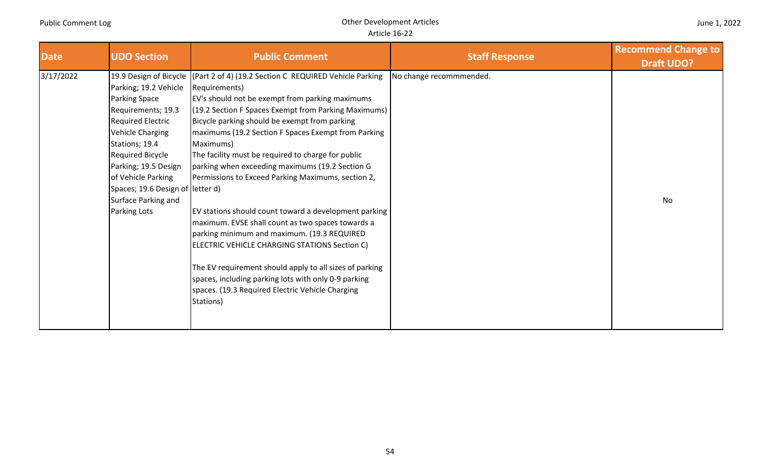| <b>Date</b> | <b>UDO Section</b>                                                                                                                                                                                                                                                                                           | <b>Public Comment</b>                                                                                                                                                                                                                                                                                                                                                                                                                                                                                                                                                                                                                                                                                                                                                                                                                                                    | <b>Staff Response</b>   | <b>Recommend Change to</b><br><b>Draft UDO?</b> |
|-------------|--------------------------------------------------------------------------------------------------------------------------------------------------------------------------------------------------------------------------------------------------------------------------------------------------------------|--------------------------------------------------------------------------------------------------------------------------------------------------------------------------------------------------------------------------------------------------------------------------------------------------------------------------------------------------------------------------------------------------------------------------------------------------------------------------------------------------------------------------------------------------------------------------------------------------------------------------------------------------------------------------------------------------------------------------------------------------------------------------------------------------------------------------------------------------------------------------|-------------------------|-------------------------------------------------|
| 3/17/2022   | 19.9 Design of Bicycle<br>Parking; 19.2 Vehicle<br>Parking Space<br>Requirements; 19.3<br><b>Required Electric</b><br>Vehicle Charging<br>Stations; 19.4<br><b>Required Bicycle</b><br>Parking; 19.5 Design<br>of Vehicle Parking<br>Spaces; 19.6 Design of letter d)<br>Surface Parking and<br>Parking Lots | (Part 2 of 4) (19.2 Section C REQUIRED Vehicle Parking<br>Requirements)<br>EV's should not be exempt from parking maximums<br>(19.2 Section F Spaces Exempt from Parking Maximums)<br>Bicycle parking should be exempt from parking<br>maximums (19.2 Section F Spaces Exempt from Parking<br>Maximums)<br>The facility must be required to charge for public<br>parking when exceeding maximums (19.2 Section G<br>Permissions to Exceed Parking Maximums, section 2,<br>EV stations should count toward a development parking<br>maximum. EVSE shall count as two spaces towards a<br>parking minimum and maximum. (19.3 REQUIRED<br>ELECTRIC VEHICLE CHARGING STATIONS Section C)<br>The EV requirement should apply to all sizes of parking<br>spaces, including parking lots with only 0-9 parking<br>spaces. (19.3 Required Electric Vehicle Charging<br>Stations) | No change recommmended. | No                                              |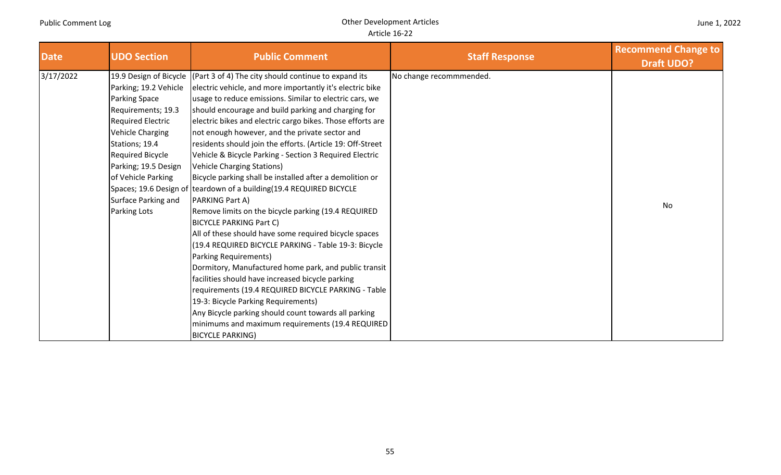| June 1, 2022 |  |  |
|--------------|--|--|
|--------------|--|--|

| <b>Date</b> | <b>UDO Section</b>                                                                                                                                                                                                                             | <b>Public Comment</b>                                                                                                                                                                                                                                                                                                                                                                                                                                                                                                                                                                                                                                                                                                                                                                                                                                                                                                                                                                                                                                                                                                                                                                                                                                 | <b>Staff Response</b>   | <b>Recommend Change to</b><br><b>Draft UDO?</b> |
|-------------|------------------------------------------------------------------------------------------------------------------------------------------------------------------------------------------------------------------------------------------------|-------------------------------------------------------------------------------------------------------------------------------------------------------------------------------------------------------------------------------------------------------------------------------------------------------------------------------------------------------------------------------------------------------------------------------------------------------------------------------------------------------------------------------------------------------------------------------------------------------------------------------------------------------------------------------------------------------------------------------------------------------------------------------------------------------------------------------------------------------------------------------------------------------------------------------------------------------------------------------------------------------------------------------------------------------------------------------------------------------------------------------------------------------------------------------------------------------------------------------------------------------|-------------------------|-------------------------------------------------|
| 3/17/2022   | Parking; 19.2 Vehicle<br><b>Parking Space</b><br>Requirements; 19.3<br><b>Required Electric</b><br>Vehicle Charging<br>Stations; 19.4<br>Required Bicycle<br>Parking; 19.5 Design<br>of Vehicle Parking<br>Surface Parking and<br>Parking Lots | 19.9 Design of Bicycle $ (Part 3 of 4)$ The city should continue to expand its<br>electric vehicle, and more importantly it's electric bike<br>usage to reduce emissions. Similar to electric cars, we<br>should encourage and build parking and charging for<br>electric bikes and electric cargo bikes. Those efforts are<br>not enough however, and the private sector and<br>residents should join the efforts. (Article 19: Off-Street<br>Vehicle & Bicycle Parking - Section 3 Required Electric<br>Vehicle Charging Stations)<br>Bicycle parking shall be installed after a demolition or<br>Spaces; 19.6 Design of teardown of a building (19.4 REQUIRED BICYCLE<br>PARKING Part A)<br>Remove limits on the bicycle parking (19.4 REQUIRED<br><b>BICYCLE PARKING Part C)</b><br>All of these should have some required bicycle spaces<br>(19.4 REQUIRED BICYCLE PARKING - Table 19-3: Bicycle<br>Parking Requirements)<br>Dormitory, Manufactured home park, and public transit<br>facilities should have increased bicycle parking<br>requirements (19.4 REQUIRED BICYCLE PARKING - Table<br>19-3: Bicycle Parking Requirements)<br>Any Bicycle parking should count towards all parking<br>minimums and maximum requirements (19.4 REQUIRED | No change recommmended. | No                                              |
|             |                                                                                                                                                                                                                                                | <b>BICYCLE PARKING)</b>                                                                                                                                                                                                                                                                                                                                                                                                                                                                                                                                                                                                                                                                                                                                                                                                                                                                                                                                                                                                                                                                                                                                                                                                                               |                         |                                                 |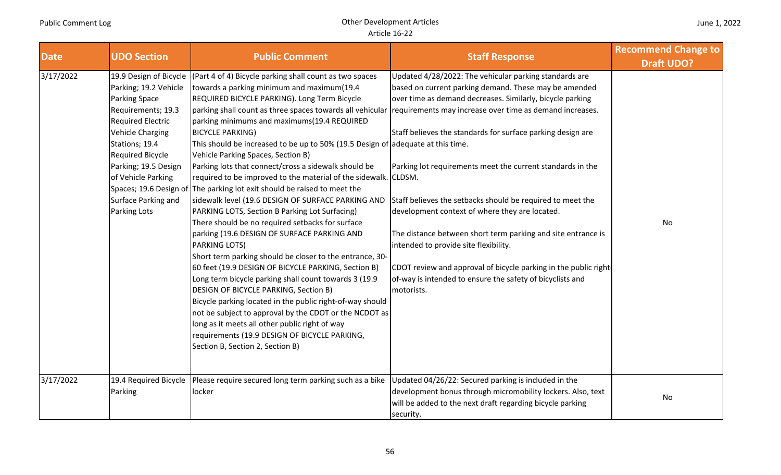| <b>Date</b> | <b>UDO Section</b>                                                                                                                                                                                                                                                                                        | <b>Public Comment</b>                                                                                                                                                                                                                                                                                                                                                                                                                                                                                                                                                                                                                                                                                                                                                                                                                                                                                                                                                                                                                                                                                                                                                                                                                                                                                                       | <b>Staff Response</b>                                                                                                                                                                                                                                                                                                                                                                                                                                                                                                                                                                                                                                                                                                                         | <b>Recommend Change to</b><br><b>Draft UDO?</b> |
|-------------|-----------------------------------------------------------------------------------------------------------------------------------------------------------------------------------------------------------------------------------------------------------------------------------------------------------|-----------------------------------------------------------------------------------------------------------------------------------------------------------------------------------------------------------------------------------------------------------------------------------------------------------------------------------------------------------------------------------------------------------------------------------------------------------------------------------------------------------------------------------------------------------------------------------------------------------------------------------------------------------------------------------------------------------------------------------------------------------------------------------------------------------------------------------------------------------------------------------------------------------------------------------------------------------------------------------------------------------------------------------------------------------------------------------------------------------------------------------------------------------------------------------------------------------------------------------------------------------------------------------------------------------------------------|-----------------------------------------------------------------------------------------------------------------------------------------------------------------------------------------------------------------------------------------------------------------------------------------------------------------------------------------------------------------------------------------------------------------------------------------------------------------------------------------------------------------------------------------------------------------------------------------------------------------------------------------------------------------------------------------------------------------------------------------------|-------------------------------------------------|
| 3/17/2022   | 19.9 Design of Bicycle<br>Parking; 19.2 Vehicle<br>Parking Space<br>Requirements; 19.3<br><b>Required Electric</b><br><b>Vehicle Charging</b><br>Stations; 19.4<br><b>Required Bicycle</b><br>Parking; 19.5 Design<br>of Vehicle Parking<br>Spaces; 19.6 Design of<br>Surface Parking and<br>Parking Lots | (Part 4 of 4) Bicycle parking shall count as two spaces<br>towards a parking minimum and maximum(19.4<br>REQUIRED BICYCLE PARKING). Long Term Bicycle<br>parking shall count as three spaces towards all vehicular<br>parking minimums and maximums(19.4 REQUIRED<br><b>BICYCLE PARKING)</b><br>This should be increased to be up to 50% (19.5 Design of adequate at this time.<br>Vehicle Parking Spaces, Section B)<br>Parking lots that connect/cross a sidewalk should be<br>required to be improved to the material of the sidewalk. CLDSM.<br>The parking lot exit should be raised to meet the<br>sidewalk level (19.6 DESIGN OF SURFACE PARKING AND<br>PARKING LOTS, Section B Parking Lot Surfacing)<br>There should be no required setbacks for surface<br>parking (19.6 DESIGN OF SURFACE PARKING AND<br><b>PARKING LOTS)</b><br>Short term parking should be closer to the entrance, 30-<br>60 feet (19.9 DESIGN OF BICYCLE PARKING, Section B)<br>Long term bicycle parking shall count towards 3 (19.9<br>DESIGN OF BICYCLE PARKING, Section B)<br>Bicycle parking located in the public right-of-way should<br>not be subject to approval by the CDOT or the NCDOT as<br>long as it meets all other public right of way<br>requirements (19.9 DESIGN OF BICYCLE PARKING,<br>Section B, Section 2, Section B) | Updated 4/28/2022: The vehicular parking standards are<br>based on current parking demand. These may be amended<br>over time as demand decreases. Similarly, bicycle parking<br>requirements may increase over time as demand increases.<br>Staff believes the standards for surface parking design are<br>Parking lot requirements meet the current standards in the<br>Staff believes the setbacks should be required to meet the<br>development context of where they are located.<br>The distance between short term parking and site entrance is<br>intended to provide site flexibility.<br>CDOT review and approval of bicycle parking in the public right-<br>of-way is intended to ensure the safety of bicyclists and<br>motorists. | No                                              |
| 3/17/2022   | 19.4 Required Bicycle<br>Parking                                                                                                                                                                                                                                                                          | Please require secured long term parking such as a bike<br>locker                                                                                                                                                                                                                                                                                                                                                                                                                                                                                                                                                                                                                                                                                                                                                                                                                                                                                                                                                                                                                                                                                                                                                                                                                                                           | Updated 04/26/22: Secured parking is included in the<br>development bonus through micromobility lockers. Also, text<br>will be added to the next draft regarding bicycle parking<br>security.                                                                                                                                                                                                                                                                                                                                                                                                                                                                                                                                                 | No                                              |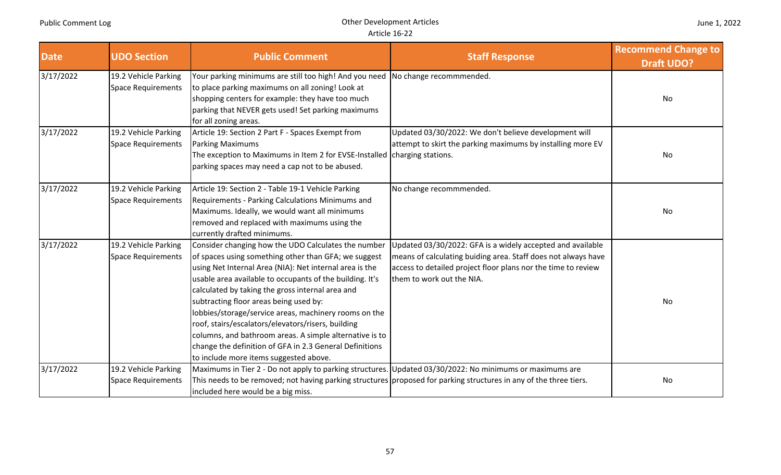| Date      | <b>UDO Section</b>                                | <b>Public Comment</b>                                                                                                                                                                                                                                                                                                                                                                                                                                                                                                                                                                                           | <b>Staff Response</b>                                                                                                                                                                                                     | <b>Recommend Change to</b><br><b>Draft UDO?</b> |
|-----------|---------------------------------------------------|-----------------------------------------------------------------------------------------------------------------------------------------------------------------------------------------------------------------------------------------------------------------------------------------------------------------------------------------------------------------------------------------------------------------------------------------------------------------------------------------------------------------------------------------------------------------------------------------------------------------|---------------------------------------------------------------------------------------------------------------------------------------------------------------------------------------------------------------------------|-------------------------------------------------|
| 3/17/2022 | 19.2 Vehicle Parking<br>Space Requirements        | Your parking minimums are still too high! And you need No change recommmended.<br>to place parking maximums on all zoning! Look at<br>shopping centers for example: they have too much<br>parking that NEVER gets used! Set parking maximums<br>for all zoning areas.                                                                                                                                                                                                                                                                                                                                           |                                                                                                                                                                                                                           | No                                              |
| 3/17/2022 | 19.2 Vehicle Parking<br><b>Space Requirements</b> | Article 19: Section 2 Part F - Spaces Exempt from<br><b>Parking Maximums</b><br>The exception to Maximums in Item 2 for EVSE-Installed<br>parking spaces may need a cap not to be abused.                                                                                                                                                                                                                                                                                                                                                                                                                       | Updated 03/30/2022: We don't believe development will<br>attempt to skirt the parking maximums by installing more EV<br>charging stations.                                                                                | No                                              |
| 3/17/2022 | 19.2 Vehicle Parking<br><b>Space Requirements</b> | Article 19: Section 2 - Table 19-1 Vehicle Parking<br>Requirements - Parking Calculations Minimums and<br>Maximums. Ideally, we would want all minimums<br>removed and replaced with maximums using the<br>currently drafted minimums.                                                                                                                                                                                                                                                                                                                                                                          | No change recommmended.                                                                                                                                                                                                   | No                                              |
| 3/17/2022 | 19.2 Vehicle Parking<br><b>Space Requirements</b> | Consider changing how the UDO Calculates the number<br>of spaces using something other than GFA; we suggest<br>using Net Internal Area (NIA): Net internal area is the<br>usable area available to occupants of the building. It's<br>calculated by taking the gross internal area and<br>subtracting floor areas being used by:<br>lobbies/storage/service areas, machinery rooms on the<br>roof, stairs/escalators/elevators/risers, building<br>columns, and bathroom areas. A simple alternative is to<br>change the definition of GFA in 2.3 General Definitions<br>to include more items suggested above. | Updated 03/30/2022: GFA is a widely accepted and available<br>means of calculating buiding area. Staff does not always have<br>access to detailed project floor plans nor the time to review<br>them to work out the NIA. | <b>No</b>                                       |
| 3/17/2022 | 19.2 Vehicle Parking<br><b>Space Requirements</b> | Maximums in Tier 2 - Do not apply to parking structures. Updated 03/30/2022: No minimums or maximums are<br>included here would be a big miss.                                                                                                                                                                                                                                                                                                                                                                                                                                                                  | This needs to be removed; not having parking structures proposed for parking structures in any of the three tiers.                                                                                                        | No                                              |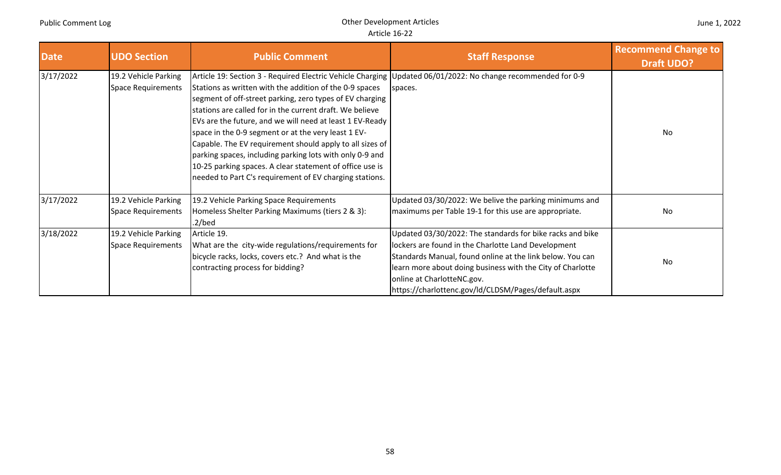| <b>Date</b> | <b>UDO Section</b>                                | <b>Public Comment</b>                                                                                                                                                                                                                                                                                                                                                                                                                                                                                                                                                                                                                                             | <b>Staff Response</b>                                                                                                                                                                                                                                                                                                            | <b>Recommend Change to</b><br><b>Draft UDO?</b> |
|-------------|---------------------------------------------------|-------------------------------------------------------------------------------------------------------------------------------------------------------------------------------------------------------------------------------------------------------------------------------------------------------------------------------------------------------------------------------------------------------------------------------------------------------------------------------------------------------------------------------------------------------------------------------------------------------------------------------------------------------------------|----------------------------------------------------------------------------------------------------------------------------------------------------------------------------------------------------------------------------------------------------------------------------------------------------------------------------------|-------------------------------------------------|
| 3/17/2022   | 19.2 Vehicle Parking<br>Space Requirements        | Article 19: Section 3 - Required Electric Vehicle Charging Updated 06/01/2022: No change recommended for 0-9<br>Stations as written with the addition of the 0-9 spaces<br>segment of off-street parking, zero types of EV charging<br>stations are called for in the current draft. We believe<br>EVs are the future, and we will need at least 1 EV-Ready<br>space in the 0-9 segment or at the very least 1 EV-<br>Capable. The EV requirement should apply to all sizes of<br>parking spaces, including parking lots with only 0-9 and<br>10-25 parking spaces. A clear statement of office use is<br>needed to Part C's requirement of EV charging stations. | spaces.                                                                                                                                                                                                                                                                                                                          | No                                              |
| 3/17/2022   | 19.2 Vehicle Parking<br><b>Space Requirements</b> | 19.2 Vehicle Parking Space Requirements<br>Homeless Shelter Parking Maximums (tiers 2 & 3):<br>$.2$ /bed                                                                                                                                                                                                                                                                                                                                                                                                                                                                                                                                                          | Updated 03/30/2022: We belive the parking minimums and<br>maximums per Table 19-1 for this use are appropriate.                                                                                                                                                                                                                  | No                                              |
| 3/18/2022   | 19.2 Vehicle Parking<br>Space Requirements        | Article 19.<br>What are the city-wide regulations/requirements for<br>bicycle racks, locks, covers etc.? And what is the<br>contracting process for bidding?                                                                                                                                                                                                                                                                                                                                                                                                                                                                                                      | Updated 03/30/2022: The standards for bike racks and bike<br>lockers are found in the Charlotte Land Development<br>Standards Manual, found online at the link below. You can<br>learn more about doing business with the City of Charlotte<br>online at CharlotteNC.gov.<br>https://charlottenc.gov/ld/CLDSM/Pages/default.aspx | <b>No</b>                                       |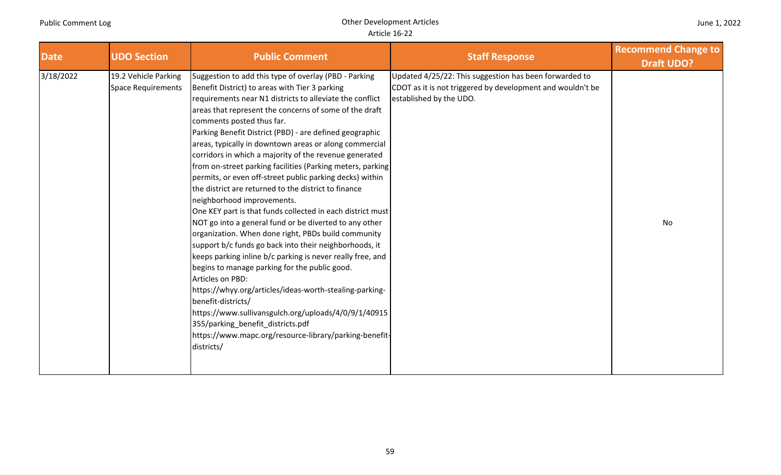| <b>Date</b> | <b>UDO Section</b>                                | <b>Public Comment</b>                                                                                                                                                                                                                                                                                                                                                                                                                                                                                                                                                                                                                                                                                                                                                                                                                                                                                                                                                                                                                                                                                                                                                                                                                                                                       | <b>Staff Response</b>                                                                                                                           | <b>Recommend Change to</b><br><b>Draft UDO?</b> |
|-------------|---------------------------------------------------|---------------------------------------------------------------------------------------------------------------------------------------------------------------------------------------------------------------------------------------------------------------------------------------------------------------------------------------------------------------------------------------------------------------------------------------------------------------------------------------------------------------------------------------------------------------------------------------------------------------------------------------------------------------------------------------------------------------------------------------------------------------------------------------------------------------------------------------------------------------------------------------------------------------------------------------------------------------------------------------------------------------------------------------------------------------------------------------------------------------------------------------------------------------------------------------------------------------------------------------------------------------------------------------------|-------------------------------------------------------------------------------------------------------------------------------------------------|-------------------------------------------------|
| 3/18/2022   | 19.2 Vehicle Parking<br><b>Space Requirements</b> | Suggestion to add this type of overlay (PBD - Parking<br>Benefit District) to areas with Tier 3 parking<br>requirements near N1 districts to alleviate the conflict<br>areas that represent the concerns of some of the draft<br>comments posted thus far.<br>Parking Benefit District (PBD) - are defined geographic<br>areas, typically in downtown areas or along commercial<br>corridors in which a majority of the revenue generated<br>from on-street parking facilities (Parking meters, parking<br>permits, or even off-street public parking decks) within<br>the district are returned to the district to finance<br>neighborhood improvements.<br>One KEY part is that funds collected in each district must<br>NOT go into a general fund or be diverted to any other<br>organization. When done right, PBDs build community<br>support b/c funds go back into their neighborhoods, it<br>keeps parking inline b/c parking is never really free, and<br>begins to manage parking for the public good.<br>Articles on PBD:<br>https://whyy.org/articles/ideas-worth-stealing-parking-<br>benefit-districts/<br>https://www.sullivansgulch.org/uploads/4/0/9/1/40915<br>355/parking_benefit_districts.pdf<br>https://www.mapc.org/resource-library/parking-benefit-<br>districts/ | Updated 4/25/22: This suggestion has been forwarded to<br>CDOT as it is not triggered by development and wouldn't be<br>established by the UDO. | No                                              |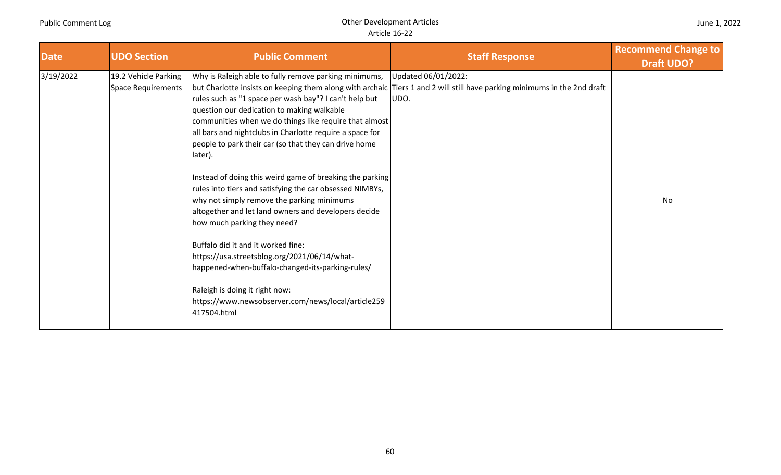#### June 1, 2022

| <b>Date</b> | <b>UDO Section</b>                         | <b>Public Comment</b>                                                                                                                                                                                                                                                                                                                                                                                                                                                                                                                                                                                                                                                                                                                                                                                                                                                 | <b>Staff Response</b>                                                                                                                                   | <b>Recommend Change to</b><br><b>Draft UDO?</b> |
|-------------|--------------------------------------------|-----------------------------------------------------------------------------------------------------------------------------------------------------------------------------------------------------------------------------------------------------------------------------------------------------------------------------------------------------------------------------------------------------------------------------------------------------------------------------------------------------------------------------------------------------------------------------------------------------------------------------------------------------------------------------------------------------------------------------------------------------------------------------------------------------------------------------------------------------------------------|---------------------------------------------------------------------------------------------------------------------------------------------------------|-------------------------------------------------|
| 3/19/2022   | 19.2 Vehicle Parking<br>Space Requirements | Why is Raleigh able to fully remove parking minimums,<br>rules such as "1 space per wash bay"? I can't help but<br>question our dedication to making walkable<br>communities when we do things like require that almost<br>all bars and nightclubs in Charlotte require a space for<br>people to park their car (so that they can drive home<br>later).<br>Instead of doing this weird game of breaking the parking<br>rules into tiers and satisfying the car obsessed NIMBYs,<br>why not simply remove the parking minimums<br>altogether and let land owners and developers decide<br>how much parking they need?<br>Buffalo did it and it worked fine:<br>https://usa.streetsblog.org/2021/06/14/what-<br>happened-when-buffalo-changed-its-parking-rules/<br>Raleigh is doing it right now:<br>https://www.newsobserver.com/news/local/article259<br>417504.html | Updated 06/01/2022:<br>but Charlotte insists on keeping them along with archaic Tiers 1 and 2 will still have parking minimums in the 2nd draft<br>UDO. | No                                              |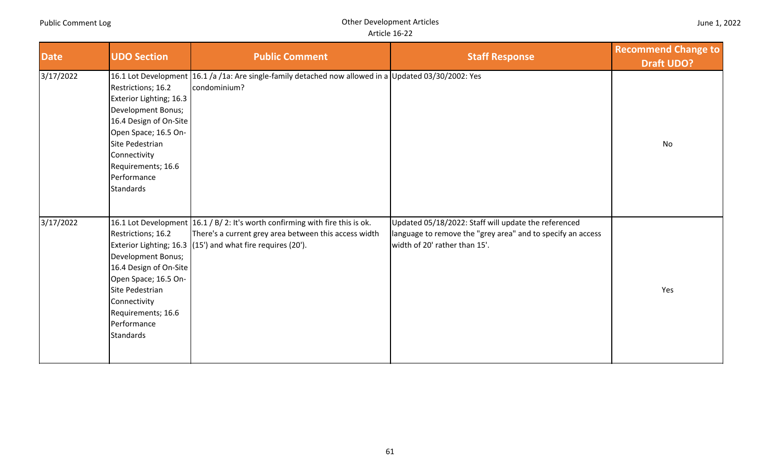#### Article 16‐22

| <b>Date</b> | <b>UDO Section</b>                                                                                                                                                                                                | <b>Public Comment</b>                                                                                                                                                                                 | <b>Staff Response</b>                                                                                                                                | <b>Recommend Change to</b><br><b>Draft UDO?</b> |
|-------------|-------------------------------------------------------------------------------------------------------------------------------------------------------------------------------------------------------------------|-------------------------------------------------------------------------------------------------------------------------------------------------------------------------------------------------------|------------------------------------------------------------------------------------------------------------------------------------------------------|-------------------------------------------------|
| 3/17/2022   | Restrictions; 16.2<br>Exterior Lighting; 16.3<br>Development Bonus;<br>16.4 Design of On-Site<br>Open Space; 16.5 On-<br>Site Pedestrian<br>Connectivity<br>Requirements; 16.6<br>Performance<br><b>Standards</b> | 16.1 Lot Development 16.1 /a /1a: Are single-family detached now allowed in a Updated 03/30/2002: Yes<br>condominium?                                                                                 |                                                                                                                                                      | No                                              |
| 3/17/2022   | Restrictions; 16.2<br>Development Bonus;<br>16.4 Design of On-Site<br>Open Space; 16.5 On-<br>Site Pedestrian<br>Connectivity<br>Requirements; 16.6<br>Performance<br><b>Standards</b>                            | 16.1 Lot Development 16.1 / B/ 2: It's worth confirming with fire this is ok.<br>There's a current grey area between this access width<br>Exterior Lighting; 16.3 (15') and what fire requires (20'). | Updated 05/18/2022: Staff will update the referenced<br>language to remove the "grey area" and to specify an access<br>width of 20' rather than 15'. | Yes                                             |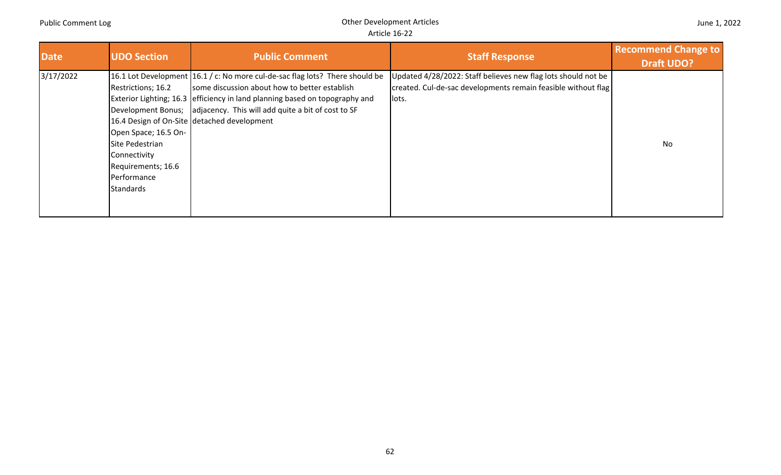| <b>Date</b> | <b>UDO Section</b>                                                                                                                                           | <b>Public Comment</b>                                                                                                                                                                                                                                                                                             | <b>Staff Response</b>                                                                                                                   | <b>Recommend Change to</b><br><b>Draft UDO?</b> |
|-------------|--------------------------------------------------------------------------------------------------------------------------------------------------------------|-------------------------------------------------------------------------------------------------------------------------------------------------------------------------------------------------------------------------------------------------------------------------------------------------------------------|-----------------------------------------------------------------------------------------------------------------------------------------|-------------------------------------------------|
| 3/17/2022   | Restrictions; 16.2<br>Development Bonus;<br>Open Space; 16.5 On-<br>Site Pedestrian<br>Connectivity<br>Requirements; 16.6<br>Performance<br><b>Standards</b> | 16.1 Lot Development 16.1 / c: No more cul-de-sac flag lots? There should be<br>some discussion about how to better establish<br>Exterior Lighting; 16.3 efficiency in land planning based on topography and<br>adjacency. This will add quite a bit of cost to SF<br>16.4 Design of On-Site detached development | Updated 4/28/2022: Staff believes new flag lots should not be<br>created. Cul-de-sac developments remain feasible without flag<br>lots. | No                                              |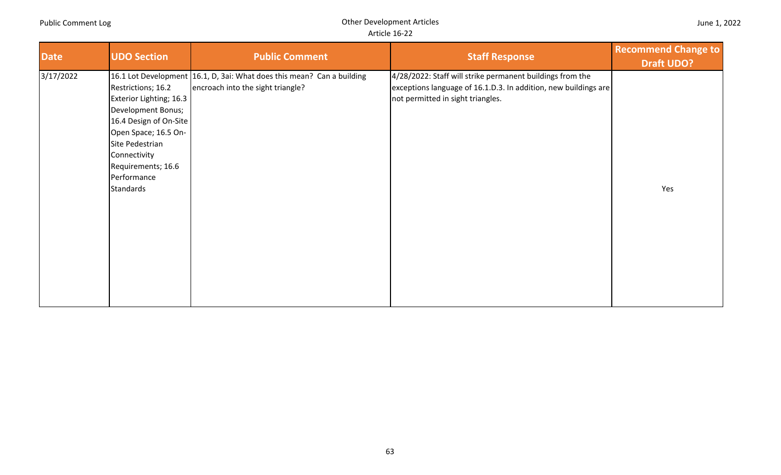| <b>Date</b> | <b>UDO Section</b>                                                                                                                                                                                         | <b>Public Comment</b>                                                                                       | <b>Staff Response</b>                                                                                                                                             | <b>Recommend Change to</b><br><b>Draft UDO?</b> |
|-------------|------------------------------------------------------------------------------------------------------------------------------------------------------------------------------------------------------------|-------------------------------------------------------------------------------------------------------------|-------------------------------------------------------------------------------------------------------------------------------------------------------------------|-------------------------------------------------|
| 3/17/2022   | Restrictions; 16.2<br>Exterior Lighting; 16.3<br>Development Bonus;<br>16.4 Design of On-Site<br>Open Space; 16.5 On-<br>Site Pedestrian<br>Connectivity<br>Requirements; 16.6<br>Performance<br>Standards | 16.1 Lot Development 16.1, D, 3ai: What does this mean? Can a building<br>encroach into the sight triangle? | 4/28/2022: Staff will strike permanent buildings from the<br>exceptions language of 16.1.D.3. In addition, new buildings are<br>not permitted in sight triangles. | Yes                                             |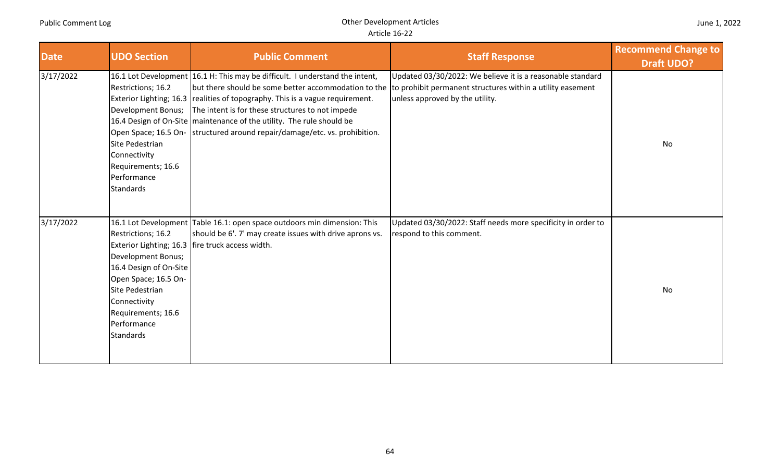| <b>Date</b> | <b>UDO Section</b>                                                                                                                                                                     | <b>Public Comment</b>                                                                                                                                                                                                                                                                                                                                                        | <b>Staff Response</b>                                                                                                                                                                                            | <b>Recommend Change to</b><br><b>Draft UDO?</b> |
|-------------|----------------------------------------------------------------------------------------------------------------------------------------------------------------------------------------|------------------------------------------------------------------------------------------------------------------------------------------------------------------------------------------------------------------------------------------------------------------------------------------------------------------------------------------------------------------------------|------------------------------------------------------------------------------------------------------------------------------------------------------------------------------------------------------------------|-------------------------------------------------|
| 3/17/2022   | Restrictions; 16.2<br>Development Bonus;<br>Site Pedestrian<br>Connectivity<br>Requirements; 16.6<br>Performance<br><b>Standards</b>                                                   | 16.1 Lot Development 16.1 H: This may be difficult. I understand the intent,<br>Exterior Lighting; 16.3   realities of topography. This is a vague requirement.<br>The intent is for these structures to not impede<br>16.4 Design of On-Site   maintenance of the utility. The rule should be<br>Open Space; 16.5 On- structured around repair/damage/etc. vs. prohibition. | Updated 03/30/2022: We believe it is a reasonable standard<br>but there should be some better accommodation to the to prohibit permanent structures within a utility easement<br>unless approved by the utility. | No                                              |
| 3/17/2022   | Restrictions; 16.2<br>Development Bonus;<br>16.4 Design of On-Site<br>Open Space; 16.5 On-<br>Site Pedestrian<br>Connectivity<br>Requirements; 16.6<br>Performance<br><b>Standards</b> | 16.1 Lot Development Table 16.1: open space outdoors min dimension: This<br>should be 6'. 7' may create issues with drive aprons vs.<br>Exterior Lighting; 16.3   fire truck access width.                                                                                                                                                                                   | Updated 03/30/2022: Staff needs more specificity in order to<br>respond to this comment.                                                                                                                         | <b>No</b>                                       |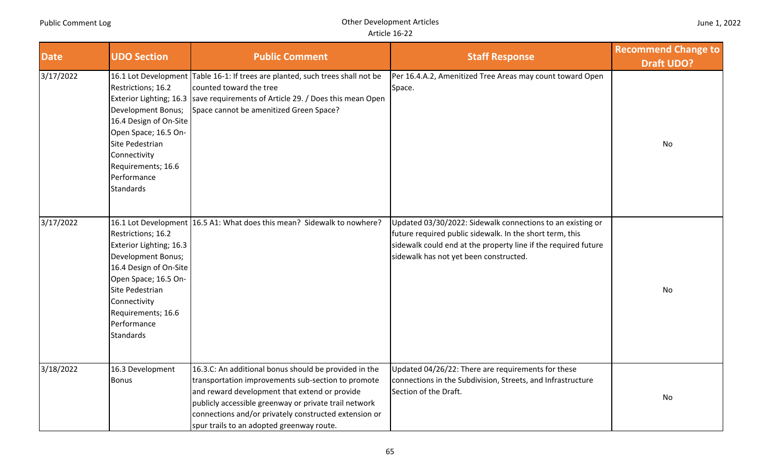# Article 16‐22

| <b>Date</b> | <b>UDO Section</b>                                                                                                                                                                                                | <b>Public Comment</b>                                                                                                                                                                                                                                                                                                       | <b>Staff Response</b>                                                                                                                                                                                                              | <b>Recommend Change to</b><br><b>Draft UDO?</b> |
|-------------|-------------------------------------------------------------------------------------------------------------------------------------------------------------------------------------------------------------------|-----------------------------------------------------------------------------------------------------------------------------------------------------------------------------------------------------------------------------------------------------------------------------------------------------------------------------|------------------------------------------------------------------------------------------------------------------------------------------------------------------------------------------------------------------------------------|-------------------------------------------------|
| 3/17/2022   | Restrictions; 16.2<br><b>Development Bonus;</b><br>16.4 Design of On-Site<br>Open Space; 16.5 On-<br>Site Pedestrian<br>Connectivity<br>Requirements; 16.6<br>Performance<br><b>Standards</b>                     | 16.1 Lot Development Table 16-1: If trees are planted, such trees shall not be<br>counted toward the tree<br>Exterior Lighting; 16.3   save requirements of Article 29. / Does this mean Open<br>Space cannot be amenitized Green Space?                                                                                    | Per 16.4.A.2, Amenitized Tree Areas may count toward Open<br>Space.                                                                                                                                                                | No                                              |
| 3/17/2022   | Restrictions; 16.2<br>Exterior Lighting; 16.3<br>Development Bonus;<br>16.4 Design of On-Site<br>Open Space; 16.5 On-<br>Site Pedestrian<br>Connectivity<br>Requirements; 16.6<br>Performance<br><b>Standards</b> | 16.1 Lot Development 16.5 A1: What does this mean? Sidewalk to nowhere?                                                                                                                                                                                                                                                     | Updated 03/30/2022: Sidewalk connections to an existing or<br>future required public sidewalk. In the short term, this<br>sidewalk could end at the property line if the required future<br>sidewalk has not yet been constructed. | No                                              |
| 3/18/2022   | 16.3 Development<br><b>Bonus</b>                                                                                                                                                                                  | 16.3.C: An additional bonus should be provided in the<br>transportation improvements sub-section to promote<br>and reward development that extend or provide<br>publicly accessible greenway or private trail network<br>connections and/or privately constructed extension or<br>spur trails to an adopted greenway route. | Updated 04/26/22: There are requirements for these<br>connections in the Subdivision, Streets, and Infrastructure<br>Section of the Draft.                                                                                         | No                                              |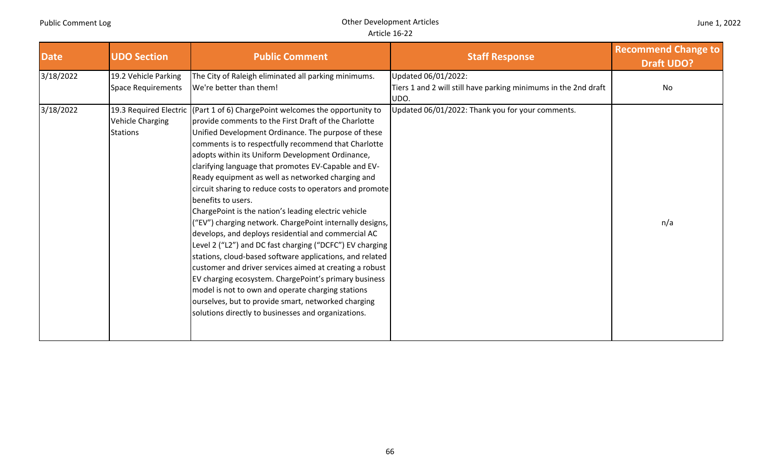| <b>Date</b> | <b>UDO Section</b>                         | <b>Public Comment</b>                                                                                                                                                                                                                                                                                                                                                                                                                                                                                                                                                                                                                                                                                                                                                                                                                                                                                                                                                                                                                                                                            | <b>Staff Response</b>                                                                          | <b>Recommend Change to</b><br><b>Draft UDO?</b> |
|-------------|--------------------------------------------|--------------------------------------------------------------------------------------------------------------------------------------------------------------------------------------------------------------------------------------------------------------------------------------------------------------------------------------------------------------------------------------------------------------------------------------------------------------------------------------------------------------------------------------------------------------------------------------------------------------------------------------------------------------------------------------------------------------------------------------------------------------------------------------------------------------------------------------------------------------------------------------------------------------------------------------------------------------------------------------------------------------------------------------------------------------------------------------------------|------------------------------------------------------------------------------------------------|-------------------------------------------------|
| 3/18/2022   | 19.2 Vehicle Parking<br>Space Requirements | The City of Raleigh eliminated all parking minimums.<br>We're better than them!                                                                                                                                                                                                                                                                                                                                                                                                                                                                                                                                                                                                                                                                                                                                                                                                                                                                                                                                                                                                                  | Updated 06/01/2022:<br>Tiers 1 and 2 will still have parking minimums in the 2nd draft<br>UDO. | No                                              |
| 3/18/2022   | <b>Vehicle Charging</b><br><b>Stations</b> | 19.3 Required Electric (Part 1 of 6) ChargePoint welcomes the opportunity to<br>provide comments to the First Draft of the Charlotte<br>Unified Development Ordinance. The purpose of these<br>comments is to respectfully recommend that Charlotte<br>adopts within its Uniform Development Ordinance,<br>clarifying language that promotes EV-Capable and EV-<br>Ready equipment as well as networked charging and<br>circuit sharing to reduce costs to operators and promote<br>benefits to users.<br>ChargePoint is the nation's leading electric vehicle<br>("EV") charging network. ChargePoint internally designs,<br>develops, and deploys residential and commercial AC<br>Level 2 ("L2") and DC fast charging ("DCFC") EV charging<br>stations, cloud-based software applications, and related<br>customer and driver services aimed at creating a robust<br>EV charging ecosystem. ChargePoint's primary business<br>model is not to own and operate charging stations<br>ourselves, but to provide smart, networked charging<br>solutions directly to businesses and organizations. | Updated 06/01/2022: Thank you for your comments.                                               | n/a                                             |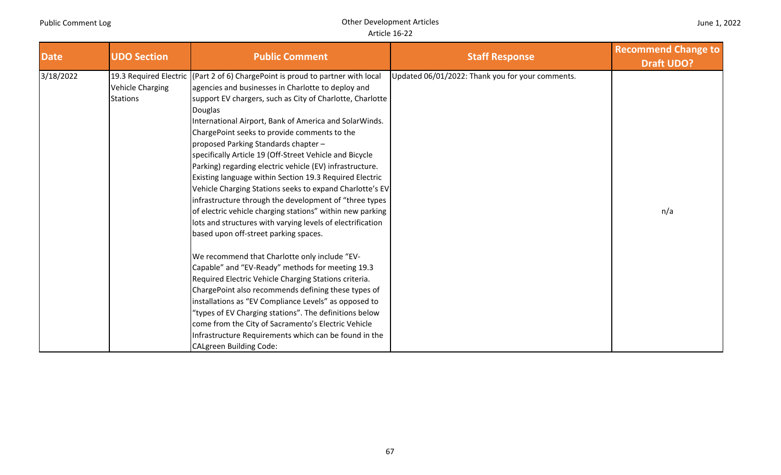| <b>Date</b> | <b>UDO Section</b>                         | <b>Public Comment</b>                                                                                                                                                                                                                                                                                                                                                                                                                                                                                                                                                                                                                                                                                                                                                                                                                             | <b>Staff Response</b>                            | <b>Recommend Change to</b><br><b>Draft UDO?</b> |
|-------------|--------------------------------------------|---------------------------------------------------------------------------------------------------------------------------------------------------------------------------------------------------------------------------------------------------------------------------------------------------------------------------------------------------------------------------------------------------------------------------------------------------------------------------------------------------------------------------------------------------------------------------------------------------------------------------------------------------------------------------------------------------------------------------------------------------------------------------------------------------------------------------------------------------|--------------------------------------------------|-------------------------------------------------|
| 3/18/2022   | <b>Vehicle Charging</b><br><b>Stations</b> | 19.3 Required Electric (Part 2 of 6) ChargePoint is proud to partner with local<br>agencies and businesses in Charlotte to deploy and<br>support EV chargers, such as City of Charlotte, Charlotte<br><b>Douglas</b><br>International Airport, Bank of America and SolarWinds.<br>ChargePoint seeks to provide comments to the<br>proposed Parking Standards chapter-<br>specifically Article 19 (Off-Street Vehicle and Bicycle<br>Parking) regarding electric vehicle (EV) infrastructure.<br>Existing language within Section 19.3 Required Electric<br>Vehicle Charging Stations seeks to expand Charlotte's EV<br>infrastructure through the development of "three types<br>of electric vehicle charging stations" within new parking<br>lots and structures with varying levels of electrification<br>based upon off-street parking spaces. | Updated 06/01/2022: Thank you for your comments. | n/a                                             |
|             |                                            | We recommend that Charlotte only include "EV-<br>Capable" and "EV-Ready" methods for meeting 19.3<br>Required Electric Vehicle Charging Stations criteria.<br>ChargePoint also recommends defining these types of<br>installations as "EV Compliance Levels" as opposed to<br>"types of EV Charging stations". The definitions below<br>come from the City of Sacramento's Electric Vehicle<br>Infrastructure Requirements which can be found in the<br><b>CALgreen Building Code:</b>                                                                                                                                                                                                                                                                                                                                                            |                                                  |                                                 |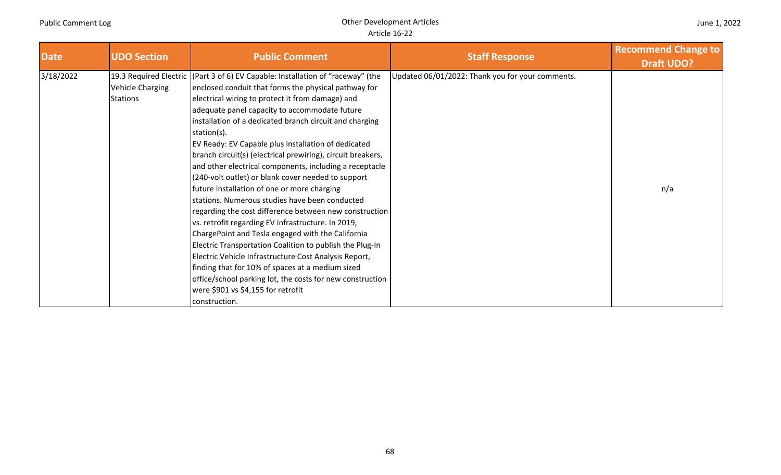| June 1, 2022 |
|--------------|
|--------------|

| <b>Date</b> | <b>UDO Section</b>                         | <b>Public Comment</b>                                                                                                                                                                                                                                                                                                                                                                                                                                                                                                                                                                                                                                                                                                                                                                                                                                                                                                                                                                                                                                                                                                            | <b>Staff Response</b>                            | <b>Recommend Change to</b><br><b>Draft UDO?</b> |
|-------------|--------------------------------------------|----------------------------------------------------------------------------------------------------------------------------------------------------------------------------------------------------------------------------------------------------------------------------------------------------------------------------------------------------------------------------------------------------------------------------------------------------------------------------------------------------------------------------------------------------------------------------------------------------------------------------------------------------------------------------------------------------------------------------------------------------------------------------------------------------------------------------------------------------------------------------------------------------------------------------------------------------------------------------------------------------------------------------------------------------------------------------------------------------------------------------------|--------------------------------------------------|-------------------------------------------------|
| 3/18/2022   | <b>Vehicle Charging</b><br><b>Stations</b> | 19.3 Required Electric (Part 3 of 6) EV Capable: Installation of "raceway" (the<br>enclosed conduit that forms the physical pathway for<br>electrical wiring to protect it from damage) and<br>adequate panel capacity to accommodate future<br>installation of a dedicated branch circuit and charging<br>station(s).<br>EV Ready: EV Capable plus installation of dedicated<br>branch circuit(s) (electrical prewiring), circuit breakers,<br>and other electrical components, including a receptacle<br>(240-volt outlet) or blank cover needed to support<br>future installation of one or more charging<br>stations. Numerous studies have been conducted<br>regarding the cost difference between new construction<br>vs. retrofit regarding EV infrastructure. In 2019,<br>ChargePoint and Tesla engaged with the California<br>Electric Transportation Coalition to publish the Plug-In<br>Electric Vehicle Infrastructure Cost Analysis Report,<br>finding that for 10% of spaces at a medium sized<br>office/school parking lot, the costs for new construction<br>were \$901 vs \$4,155 for retrofit<br>construction. | Updated 06/01/2022: Thank you for your comments. | n/a                                             |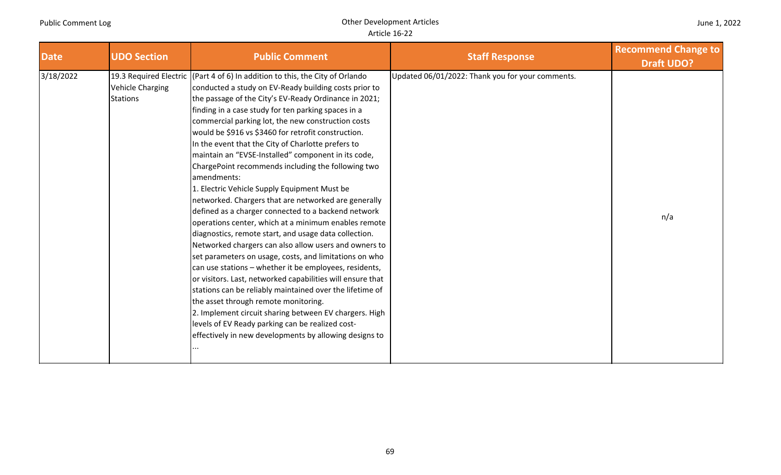| <b>Date</b> | <b>UDO Section</b>                         | <b>Public Comment</b>                                                                                                                                                                                                                                                                                                                                                                                                                                                                                                                                                                                                                                                                                                                                                                                                                                                                                                                                                                                                                                                                                                                                                                                                                                                                                                                                        | <b>Staff Response</b>                            | <b>Recommend Change to</b><br><b>Draft UDO?</b> |
|-------------|--------------------------------------------|--------------------------------------------------------------------------------------------------------------------------------------------------------------------------------------------------------------------------------------------------------------------------------------------------------------------------------------------------------------------------------------------------------------------------------------------------------------------------------------------------------------------------------------------------------------------------------------------------------------------------------------------------------------------------------------------------------------------------------------------------------------------------------------------------------------------------------------------------------------------------------------------------------------------------------------------------------------------------------------------------------------------------------------------------------------------------------------------------------------------------------------------------------------------------------------------------------------------------------------------------------------------------------------------------------------------------------------------------------------|--------------------------------------------------|-------------------------------------------------|
| 3/18/2022   | <b>Vehicle Charging</b><br><b>Stations</b> | 19.3 Required Electric (Part 4 of 6) In addition to this, the City of Orlando<br>conducted a study on EV-Ready building costs prior to<br>the passage of the City's EV-Ready Ordinance in 2021;<br>finding in a case study for ten parking spaces in a<br>commercial parking lot, the new construction costs<br>would be \$916 vs \$3460 for retrofit construction.<br>In the event that the City of Charlotte prefers to<br>maintain an "EVSE-Installed" component in its code,<br>ChargePoint recommends including the following two<br>amendments:<br>1. Electric Vehicle Supply Equipment Must be<br>networked. Chargers that are networked are generally<br>defined as a charger connected to a backend network<br>operations center, which at a minimum enables remote<br>diagnostics, remote start, and usage data collection.<br>Networked chargers can also allow users and owners to<br>set parameters on usage, costs, and limitations on who<br>can use stations - whether it be employees, residents,<br>or visitors. Last, networked capabilities will ensure that<br>stations can be reliably maintained over the lifetime of<br>the asset through remote monitoring.<br>2. Implement circuit sharing between EV chargers. High<br>levels of EV Ready parking can be realized cost-<br>effectively in new developments by allowing designs to | Updated 06/01/2022: Thank you for your comments. | n/a                                             |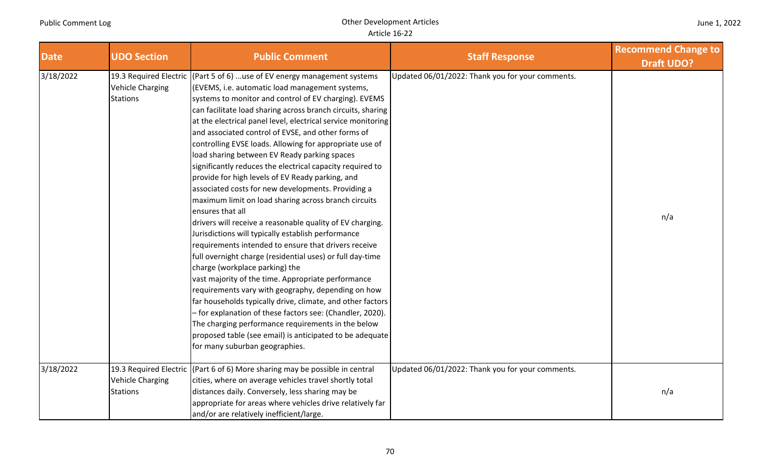| <b>Date</b> | <b>UDO Section</b>                         | <b>Public Comment</b>                                                                                                                                                                                                                                                                                                                                                                                                                                                                                                                                                                                                                                                                                                                                                                                                                                                                                                                                                                                                                                                                                                                                                                                                                                                                                                                                                                                        | <b>Staff Response</b>                            | <b>Recommend Change to</b><br><b>Draft UDO?</b> |
|-------------|--------------------------------------------|--------------------------------------------------------------------------------------------------------------------------------------------------------------------------------------------------------------------------------------------------------------------------------------------------------------------------------------------------------------------------------------------------------------------------------------------------------------------------------------------------------------------------------------------------------------------------------------------------------------------------------------------------------------------------------------------------------------------------------------------------------------------------------------------------------------------------------------------------------------------------------------------------------------------------------------------------------------------------------------------------------------------------------------------------------------------------------------------------------------------------------------------------------------------------------------------------------------------------------------------------------------------------------------------------------------------------------------------------------------------------------------------------------------|--------------------------------------------------|-------------------------------------------------|
| 3/18/2022   | <b>Vehicle Charging</b><br><b>Stations</b> | 19.3 Required Electric (Part 5 of 6) use of EV energy management systems<br>(EVEMS, i.e. automatic load management systems,<br>systems to monitor and control of EV charging). EVEMS<br>can facilitate load sharing across branch circuits, sharing<br>at the electrical panel level, electrical service monitoring<br>and associated control of EVSE, and other forms of<br>controlling EVSE loads. Allowing for appropriate use of<br>load sharing between EV Ready parking spaces<br>significantly reduces the electrical capacity required to<br>provide for high levels of EV Ready parking, and<br>associated costs for new developments. Providing a<br>maximum limit on load sharing across branch circuits<br>ensures that all<br>drivers will receive a reasonable quality of EV charging.<br>Jurisdictions will typically establish performance<br>requirements intended to ensure that drivers receive<br>full overnight charge (residential uses) or full day-time<br>charge (workplace parking) the<br>vast majority of the time. Appropriate performance<br>requirements vary with geography, depending on how<br>far households typically drive, climate, and other factors<br>- for explanation of these factors see: (Chandler, 2020).<br>The charging performance requirements in the below<br>proposed table (see email) is anticipated to be adequate<br>for many suburban geographies. | Updated 06/01/2022: Thank you for your comments. | n/a                                             |
| 3/18/2022   | <b>Vehicle Charging</b><br><b>Stations</b> | 19.3 Required Electric (Part 6 of 6) More sharing may be possible in central<br>cities, where on average vehicles travel shortly total<br>distances daily. Conversely, less sharing may be<br>appropriate for areas where vehicles drive relatively far<br>and/or are relatively inefficient/large.                                                                                                                                                                                                                                                                                                                                                                                                                                                                                                                                                                                                                                                                                                                                                                                                                                                                                                                                                                                                                                                                                                          | Updated 06/01/2022: Thank you for your comments. | n/a                                             |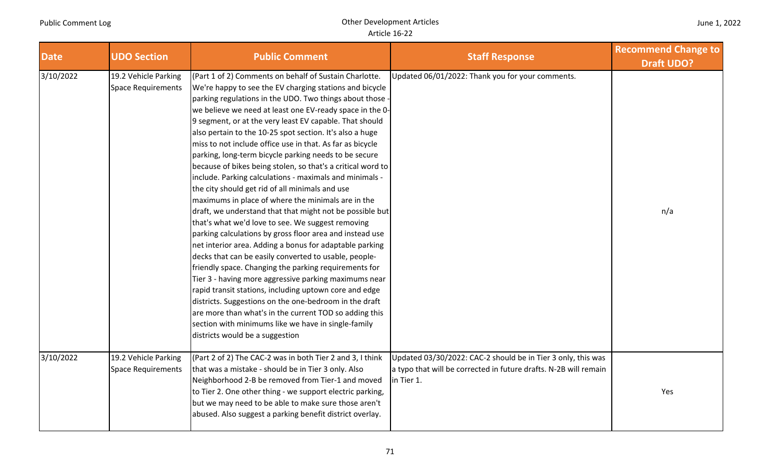| <b>Date</b> | <b>UDO Section</b>                                | <b>Public Comment</b>                                                                                                                                                                                                                                                                                                                                                                                                                                                                                                                                                                                                                                                                                                                                                                                                                                                                                                                                                                                                                                                                                                                                                                                                                                                                                                                                                                                                | <b>Staff Response</b>                                                                                                                          | <b>Recommend Change to</b><br><b>Draft UDO?</b> |
|-------------|---------------------------------------------------|----------------------------------------------------------------------------------------------------------------------------------------------------------------------------------------------------------------------------------------------------------------------------------------------------------------------------------------------------------------------------------------------------------------------------------------------------------------------------------------------------------------------------------------------------------------------------------------------------------------------------------------------------------------------------------------------------------------------------------------------------------------------------------------------------------------------------------------------------------------------------------------------------------------------------------------------------------------------------------------------------------------------------------------------------------------------------------------------------------------------------------------------------------------------------------------------------------------------------------------------------------------------------------------------------------------------------------------------------------------------------------------------------------------------|------------------------------------------------------------------------------------------------------------------------------------------------|-------------------------------------------------|
| 3/10/2022   | 19.2 Vehicle Parking<br><b>Space Requirements</b> | (Part 1 of 2) Comments on behalf of Sustain Charlotte.<br>We're happy to see the EV charging stations and bicycle<br>parking regulations in the UDO. Two things about those -<br>we believe we need at least one EV-ready space in the 0-<br>9 segment, or at the very least EV capable. That should<br>also pertain to the 10-25 spot section. It's also a huge<br>miss to not include office use in that. As far as bicycle<br>parking, long-term bicycle parking needs to be secure<br>because of bikes being stolen, so that's a critical word to<br>include. Parking calculations - maximals and minimals -<br>the city should get rid of all minimals and use<br>maximums in place of where the minimals are in the<br>draft, we understand that that might not be possible but<br>that's what we'd love to see. We suggest removing<br>parking calculations by gross floor area and instead use<br>net interior area. Adding a bonus for adaptable parking<br>decks that can be easily converted to usable, people-<br>friendly space. Changing the parking requirements for<br>Tier 3 - having more aggressive parking maximums near<br>rapid transit stations, including uptown core and edge<br>districts. Suggestions on the one-bedroom in the draft<br>are more than what's in the current TOD so adding this<br>section with minimums like we have in single-family<br>districts would be a suggestion | Updated 06/01/2022: Thank you for your comments.                                                                                               | n/a                                             |
| 3/10/2022   | 19.2 Vehicle Parking<br><b>Space Requirements</b> | (Part 2 of 2) The CAC-2 was in both Tier 2 and 3, I think<br>that was a mistake - should be in Tier 3 only. Also<br>Neighborhood 2-B be removed from Tier-1 and moved<br>to Tier 2. One other thing - we support electric parking,<br>but we may need to be able to make sure those aren't<br>abused. Also suggest a parking benefit district overlay.                                                                                                                                                                                                                                                                                                                                                                                                                                                                                                                                                                                                                                                                                                                                                                                                                                                                                                                                                                                                                                                               | Updated 03/30/2022: CAC-2 should be in Tier 3 only, this was<br>a typo that will be corrected in future drafts. N-2B will remain<br>in Tier 1. | Yes                                             |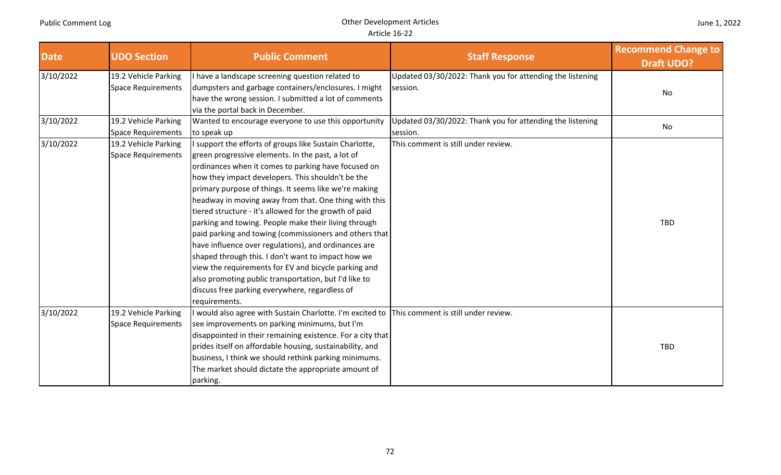| <b>Date</b> | <b>UDO Section</b>                                | <b>Public Comment</b>                                                                                                                                                                                                                                                                                                                                                                                                                                                                                                                                                                                                                                                                                                                                                                                                    | <b>Staff Response</b>                                                 | <b>Recommend Change to</b><br><b>Draft UDO?</b> |
|-------------|---------------------------------------------------|--------------------------------------------------------------------------------------------------------------------------------------------------------------------------------------------------------------------------------------------------------------------------------------------------------------------------------------------------------------------------------------------------------------------------------------------------------------------------------------------------------------------------------------------------------------------------------------------------------------------------------------------------------------------------------------------------------------------------------------------------------------------------------------------------------------------------|-----------------------------------------------------------------------|-------------------------------------------------|
| 3/10/2022   | 19.2 Vehicle Parking<br><b>Space Requirements</b> | I have a landscape screening question related to<br>dumpsters and garbage containers/enclosures. I might<br>have the wrong session. I submitted a lot of comments<br>via the portal back in December.                                                                                                                                                                                                                                                                                                                                                                                                                                                                                                                                                                                                                    | Updated 03/30/2022: Thank you for attending the listening<br>session. | No                                              |
| 3/10/2022   | 19.2 Vehicle Parking<br><b>Space Requirements</b> | Wanted to encourage everyone to use this opportunity<br>to speak up                                                                                                                                                                                                                                                                                                                                                                                                                                                                                                                                                                                                                                                                                                                                                      | Updated 03/30/2022: Thank you for attending the listening<br>session. | No                                              |
| 3/10/2022   | 19.2 Vehicle Parking<br><b>Space Requirements</b> | I support the efforts of groups like Sustain Charlotte,<br>green progressive elements. In the past, a lot of<br>ordinances when it comes to parking have focused on<br>how they impact developers. This shouldn't be the<br>primary purpose of things. It seems like we're making<br>headway in moving away from that. One thing with this<br>tiered structure - it's allowed for the growth of paid<br>parking and towing. People make their living through<br>paid parking and towing (commissioners and others that<br>have influence over regulations), and ordinances are<br>shaped through this. I don't want to impact how we<br>view the requirements for EV and bicycle parking and<br>also promoting public transportation, but I'd like to<br>discuss free parking everywhere, regardless of<br>requirements. | This comment is still under review.                                   | <b>TBD</b>                                      |
| 3/10/2022   | 19.2 Vehicle Parking<br><b>Space Requirements</b> | I would also agree with Sustain Charlotte. I'm excited to<br>see improvements on parking minimums, but I'm<br>disappointed in their remaining existence. For a city that<br>prides itself on affordable housing, sustainability, and<br>business, I think we should rethink parking minimums.<br>The market should dictate the appropriate amount of<br>parking.                                                                                                                                                                                                                                                                                                                                                                                                                                                         | This comment is still under review.                                   | <b>TBD</b>                                      |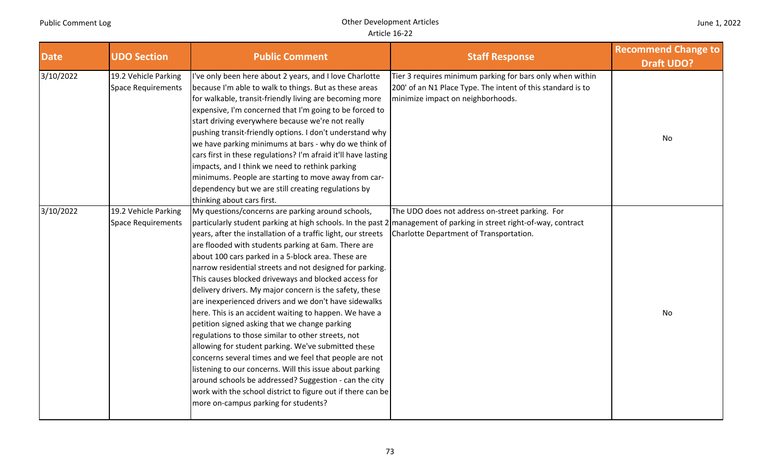| <b>Date</b> | <b>UDO Section</b>                                | <b>Public Comment</b>                                                                                                                                                                                                                                                                                                                                                                                                                                                                                                                                                                                                                                                                                                                                                                                                                                                                                                                                                                                                                                                                                        | <b>Staff Response</b>                                                                                                                                         | <b>Recommend Change to</b><br><b>Draft UDO?</b> |
|-------------|---------------------------------------------------|--------------------------------------------------------------------------------------------------------------------------------------------------------------------------------------------------------------------------------------------------------------------------------------------------------------------------------------------------------------------------------------------------------------------------------------------------------------------------------------------------------------------------------------------------------------------------------------------------------------------------------------------------------------------------------------------------------------------------------------------------------------------------------------------------------------------------------------------------------------------------------------------------------------------------------------------------------------------------------------------------------------------------------------------------------------------------------------------------------------|---------------------------------------------------------------------------------------------------------------------------------------------------------------|-------------------------------------------------|
| 3/10/2022   | 19.2 Vehicle Parking<br><b>Space Requirements</b> | I've only been here about 2 years, and I love Charlotte<br>because I'm able to walk to things. But as these areas<br>for walkable, transit-friendly living are becoming more<br>expensive, I'm concerned that I'm going to be forced to<br>start driving everywhere because we're not really<br>pushing transit-friendly options. I don't understand why<br>we have parking minimums at bars - why do we think of<br>cars first in these regulations? I'm afraid it'll have lasting<br>impacts, and I think we need to rethink parking<br>minimums. People are starting to move away from car-<br>dependency but we are still creating regulations by<br>thinking about cars first.                                                                                                                                                                                                                                                                                                                                                                                                                          | Tier 3 requires minimum parking for bars only when within<br>200' of an N1 Place Type. The intent of this standard is to<br>minimize impact on neighborhoods. | No                                              |
| 3/10/2022   | 19.2 Vehicle Parking<br><b>Space Requirements</b> | My questions/concerns are parking around schools,<br>particularly student parking at high schools. In the past 2 management of parking in street right-of-way, contract<br>years, after the installation of a traffic light, our streets<br>are flooded with students parking at 6am. There are<br>about 100 cars parked in a 5-block area. These are<br>narrow residential streets and not designed for parking.<br>This causes blocked driveways and blocked access for<br>delivery drivers. My major concern is the safety, these<br>are inexperienced drivers and we don't have sidewalks<br>here. This is an accident waiting to happen. We have a<br>petition signed asking that we change parking<br>regulations to those similar to other streets, not<br>allowing for student parking. We've submitted these<br>concerns several times and we feel that people are not<br>listening to our concerns. Will this issue about parking<br>around schools be addressed? Suggestion - can the city<br>work with the school district to figure out if there can be<br>more on-campus parking for students? | The UDO does not address on-street parking. For<br>Charlotte Department of Transportation.                                                                    | <b>No</b>                                       |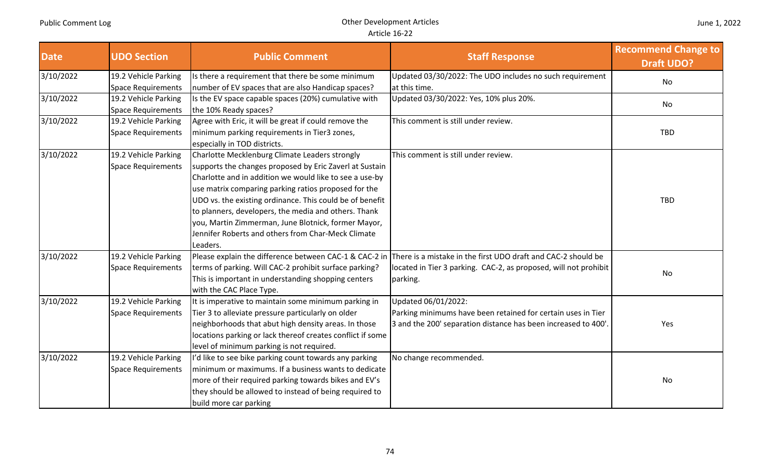| <b>Date</b> | <b>UDO Section</b>        | <b>Public Comment</b>                                                        | <b>Staff Response</b>                                            | <b>Recommend Change to</b><br><b>Draft UDO?</b> |
|-------------|---------------------------|------------------------------------------------------------------------------|------------------------------------------------------------------|-------------------------------------------------|
| 3/10/2022   | 19.2 Vehicle Parking      | Is there a requirement that there be some minimum                            | Updated 03/30/2022: The UDO includes no such requirement         | No                                              |
|             | <b>Space Requirements</b> | number of EV spaces that are also Handicap spaces?                           | at this time.                                                    |                                                 |
| 3/10/2022   | 19.2 Vehicle Parking      | Is the EV space capable spaces (20%) cumulative with                         | Updated 03/30/2022: Yes, 10% plus 20%.                           | No                                              |
|             | <b>Space Requirements</b> | the 10% Ready spaces?                                                        |                                                                  |                                                 |
| 3/10/2022   | 19.2 Vehicle Parking      | Agree with Eric, it will be great if could remove the                        | This comment is still under review.                              |                                                 |
|             | <b>Space Requirements</b> | minimum parking requirements in Tier3 zones,<br>especially in TOD districts. |                                                                  | <b>TBD</b>                                      |
| 3/10/2022   | 19.2 Vehicle Parking      | Charlotte Mecklenburg Climate Leaders strongly                               | This comment is still under review.                              |                                                 |
|             | <b>Space Requirements</b> | supports the changes proposed by Eric Zaverl at Sustain                      |                                                                  |                                                 |
|             |                           | Charlotte and in addition we would like to see a use-by                      |                                                                  |                                                 |
|             |                           | use matrix comparing parking ratios proposed for the                         |                                                                  |                                                 |
|             |                           | UDO vs. the existing ordinance. This could be of benefit                     |                                                                  | <b>TBD</b>                                      |
|             |                           | to planners, developers, the media and others. Thank                         |                                                                  |                                                 |
|             |                           | you, Martin Zimmerman, June Blotnick, former Mayor,                          |                                                                  |                                                 |
|             |                           | Jennifer Roberts and others from Char-Meck Climate                           |                                                                  |                                                 |
|             |                           | Leaders.                                                                     |                                                                  |                                                 |
| 3/10/2022   | 19.2 Vehicle Parking      | Please explain the difference between CAC-1 & CAC-2 in                       | There is a mistake in the first UDO draft and CAC-2 should be    |                                                 |
|             | <b>Space Requirements</b> | terms of parking. Will CAC-2 prohibit surface parking?                       | located in Tier 3 parking. CAC-2, as proposed, will not prohibit | No                                              |
|             |                           | This is important in understanding shopping centers                          | parking.                                                         |                                                 |
|             |                           | with the CAC Place Type.                                                     |                                                                  |                                                 |
| 3/10/2022   | 19.2 Vehicle Parking      | It is imperative to maintain some minimum parking in                         | Updated 06/01/2022:                                              |                                                 |
|             | <b>Space Requirements</b> | Tier 3 to alleviate pressure particularly on older                           | Parking minimums have been retained for certain uses in Tier     |                                                 |
|             |                           | neighborhoods that abut high density areas. In those                         | 3 and the 200' separation distance has been increased to 400'.   | Yes                                             |
|             |                           | locations parking or lack thereof creates conflict if some                   |                                                                  |                                                 |
|             |                           | level of minimum parking is not required.                                    |                                                                  |                                                 |
| 3/10/2022   | 19.2 Vehicle Parking      | I'd like to see bike parking count towards any parking                       | No change recommended.                                           |                                                 |
|             | <b>Space Requirements</b> | minimum or maximums. If a business wants to dedicate                         |                                                                  |                                                 |
|             |                           | more of their required parking towards bikes and EV's                        |                                                                  | No                                              |
|             |                           | they should be allowed to instead of being required to                       |                                                                  |                                                 |
|             |                           | build more car parking                                                       |                                                                  |                                                 |